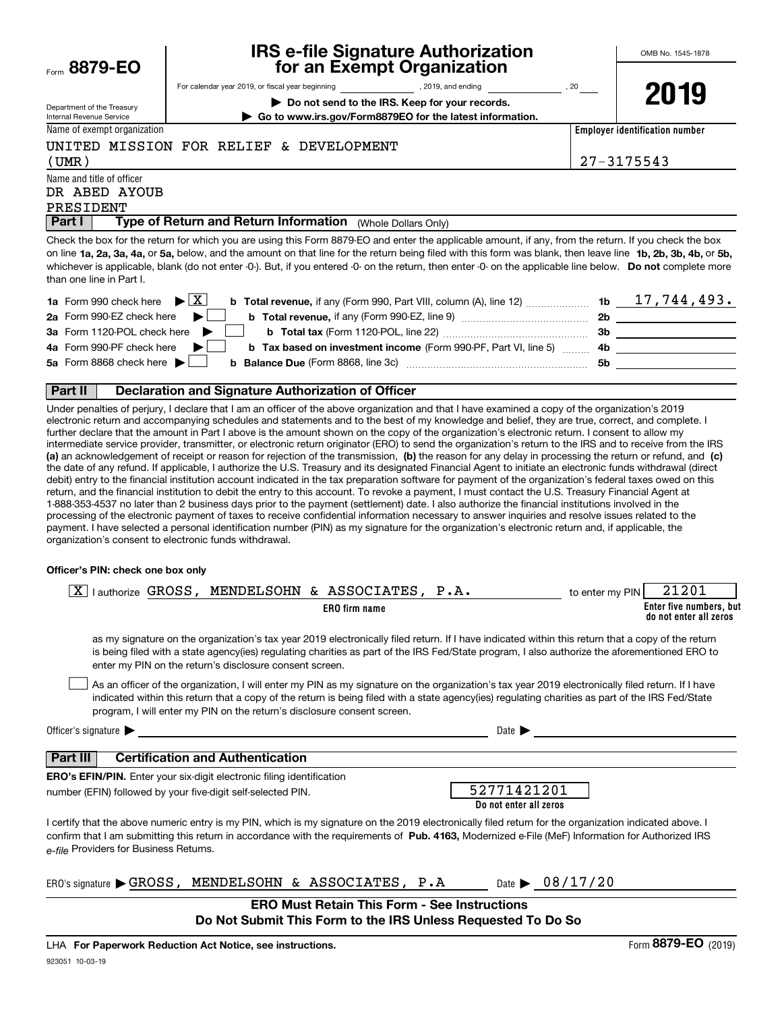Form**8879-EO**

### **IRS e-file Signature Authorization for an Exempt Organization**

OMB No. 1545-1878

|                                                        | For calendar year 2019, or fiscal year beginning                                                                                                                                                                                                                                                                                                                                                                                                                                      | , 2019, and ending                                                                                         | , 20           | 2019                                  |
|--------------------------------------------------------|---------------------------------------------------------------------------------------------------------------------------------------------------------------------------------------------------------------------------------------------------------------------------------------------------------------------------------------------------------------------------------------------------------------------------------------------------------------------------------------|------------------------------------------------------------------------------------------------------------|----------------|---------------------------------------|
| Department of the Treasury<br>Internal Revenue Service |                                                                                                                                                                                                                                                                                                                                                                                                                                                                                       | Do not send to the IRS. Keep for your records.<br>Go to www.irs.gov/Form8879EO for the latest information. |                |                                       |
| Name of exempt organization                            |                                                                                                                                                                                                                                                                                                                                                                                                                                                                                       |                                                                                                            |                | <b>Employer identification number</b> |
| UNITED MISSION FOR RELIEF                              | DEVELOPMENT<br>&.                                                                                                                                                                                                                                                                                                                                                                                                                                                                     |                                                                                                            |                |                                       |
| (UMR)                                                  |                                                                                                                                                                                                                                                                                                                                                                                                                                                                                       |                                                                                                            |                | 27-3175543                            |
| Name and title of officer<br>DR ABED AYOUB             |                                                                                                                                                                                                                                                                                                                                                                                                                                                                                       |                                                                                                            |                |                                       |
| PRESIDENT                                              |                                                                                                                                                                                                                                                                                                                                                                                                                                                                                       |                                                                                                            |                |                                       |
| Part I                                                 | Type of Return and Return Information (Whole Dollars Only)                                                                                                                                                                                                                                                                                                                                                                                                                            |                                                                                                            |                |                                       |
| than one line in Part I.                               | Check the box for the return for which you are using this Form 8879-EO and enter the applicable amount, if any, from the return. If you check the box<br>on line 1a, 2a, 3a, 4a, or 5a, below, and the amount on that line for the return being filed with this form was blank, then leave line 1b, 2b, 3b, 4b, or 5b.<br>whichever is applicable, blank (do not enter -0-). But, if you entered -0- on the return, then enter -0- on the applicable line below. Do not complete more |                                                                                                            |                |                                       |
| <b>1a</b> Form 990 check here                          | $\blacktriangleright$ $\mid$ X $\mid$                                                                                                                                                                                                                                                                                                                                                                                                                                                 |                                                                                                            | 1b             | 17,744,493.                           |
| 2a Form 990-EZ check here                              |                                                                                                                                                                                                                                                                                                                                                                                                                                                                                       |                                                                                                            | 2 <sub>b</sub> |                                       |

| 2a Form 990-EZ check here $\blacktriangleright$<br><b>b</b> Total revenue, if any (Form 990-EZ, line 9) <i></i> | 2b  |  |
|-----------------------------------------------------------------------------------------------------------------|-----|--|
| 3a Form 1120-POL check here<br><b>b</b> Total tax (Form 1120-POL, line 22)                                      | -3b |  |
| 4a Form 990-PF check here<br><b>b</b> Tax based on investment income (Form 990-PF, Part VI, line 5) 4b          |     |  |
| 5a Form 8868 check here $\blacktriangleright$                                                                   | 5b  |  |
|                                                                                                                 |     |  |

#### **Part II Declaration and Signature Authorization of Officer**

**(a)** an acknowledgement of receipt or reason for rejection of the transmission, (b) the reason for any delay in processing the return or refund, and (c) Under penalties of perjury, I declare that I am an officer of the above organization and that I have examined a copy of the organization's 2019 electronic return and accompanying schedules and statements and to the best of my knowledge and belief, they are true, correct, and complete. I further declare that the amount in Part I above is the amount shown on the copy of the organization's electronic return. I consent to allow my intermediate service provider, transmitter, or electronic return originator (ERO) to send the organization's return to the IRS and to receive from the IRS the date of any refund. If applicable, I authorize the U.S. Treasury and its designated Financial Agent to initiate an electronic funds withdrawal (direct debit) entry to the financial institution account indicated in the tax preparation software for payment of the organization's federal taxes owed on this return, and the financial institution to debit the entry to this account. To revoke a payment, I must contact the U.S. Treasury Financial Agent at 1-888-353-4537 no later than 2 business days prior to the payment (settlement) date. I also authorize the financial institutions involved in the processing of the electronic payment of taxes to receive confidential information necessary to answer inquiries and resolve issues related to the payment. I have selected a personal identification number (PIN) as my signature for the organization's electronic return and, if applicable, the organization's consent to electronic funds withdrawal.

#### **Officer's PIN: check one box only**

| 21201<br>lauthorize GROSS, MENDELSOHN & ASSOCIATES, P.A.<br>X<br>to enter my PIN                                                                                                                                                                                                                                                                                                 |
|----------------------------------------------------------------------------------------------------------------------------------------------------------------------------------------------------------------------------------------------------------------------------------------------------------------------------------------------------------------------------------|
| Enter five numbers, but<br>ERO firm name<br>do not enter all zeros                                                                                                                                                                                                                                                                                                               |
| as my signature on the organization's tax year 2019 electronically filed return. If I have indicated within this return that a copy of the return<br>is being filed with a state agency(ies) regulating charities as part of the IRS Fed/State program, I also authorize the aforementioned ERO to<br>enter my PIN on the return's disclosure consent screen.                    |
| As an officer of the organization, I will enter my PIN as my signature on the organization's tax year 2019 electronically filed return. If I have<br>indicated within this return that a copy of the return is being filed with a state agency(ies) regulating charities as part of the IRS Fed/State<br>program, I will enter my PIN on the return's disclosure consent screen. |
| Officer's signature $\blacktriangleright$<br>Date $\blacktriangleright$                                                                                                                                                                                                                                                                                                          |
| <b>Certification and Authentication</b><br>Part III                                                                                                                                                                                                                                                                                                                              |
| <b>ERO's EFIN/PIN.</b> Enter your six-digit electronic filing identification<br>52771421201<br>number (EFIN) followed by your five-digit self-selected PIN.<br>Do not enter all zeros                                                                                                                                                                                            |
| I certify that the above numeric entry is my PIN, which is my signature on the 2019 electronically filed return for the organization indicated above. I<br>confirm that I am submitting this return in accordance with the requirements of Pub. 4163, Modernized e-File (MeF) Information for Authorized IRS<br>e-file Providers for Business Returns.                           |
| ERO's signature GROSS, MENDELSOHN & ASSOCIATES, P.A Date 6 08/17/20                                                                                                                                                                                                                                                                                                              |
| <b>ERO Must Retain This Form - See Instructions</b><br>Do Not Submit This Form to the IRS Unless Requested To Do So                                                                                                                                                                                                                                                              |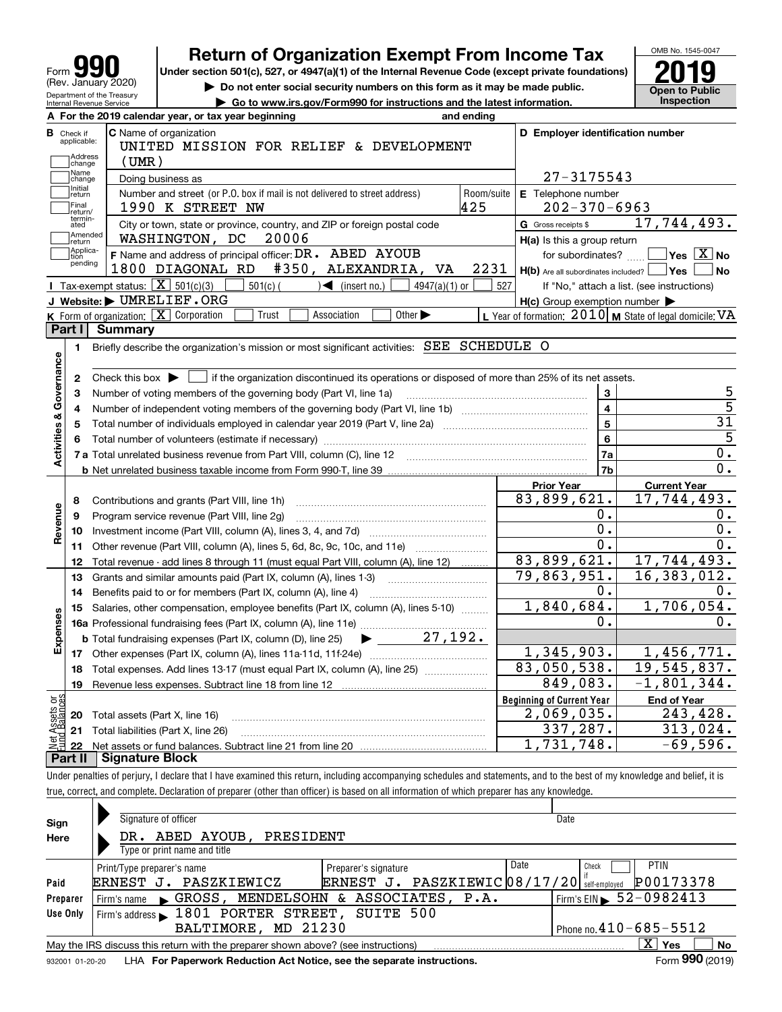|                                                   |                                                                                                                                             | <b>Return of Organization Exempt From Income Tax</b>                        |            |                                                           | OMB No. 1545-0047                                |  |  |
|---------------------------------------------------|---------------------------------------------------------------------------------------------------------------------------------------------|-----------------------------------------------------------------------------|------------|-----------------------------------------------------------|--------------------------------------------------|--|--|
| Form                                              | Under section 501(c), 527, or 4947(a)(1) of the Internal Revenue Code (except private foundations)                                          |                                                                             |            |                                                           |                                                  |  |  |
| (Rev. January 2020)<br>Department of the Treasury |                                                                                                                                             | Do not enter social security numbers on this form as it may be made public. |            |                                                           | <b>Open to Public</b>                            |  |  |
| Internal Revenue Service                          | A For the 2019 calendar year, or tax year beginning                                                                                         | Go to www.irs.gov/Form990 for instructions and the latest information.      | and ending |                                                           | Inspection                                       |  |  |
| <b>B</b> Check if                                 | C Name of organization                                                                                                                      |                                                                             |            | D Employer identification number                          |                                                  |  |  |
| applicable:                                       | UNITED MISSION FOR RELIEF & DEVELOPMENT                                                                                                     |                                                                             |            |                                                           |                                                  |  |  |
| Address<br>change                                 | (UMR)                                                                                                                                       |                                                                             |            |                                                           |                                                  |  |  |
| Name<br>change                                    | Doing business as                                                                                                                           |                                                                             |            | $27 - 3175543$                                            |                                                  |  |  |
| Initial<br>return                                 | Number and street (or P.O. box if mail is not delivered to street address)                                                                  |                                                                             | Room/suite | E Telephone number                                        |                                                  |  |  |
| Final<br>return/                                  | 1990 K STREET NW                                                                                                                            |                                                                             | 425        | $202 - 370 - 6963$                                        |                                                  |  |  |
| termin-<br>ated                                   | City or town, state or province, country, and ZIP or foreign postal code                                                                    |                                                                             |            | G Gross receipts \$                                       | 17,744,493.                                      |  |  |
| Amended<br> return                                | 20006<br>WASHINGTON, DC                                                                                                                     |                                                                             |            | H(a) Is this a group return                               |                                                  |  |  |
| Applica-<br>tion                                  | F Name and address of principal officer: DR. ABED AYOUB                                                                                     |                                                                             |            | for subordinates?                                         | $\sqrt{}$ Yes $\sqrt{}$ $\overline{\text{X}}$ No |  |  |
| pending                                           | 1800 DIAGONAL RD                                                                                                                            | #350, ALEXANDRIA, VA                                                        | 2231       | H(b) Are all subordinates included?                       | <b>Yes</b><br><b>No</b>                          |  |  |
|                                                   | Tax-exempt status: $\boxed{\mathbf{X}}$ 501(c)(3)<br>$501(c)$ (                                                                             | $\mathcal{A}$ (insert no.)<br>$4947(a)(1)$ or                               | 527        |                                                           | If "No," attach a list. (see instructions)       |  |  |
|                                                   | J Website: DUMRELIEF.ORG                                                                                                                    |                                                                             |            | $H(c)$ Group exemption number $\blacktriangleright$       |                                                  |  |  |
|                                                   | K Form of organization: X Corporation<br>Trust                                                                                              | Association<br>Other $\blacktriangleright$                                  |            | L Year of formation: $2010$ M State of legal domicile: VA |                                                  |  |  |
| Part I I                                          | <b>Summary</b>                                                                                                                              |                                                                             |            |                                                           |                                                  |  |  |
| 1.                                                | Briefly describe the organization's mission or most significant activities: SEE SCHEDULE O                                                  |                                                                             |            |                                                           |                                                  |  |  |
|                                                   |                                                                                                                                             |                                                                             |            |                                                           |                                                  |  |  |
| Governance<br>2                                   | Check this box $\blacktriangleright$ $\Box$ if the organization discontinued its operations or disposed of more than 25% of its net assets. |                                                                             |            |                                                           |                                                  |  |  |
| з                                                 | Number of voting members of the governing body (Part VI, line 1a)                                                                           |                                                                             |            | 3                                                         |                                                  |  |  |
| 4                                                 |                                                                                                                                             |                                                                             |            | $\overline{4}$                                            |                                                  |  |  |
| <b>Activities &amp;</b><br>5                      |                                                                                                                                             |                                                                             |            | 5                                                         | $\overline{31}$                                  |  |  |
| 6                                                 |                                                                                                                                             |                                                                             |            | 6                                                         |                                                  |  |  |
|                                                   | 7 a Total unrelated business revenue from Part VIII, column (C), line 12                                                                    |                                                                             |            | 7a                                                        | $0$ .                                            |  |  |
|                                                   |                                                                                                                                             |                                                                             |            | 7b                                                        | $\overline{0}$ .                                 |  |  |
|                                                   |                                                                                                                                             |                                                                             |            | <b>Prior Year</b>                                         | <b>Current Year</b>                              |  |  |
| 8                                                 | Contributions and grants (Part VIII, line 1h)                                                                                               |                                                                             |            | 83,899,621.                                               | 17,744,493.                                      |  |  |
| Revenue<br>9                                      | Program service revenue (Part VIII, line 2g)                                                                                                |                                                                             |            | 0.                                                        | 0.                                               |  |  |
| 10                                                |                                                                                                                                             |                                                                             |            | 0.                                                        | 0.                                               |  |  |
| 11                                                | Other revenue (Part VIII, column (A), lines 5, 6d, 8c, 9c, 10c, and 11e)                                                                    |                                                                             |            | 0.                                                        | 0.                                               |  |  |
| 12                                                | Total revenue - add lines 8 through 11 (must equal Part VIII, column (A), line 12)                                                          |                                                                             |            | 83,899,621.                                               | 17,744,493.                                      |  |  |
| 13                                                | Grants and similar amounts paid (Part IX, column (A), lines 1-3)                                                                            |                                                                             |            | 79,863,951.                                               | 16, 383, 012.                                    |  |  |
| 14                                                | Benefits paid to or for members (Part IX, column (A), line 4)                                                                               |                                                                             |            | 0.                                                        | 0.                                               |  |  |
| 15<br>w                                           | Salaries, other compensation, employee benefits (Part IX, column (A), lines 5-10)                                                           |                                                                             |            | 1,840,684.                                                | 1,706,054.                                       |  |  |
|                                                   |                                                                                                                                             |                                                                             |            | 0.                                                        | 0.                                               |  |  |
| Expense                                           | <b>b</b> Total fundraising expenses (Part IX, column (D), line 25)                                                                          | 27,192.                                                                     |            |                                                           |                                                  |  |  |
| 17                                                |                                                                                                                                             |                                                                             |            | 1,345,903.                                                | 1,456,771.                                       |  |  |
| 18                                                | Total expenses. Add lines 13-17 (must equal Part IX, column (A), line 25) [                                                                 |                                                                             |            | 83,050,538.                                               | 19,545,837.                                      |  |  |
| 19                                                |                                                                                                                                             |                                                                             |            | 849,083.                                                  | $-1,801,344.$                                    |  |  |
|                                                   |                                                                                                                                             |                                                                             |            | <b>Beginning of Current Year</b>                          | <b>End of Year</b>                               |  |  |
| Net Assets or<br>Fund Balances<br>20              | Total assets (Part X, line 16)                                                                                                              |                                                                             |            | 2,069,035.                                                | 243,428.                                         |  |  |
| 21                                                | Total liabilities (Part X, line 26)                                                                                                         |                                                                             |            | 337,287.                                                  | 313,024.                                         |  |  |
|                                                   |                                                                                                                                             |                                                                             |            | 1,731,748.                                                | $-69,596.$                                       |  |  |
| 22                                                |                                                                                                                                             |                                                                             |            |                                                           |                                                  |  |  |

| Sign<br>Here | Signature of officer<br>DR. ABED AYOUB, PRESIDENT                                                                                                                                                                                 |                                             | Date                                   |    |
|--------------|-----------------------------------------------------------------------------------------------------------------------------------------------------------------------------------------------------------------------------------|---------------------------------------------|----------------------------------------|----|
|              | Type or print name and title                                                                                                                                                                                                      |                                             |                                        |    |
|              | Print/Type preparer's name                                                                                                                                                                                                        | Preparer's signature                        | <b>PTIN</b><br>Date<br>Check           |    |
| Paid         | ERNEST J. PASZKIEWICZ                                                                                                                                                                                                             | ERNEST J. PASZKIEWIC 08/17/20 self-employed | P00173378                              |    |
| Preparer     | Firm's name GROSS, MENDELSOHN & ASSOCIATES, P.A.                                                                                                                                                                                  |                                             | Firm's EIN $\triangleright$ 52-0982413 |    |
| Use Only     | Firm's address 1801 PORTER STREET, SUITE 500                                                                                                                                                                                      |                                             |                                        |    |
|              | BALTIMORE, MD 21230                                                                                                                                                                                                               |                                             | Phone no. $410 - 685 - 5512$           |    |
|              | May the IRS discuss this return with the preparer shown above? (see instructions)                                                                                                                                                 |                                             | X l<br>Yes                             | No |
|              | $\mathbf{r}$ . The contract of the contract of the contract of the contract of the contract of the contract of the contract of the contract of the contract of the contract of the contract of the contract of the contract of th |                                             | $\sim$ 000 $\sim$                      |    |

true, correct, and complete. Declaration of preparer (other than officer) is based on all information of which preparer has any knowledge.

932001 01-20-20 **For Paperwork Reduction Act Notice, see the separate instructions.** LHA Form (2019)

**990**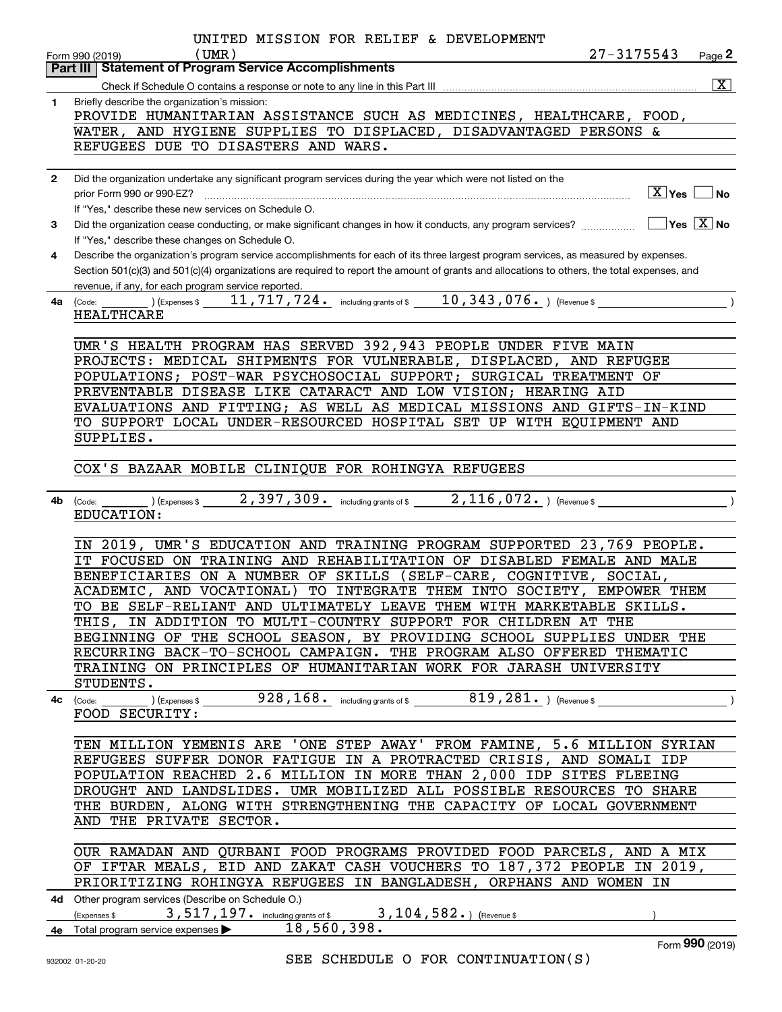|              | UNITED MISSION FOR RELIEF & DEVELOPMENT<br>$27 - 3175543$<br>$($ UMR $)$<br>Page 2<br>Form 990 (2019)<br><b>Part III Statement of Program Service Accomplishments</b>                                                                                                                                                                                                                                                                                                                                                                                                                                                                                                                         |
|--------------|-----------------------------------------------------------------------------------------------------------------------------------------------------------------------------------------------------------------------------------------------------------------------------------------------------------------------------------------------------------------------------------------------------------------------------------------------------------------------------------------------------------------------------------------------------------------------------------------------------------------------------------------------------------------------------------------------|
| 1            | $\vert$ X $\vert$<br>Briefly describe the organization's mission:<br>PROVIDE HUMANITARIAN ASSISTANCE SUCH AS MEDICINES, HEALTHCARE, FOOD,<br>WATER, AND HYGIENE SUPPLIES TO DISPLACED, DISADVANTAGED PERSONS &<br>REFUGEES DUE TO DISASTERS AND WARS.                                                                                                                                                                                                                                                                                                                                                                                                                                         |
| $\mathbf{2}$ | Did the organization undertake any significant program services during the year which were not listed on the<br>$\boxed{\text{X}}$ Yes<br>l No<br>prior Form 990 or 990-EZ?                                                                                                                                                                                                                                                                                                                                                                                                                                                                                                                   |
| 3            | If "Yes," describe these new services on Schedule O.<br>$\overline{\ }$ Yes $\overline{\phantom{X}}$ No<br>Did the organization cease conducting, or make significant changes in how it conducts, any program services?                                                                                                                                                                                                                                                                                                                                                                                                                                                                       |
| 4            | If "Yes," describe these changes on Schedule O.<br>Describe the organization's program service accomplishments for each of its three largest program services, as measured by expenses.                                                                                                                                                                                                                                                                                                                                                                                                                                                                                                       |
|              | Section 501(c)(3) and 501(c)(4) organizations are required to report the amount of grants and allocations to others, the total expenses, and<br>revenue, if any, for each program service reported.<br>11, 717, 724. including grants of \$10, 343, 076. ) (Revenue \$<br>(Expenses \$<br><b>4a</b> (Code:<br>HEALTHCARE                                                                                                                                                                                                                                                                                                                                                                      |
|              | UMR'S HEALTH PROGRAM HAS SERVED 392,943 PEOPLE UNDER FIVE MAIN<br>PROJECTS: MEDICAL SHIPMENTS FOR VULNERABLE, DISPLACED, AND REFUGEE<br>POPULATIONS; POST-WAR PSYCHOSOCIAL SUPPORT; SURGICAL TREATMENT OF<br>PREVENTABLE DISEASE LIKE CATARACT AND LOW VISION; HEARING AID<br>EVALUATIONS AND FITTING; AS WELL AS MEDICAL MISSIONS AND GIFTS-IN-KIND<br>TO SUPPORT LOCAL UNDER-RESOURCED HOSPITAL SET UP WITH EQUIPMENT AND<br>SUPPLIES.                                                                                                                                                                                                                                                      |
|              | COX'S BAZAAR MOBILE CLINIQUE FOR ROHINGYA REFUGEES                                                                                                                                                                                                                                                                                                                                                                                                                                                                                                                                                                                                                                            |
| 4b           | $2,116,072.$ ) (Revenue \$<br>2,397,309. including grants of \$<br>(Expenses \$<br>(Code:<br>EDUCATION:                                                                                                                                                                                                                                                                                                                                                                                                                                                                                                                                                                                       |
|              | IN 2019, UMR'S EDUCATION AND TRAINING PROGRAM SUPPORTED 23,769 PEOPLE.<br>FOCUSED ON TRAINING AND REHABILITATION OF DISABLED FEMALE AND MALE<br>IΤ<br>BENEFICIARIES ON A NUMBER OF SKILLS (SELF-CARE, COGNITIVE, SOCIAL,<br>ACADEMIC, AND VOCATIONAL)<br>TO INTEGRATE THEM INTO SOCIETY,<br><b>EMPOWER THEM</b><br>TO BE SELF-RELIANT AND ULTIMATELY LEAVE THEM WITH MARKETABLE SKILLS.<br>THIS, IN ADDITION TO MULTI-COUNTRY SUPPORT FOR CHILDREN AT THE<br>BEGINNING OF THE SCHOOL SEASON, BY PROVIDING SCHOOL SUPPLIES UNDER THE<br>RECURRING BACK-TO-SCHOOL CAMPAIGN. THE PROGRAM ALSO OFFERED THEMATIC<br>TRAINING ON PRINCIPLES OF HUMANITARIAN WORK FOR JARASH UNIVERSITY<br>STUDENTS. |
|              | 4c (Code: (Expenses \$928, 168. including grants of \$819, 281. ) (Revenue \$<br>FOOD SECURITY:                                                                                                                                                                                                                                                                                                                                                                                                                                                                                                                                                                                               |
|              | TEN MILLION YEMENIS ARE 'ONE STEP AWAY' FROM FAMINE, 5.6 MILLION SYRIAN<br>REFUGEES SUFFER DONOR FATIGUE IN A PROTRACTED CRISIS, AND SOMALI IDP<br>POPULATION REACHED 2.6 MILLION IN MORE THAN 2,000 IDP SITES FLEEING<br>DROUGHT AND LANDSLIDES. UMR MOBILIZED ALL POSSIBLE RESOURCES TO SHARE<br>THE BURDEN, ALONG WITH STRENGTHENING THE CAPACITY OF LOCAL GOVERNMENT<br>AND THE PRIVATE SECTOR.                                                                                                                                                                                                                                                                                           |
|              | OUR RAMADAN AND QURBANI FOOD PROGRAMS PROVIDED FOOD PARCELS, AND A MIX<br>OF IFTAR MEALS, EID AND ZAKAT CASH VOUCHERS TO 187,372 PEOPLE IN 2019,<br>PRIORITIZING ROHINGYA REFUGEES IN BANGLADESH, ORPHANS AND WOMEN IN                                                                                                                                                                                                                                                                                                                                                                                                                                                                        |
|              | 4d Other program services (Describe on Schedule O.)<br>(Expenses \$ 3,517,197. including grants of \$ 3,104,582.) (Revenue \$<br>$\overline{\phantom{a}}$                                                                                                                                                                                                                                                                                                                                                                                                                                                                                                                                     |
|              | 4e Total program service expenses 18, 560, 398.                                                                                                                                                                                                                                                                                                                                                                                                                                                                                                                                                                                                                                               |

Form (2019) **990**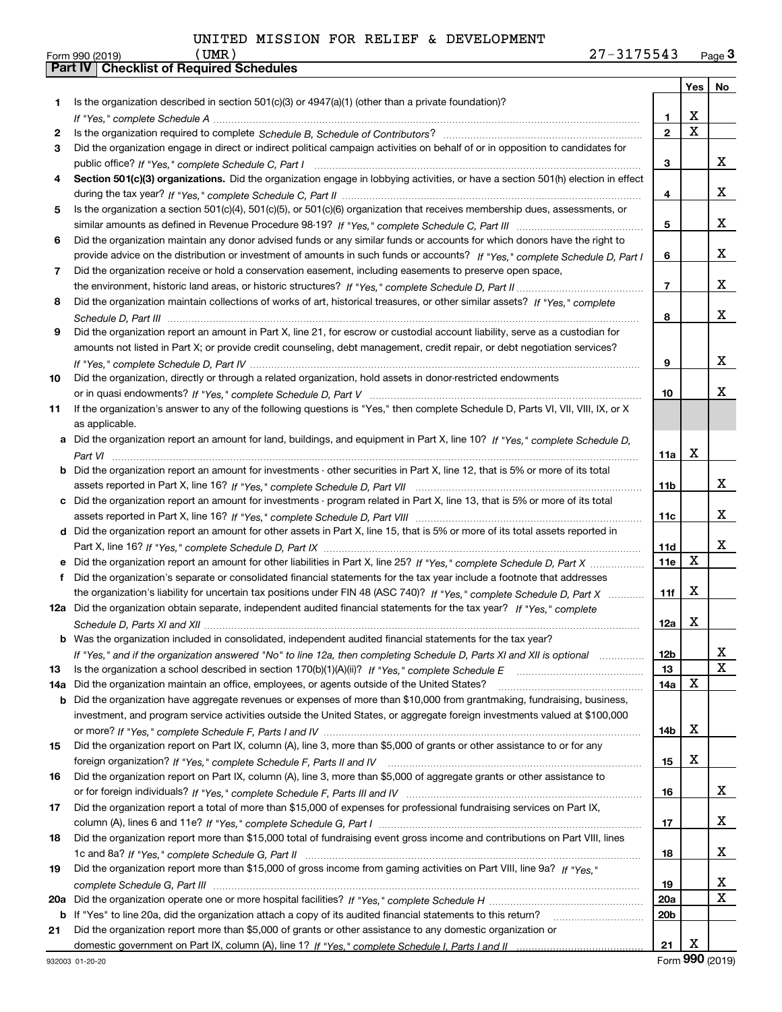|     |                                                                                                                                       |                 | Yes                     | No          |
|-----|---------------------------------------------------------------------------------------------------------------------------------------|-----------------|-------------------------|-------------|
| 1.  | Is the organization described in section $501(c)(3)$ or $4947(a)(1)$ (other than a private foundation)?                               |                 |                         |             |
|     |                                                                                                                                       | 1.              | х                       |             |
| 2   |                                                                                                                                       | $\overline{2}$  | $\overline{\mathbf{x}}$ |             |
| 3   | Did the organization engage in direct or indirect political campaign activities on behalf of or in opposition to candidates for       |                 |                         |             |
|     |                                                                                                                                       | 3               |                         | x           |
| 4   | Section 501(c)(3) organizations. Did the organization engage in lobbying activities, or have a section 501(h) election in effect      |                 |                         |             |
|     |                                                                                                                                       | 4               |                         | x           |
| 5   | Is the organization a section 501(c)(4), 501(c)(5), or 501(c)(6) organization that receives membership dues, assessments, or          |                 |                         |             |
|     |                                                                                                                                       | 5               |                         | x           |
| 6   | Did the organization maintain any donor advised funds or any similar funds or accounts for which donors have the right to             |                 |                         |             |
|     | provide advice on the distribution or investment of amounts in such funds or accounts? If "Yes," complete Schedule D, Part I          | 6               |                         | x           |
| 7   | Did the organization receive or hold a conservation easement, including easements to preserve open space,                             |                 |                         |             |
|     |                                                                                                                                       | $\overline{7}$  |                         | x           |
| 8   | Did the organization maintain collections of works of art, historical treasures, or other similar assets? If "Yes," complete          |                 |                         |             |
|     |                                                                                                                                       | 8               |                         | x           |
| 9   | Did the organization report an amount in Part X, line 21, for escrow or custodial account liability, serve as a custodian for         |                 |                         |             |
|     | amounts not listed in Part X; or provide credit counseling, debt management, credit repair, or debt negotiation services?             |                 |                         |             |
|     |                                                                                                                                       | 9               |                         | x           |
| 10  | Did the organization, directly or through a related organization, hold assets in donor-restricted endowments                          |                 |                         |             |
|     |                                                                                                                                       | 10              |                         | x           |
| 11  | If the organization's answer to any of the following questions is "Yes," then complete Schedule D, Parts VI, VII, VIII, IX, or X      |                 |                         |             |
|     | as applicable.                                                                                                                        |                 |                         |             |
|     | a Did the organization report an amount for land, buildings, and equipment in Part X, line 10? If "Yes," complete Schedule D,         |                 | Х                       |             |
|     |                                                                                                                                       | 11a             |                         |             |
|     | <b>b</b> Did the organization report an amount for investments - other securities in Part X, line 12, that is 5% or more of its total |                 |                         | x           |
|     |                                                                                                                                       | 11 <sub>b</sub> |                         |             |
| c   | Did the organization report an amount for investments - program related in Part X, line 13, that is 5% or more of its total           |                 |                         | X.          |
|     |                                                                                                                                       | 11c             |                         |             |
|     | d Did the organization report an amount for other assets in Part X, line 15, that is 5% or more of its total assets reported in       | 11d             |                         | X.          |
|     | Did the organization report an amount for other liabilities in Part X, line 25? If "Yes," complete Schedule D, Part X                 | 11e             | X                       |             |
| f   | Did the organization's separate or consolidated financial statements for the tax year include a footnote that addresses               |                 |                         |             |
|     | the organization's liability for uncertain tax positions under FIN 48 (ASC 740)? If "Yes," complete Schedule D, Part X                | 11f             | Х                       |             |
|     | 12a Did the organization obtain separate, independent audited financial statements for the tax year? If "Yes," complete               |                 |                         |             |
|     |                                                                                                                                       | 12a             | Х                       |             |
|     | <b>b</b> Was the organization included in consolidated, independent audited financial statements for the tax year?                    |                 |                         |             |
|     | If "Yes," and if the organization answered "No" to line 12a, then completing Schedule D, Parts XI and XII is optional                 | 12b             |                         | A           |
| 13  |                                                                                                                                       | 13              |                         | $\mathbf X$ |
| 14a | Did the organization maintain an office, employees, or agents outside of the United States?                                           | 14a             | x                       |             |
| b   | Did the organization have aggregate revenues or expenses of more than \$10,000 from grantmaking, fundraising, business,               |                 |                         |             |
|     | investment, and program service activities outside the United States, or aggregate foreign investments valued at \$100,000            |                 |                         |             |
|     |                                                                                                                                       | 14b             | x                       |             |
| 15  | Did the organization report on Part IX, column (A), line 3, more than \$5,000 of grants or other assistance to or for any             |                 |                         |             |
|     |                                                                                                                                       | 15              | х                       |             |
| 16  | Did the organization report on Part IX, column (A), line 3, more than \$5,000 of aggregate grants or other assistance to              |                 |                         |             |
|     |                                                                                                                                       | 16              |                         | x           |
| 17  | Did the organization report a total of more than \$15,000 of expenses for professional fundraising services on Part IX,               |                 |                         |             |
|     |                                                                                                                                       | 17              |                         | x           |
| 18  | Did the organization report more than \$15,000 total of fundraising event gross income and contributions on Part VIII, lines          |                 |                         |             |
|     |                                                                                                                                       | 18              |                         | x           |
| 19  | Did the organization report more than \$15,000 of gross income from gaming activities on Part VIII, line 9a? If "Yes."                |                 |                         |             |
|     |                                                                                                                                       | 19              |                         | X           |
| 20a |                                                                                                                                       | 20a             |                         | $\mathbf X$ |
| b   | If "Yes" to line 20a, did the organization attach a copy of its audited financial statements to this return?                          | 20 <sub>b</sub> |                         |             |
| 21  | Did the organization report more than \$5,000 of grants or other assistance to any domestic organization or                           |                 |                         |             |
|     |                                                                                                                                       | 21              | x                       |             |

Form (2019) **990**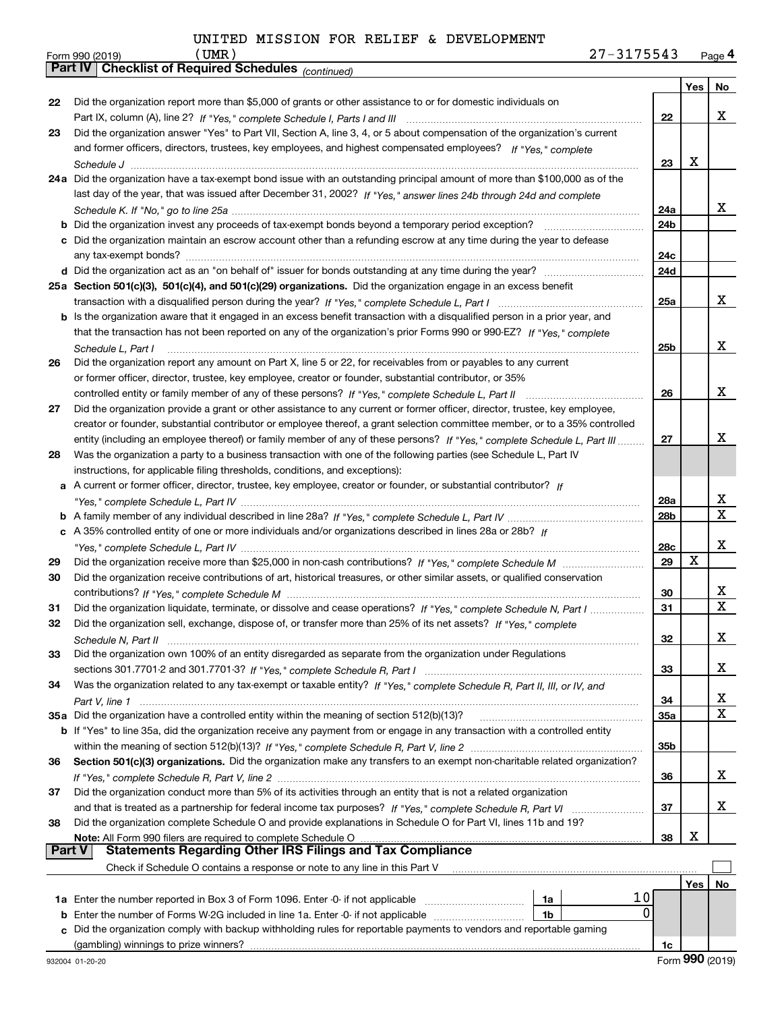|               | 27-3175543<br>(UMR )<br>Form 990 (2019)                                                                                                                                                                                                               |     |     | Page 4      |
|---------------|-------------------------------------------------------------------------------------------------------------------------------------------------------------------------------------------------------------------------------------------------------|-----|-----|-------------|
|               | Part IV   Checklist of Required Schedules (continued)                                                                                                                                                                                                 |     |     |             |
|               |                                                                                                                                                                                                                                                       |     | Yes | No          |
| 22            | Did the organization report more than \$5,000 of grants or other assistance to or for domestic individuals on                                                                                                                                         |     |     |             |
|               |                                                                                                                                                                                                                                                       | 22  |     | х           |
| 23            | Did the organization answer "Yes" to Part VII, Section A, line 3, 4, or 5 about compensation of the organization's current                                                                                                                            |     |     |             |
|               | and former officers, directors, trustees, key employees, and highest compensated employees? If "Yes," complete                                                                                                                                        |     |     |             |
|               |                                                                                                                                                                                                                                                       | 23  | х   |             |
|               | 24a Did the organization have a tax-exempt bond issue with an outstanding principal amount of more than \$100,000 as of the                                                                                                                           |     |     |             |
|               | last day of the year, that was issued after December 31, 2002? If "Yes," answer lines 24b through 24d and complete                                                                                                                                    |     |     |             |
|               |                                                                                                                                                                                                                                                       | 24a |     | x           |
|               |                                                                                                                                                                                                                                                       | 24b |     |             |
|               | c Did the organization maintain an escrow account other than a refunding escrow at any time during the year to defease                                                                                                                                |     |     |             |
|               |                                                                                                                                                                                                                                                       | 24c |     |             |
|               |                                                                                                                                                                                                                                                       | 24d |     |             |
|               | 25a Section 501(c)(3), 501(c)(4), and 501(c)(29) organizations. Did the organization engage in an excess benefit                                                                                                                                      |     |     |             |
|               |                                                                                                                                                                                                                                                       | 25a |     | x           |
|               |                                                                                                                                                                                                                                                       |     |     |             |
|               | b Is the organization aware that it engaged in an excess benefit transaction with a disqualified person in a prior year, and<br>that the transaction has not been reported on any of the organization's prior Forms 990 or 990-EZ? If "Yes," complete |     |     |             |
|               |                                                                                                                                                                                                                                                       |     |     | x           |
|               | Schedule L. Part I                                                                                                                                                                                                                                    | 25b |     |             |
| 26            | Did the organization report any amount on Part X, line 5 or 22, for receivables from or payables to any current                                                                                                                                       |     |     |             |
|               | or former officer, director, trustee, key employee, creator or founder, substantial contributor, or 35%                                                                                                                                               |     |     |             |
|               | controlled entity or family member of any of these persons? If "Yes," complete Schedule L, Part II                                                                                                                                                    | 26  |     | x           |
| 27            | Did the organization provide a grant or other assistance to any current or former officer, director, trustee, key employee,                                                                                                                           |     |     |             |
|               | creator or founder, substantial contributor or employee thereof, a grant selection committee member, or to a 35% controlled                                                                                                                           |     |     |             |
|               | entity (including an employee thereof) or family member of any of these persons? If "Yes," complete Schedule L, Part III                                                                                                                              | 27  |     | х           |
| 28            | Was the organization a party to a business transaction with one of the following parties (see Schedule L, Part IV                                                                                                                                     |     |     |             |
|               | instructions, for applicable filing thresholds, conditions, and exceptions):                                                                                                                                                                          |     |     |             |
|               | a A current or former officer, director, trustee, key employee, creator or founder, or substantial contributor? If                                                                                                                                    |     |     |             |
|               |                                                                                                                                                                                                                                                       | 28a |     | х           |
|               |                                                                                                                                                                                                                                                       | 28b |     | X           |
|               | c A 35% controlled entity of one or more individuals and/or organizations described in lines 28a or 28b? If                                                                                                                                           |     |     |             |
|               |                                                                                                                                                                                                                                                       | 28c |     | х           |
| 29            |                                                                                                                                                                                                                                                       | 29  | X   |             |
| 30            | Did the organization receive contributions of art, historical treasures, or other similar assets, or qualified conservation                                                                                                                           |     |     |             |
|               |                                                                                                                                                                                                                                                       | 30  |     | x           |
| 31            | Did the organization liquidate, terminate, or dissolve and cease operations? If "Yes," complete Schedule N, Part I                                                                                                                                    | 31  |     | X           |
|               | Did the organization sell, exchange, dispose of, or transfer more than 25% of its net assets? If "Yes," complete                                                                                                                                      |     |     |             |
|               |                                                                                                                                                                                                                                                       | 32  |     | x           |
| 33            | Did the organization own 100% of an entity disregarded as separate from the organization under Regulations                                                                                                                                            |     |     |             |
|               |                                                                                                                                                                                                                                                       | 33  |     | х           |
| 34            | Was the organization related to any tax-exempt or taxable entity? If "Yes," complete Schedule R, Part II, III, or IV, and                                                                                                                             |     |     |             |
|               |                                                                                                                                                                                                                                                       | 34  |     | X           |
|               | 35a Did the organization have a controlled entity within the meaning of section 512(b)(13)?                                                                                                                                                           | 35a |     | $\mathbf X$ |
|               | b If "Yes" to line 35a, did the organization receive any payment from or engage in any transaction with a controlled entity                                                                                                                           |     |     |             |
|               |                                                                                                                                                                                                                                                       | 35b |     |             |
| 36            | Section 501(c)(3) organizations. Did the organization make any transfers to an exempt non-charitable related organization?                                                                                                                            |     |     |             |
|               |                                                                                                                                                                                                                                                       | 36  |     | х           |
| 37            | Did the organization conduct more than 5% of its activities through an entity that is not a related organization                                                                                                                                      |     |     |             |
|               |                                                                                                                                                                                                                                                       | 37  |     | х           |
| 38            | Did the organization complete Schedule O and provide explanations in Schedule O for Part VI, lines 11b and 19?                                                                                                                                        |     |     |             |
|               | Note: All Form 990 filers are required to complete Schedule O                                                                                                                                                                                         | 38  | х   |             |
| <b>Part V</b> | <b>Statements Regarding Other IRS Filings and Tax Compliance</b>                                                                                                                                                                                      |     |     |             |
|               | Check if Schedule O contains a response or note to any line in this Part V                                                                                                                                                                            |     |     |             |
|               |                                                                                                                                                                                                                                                       |     | Yes | No          |
|               | 10<br>1a                                                                                                                                                                                                                                              |     |     |             |
|               | $\mathbf 0$<br><b>b</b> Enter the number of Forms W-2G included in line 1a. Enter -0- if not applicable<br>1b                                                                                                                                         |     |     |             |
|               | c Did the organization comply with backup withholding rules for reportable payments to vendors and reportable gaming                                                                                                                                  |     |     |             |
|               |                                                                                                                                                                                                                                                       | 1c  |     |             |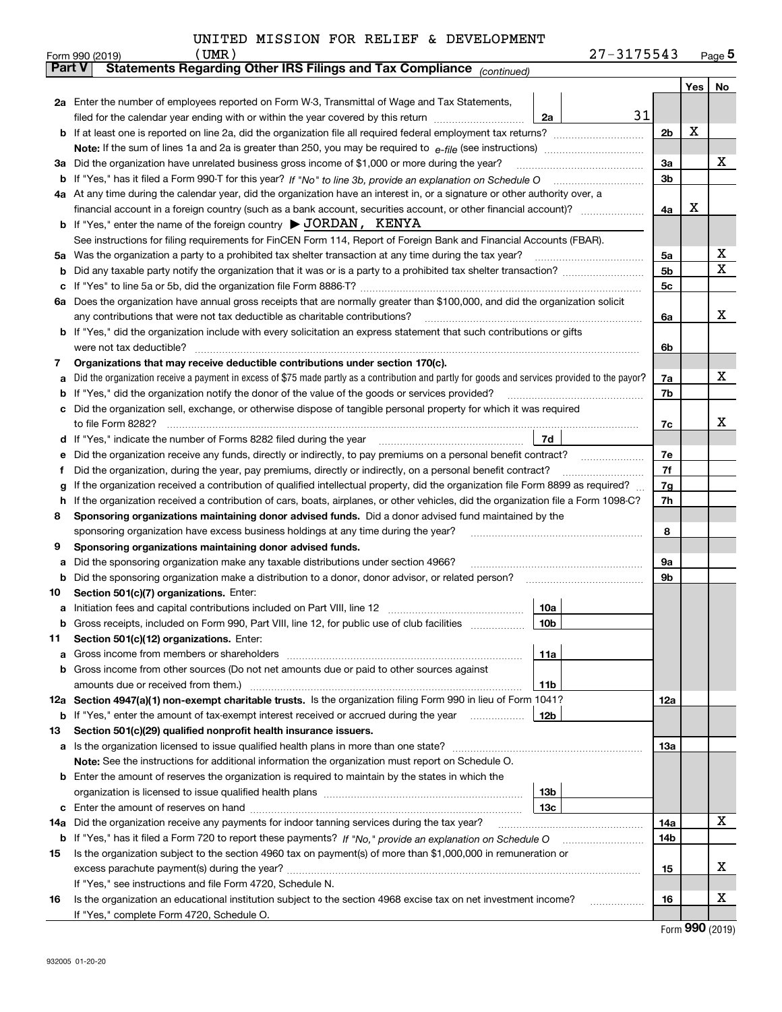|  | UNITED MISSION FOR RELIEF & DEVELOPMENT |  |  |  |  |  |
|--|-----------------------------------------|--|--|--|--|--|
|--|-----------------------------------------|--|--|--|--|--|

|               | 27-3175543<br>(UMR)<br>Form 990 (2019)                                                                                                          |                |     | Page $5$ |
|---------------|-------------------------------------------------------------------------------------------------------------------------------------------------|----------------|-----|----------|
| <b>Part V</b> | Statements Regarding Other IRS Filings and Tax Compliance (continued)                                                                           |                |     |          |
|               |                                                                                                                                                 |                | Yes | No       |
|               | 2a Enter the number of employees reported on Form W-3, Transmittal of Wage and Tax Statements,                                                  |                |     |          |
|               | 31<br>filed for the calendar year ending with or within the year covered by this return<br>2a                                                   |                |     |          |
| b             |                                                                                                                                                 | 2 <sub>b</sub> | х   |          |
|               |                                                                                                                                                 |                |     |          |
| За            | Did the organization have unrelated business gross income of \$1,000 or more during the year?                                                   | 3a             |     | х        |
| b             |                                                                                                                                                 | 3 <sub>b</sub> |     |          |
|               | 4a At any time during the calendar year, did the organization have an interest in, or a signature or other authority over, a                    |                |     |          |
|               | financial account in a foreign country (such as a bank account, securities account, or other financial account)?                                | 4a             | х   |          |
|               | <b>b</b> If "Yes," enter the name of the foreign country $\triangleright$ JORDAN, KENYA                                                         |                |     |          |
|               | See instructions for filing requirements for FinCEN Form 114, Report of Foreign Bank and Financial Accounts (FBAR).                             |                |     |          |
| 5a            | Was the organization a party to a prohibited tax shelter transaction at any time during the tax year?                                           | 5a             |     | х        |
| b             |                                                                                                                                                 | 5 <sub>b</sub> |     | X        |
| с             |                                                                                                                                                 | 5c             |     |          |
|               | 6a Does the organization have annual gross receipts that are normally greater than \$100,000, and did the organization solicit                  |                |     |          |
|               | any contributions that were not tax deductible as charitable contributions?                                                                     | 6a             |     | x        |
| b             | If "Yes," did the organization include with every solicitation an express statement that such contributions or gifts                            |                |     |          |
|               | were not tax deductible?                                                                                                                        | 6b             |     |          |
| 7             | Organizations that may receive deductible contributions under section 170(c).                                                                   |                |     |          |
| а             | Did the organization receive a payment in excess of \$75 made partly as a contribution and partly for goods and services provided to the payor? | 7a             |     | x        |
| b             | If "Yes," did the organization notify the donor of the value of the goods or services provided?                                                 | 7b             |     |          |
| c             | Did the organization sell, exchange, or otherwise dispose of tangible personal property for which it was required                               |                |     | x        |
|               | 7d                                                                                                                                              | 7c             |     |          |
| d             | Did the organization receive any funds, directly or indirectly, to pay premiums on a personal benefit contract?                                 | 7e             |     |          |
| е<br>f        | Did the organization, during the year, pay premiums, directly or indirectly, on a personal benefit contract?                                    | 7f             |     |          |
| g             | If the organization received a contribution of qualified intellectual property, did the organization file Form 8899 as required?                | 7g             |     |          |
| h             | If the organization received a contribution of cars, boats, airplanes, or other vehicles, did the organization file a Form 1098-C?              | 7h             |     |          |
| 8             | Sponsoring organizations maintaining donor advised funds. Did a donor advised fund maintained by the                                            |                |     |          |
|               | sponsoring organization have excess business holdings at any time during the year?                                                              | 8              |     |          |
| 9             | Sponsoring organizations maintaining donor advised funds.                                                                                       |                |     |          |
| а             | Did the sponsoring organization make any taxable distributions under section 4966?                                                              | 9а             |     |          |
| b             | Did the sponsoring organization make a distribution to a donor, donor advisor, or related person?                                               | 9b             |     |          |
| 10            | Section 501(c)(7) organizations. Enter:                                                                                                         |                |     |          |
| а             | 10a                                                                                                                                             |                |     |          |
|               | 10b <br>Gross receipts, included on Form 990, Part VIII, line 12, for public use of club facilities                                             |                |     |          |
| 11            | Section 501(c)(12) organizations. Enter:                                                                                                        |                |     |          |
| a             | Gross income from members or shareholders<br>11a                                                                                                |                |     |          |
| b             | Gross income from other sources (Do not net amounts due or paid to other sources against                                                        |                |     |          |
|               | 11 <sub>b</sub><br>amounts due or received from them.)                                                                                          |                |     |          |
|               | 12a Section 4947(a)(1) non-exempt charitable trusts. Is the organization filing Form 990 in lieu of Form 1041?                                  | <b>12a</b>     |     |          |
|               | <b>b</b> If "Yes," enter the amount of tax-exempt interest received or accrued during the year<br>12b                                           |                |     |          |
| 13            | Section 501(c)(29) qualified nonprofit health insurance issuers.                                                                                |                |     |          |
| a             | Is the organization licensed to issue qualified health plans in more than one state?                                                            | 13a            |     |          |
|               | Note: See the instructions for additional information the organization must report on Schedule O.                                               |                |     |          |
| b             | Enter the amount of reserves the organization is required to maintain by the states in which the                                                |                |     |          |
|               | 13 <sub>b</sub>                                                                                                                                 |                |     |          |
| c             | 13 <sub>c</sub>                                                                                                                                 |                |     |          |
| 14a           | Did the organization receive any payments for indoor tanning services during the tax year?                                                      | 14a            |     | X        |
|               | <b>b</b> If "Yes," has it filed a Form 720 to report these payments? If "No," provide an explanation on Schedule O                              | 14b            |     |          |
| 15            | Is the organization subject to the section 4960 tax on payment(s) of more than \$1,000,000 in remuneration or                                   |                |     |          |
|               |                                                                                                                                                 | 15             |     | х        |
|               | If "Yes," see instructions and file Form 4720, Schedule N.                                                                                      |                |     | х        |
| 16            | Is the organization an educational institution subject to the section 4968 excise tax on net investment income?                                 | 16             |     |          |
|               | If "Yes," complete Form 4720, Schedule O.                                                                                                       |                |     |          |

Form (2019) **990**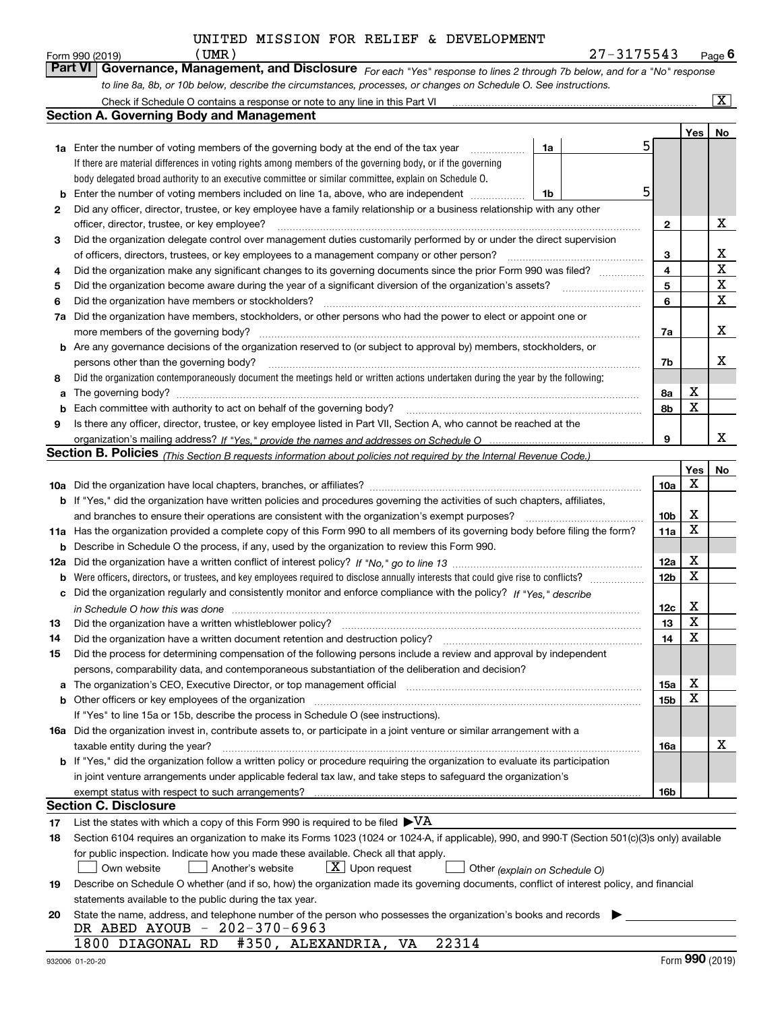$\frac{\text{(UMR)}}{\text{Mansament and Disclosure}}$  , while the set of the Alternative and  $\frac{27-3175543}{\text{Manslement}}$ 

| Form 990 (2019) | UMR)                                                                                                             | 27-3175543<br>$P$ <sub>age</sub> 6                                                                                          |
|-----------------|------------------------------------------------------------------------------------------------------------------|-----------------------------------------------------------------------------------------------------------------------------|
|                 |                                                                                                                  | Part VI Governance, Management, and Disclosure For each "Yes" response to lines 2 through 7b below, and for a "No" response |
|                 | to line 8a, 8b, or 10b below, describe the circumstances, processes, or changes on Schedule O. See instructions. |                                                                                                                             |

|     | Check if Schedule O contains a response or note to any line in this Part VI                                                                                           |                               |                 |     | $\overline{\mathbf{x}}$ |
|-----|-----------------------------------------------------------------------------------------------------------------------------------------------------------------------|-------------------------------|-----------------|-----|-------------------------|
|     | <b>Section A. Governing Body and Management</b>                                                                                                                       |                               |                 |     |                         |
|     |                                                                                                                                                                       |                               |                 | Yes | No                      |
|     | <b>1a</b> Enter the number of voting members of the governing body at the end of the tax year<br>.                                                                    | 1a                            | 5               |     |                         |
|     | If there are material differences in voting rights among members of the governing body, or if the governing                                                           |                               |                 |     |                         |
|     | body delegated broad authority to an executive committee or similar committee, explain on Schedule O.                                                                 |                               |                 |     |                         |
| b   | Enter the number of voting members included on line 1a, above, who are independent                                                                                    | 1b                            | 5               |     |                         |
| 2   | Did any officer, director, trustee, or key employee have a family relationship or a business relationship with any other                                              |                               |                 |     |                         |
|     | officer, director, trustee, or key employee?                                                                                                                          |                               | $\mathbf{2}$    |     | X                       |
| 3   | Did the organization delegate control over management duties customarily performed by or under the direct supervision                                                 |                               |                 |     |                         |
|     | of officers, directors, trustees, or key employees to a management company or other person?                                                                           |                               | 3               |     | x                       |
| 4   | Did the organization make any significant changes to its governing documents since the prior Form 990 was filed?                                                      |                               | 4               |     | $\mathbf X$             |
| 5   | Did the organization become aware during the year of a significant diversion of the organization's assets?                                                            |                               | 5               |     | X                       |
| 6   | Did the organization have members or stockholders?                                                                                                                    |                               | 6               |     | X                       |
| 7a  | Did the organization have members, stockholders, or other persons who had the power to elect or appoint one or                                                        |                               |                 |     |                         |
|     | more members of the governing body?                                                                                                                                   |                               | 7a              |     | x                       |
|     | <b>b</b> Are any governance decisions of the organization reserved to (or subject to approval by) members, stockholders, or                                           |                               |                 |     |                         |
|     | persons other than the governing body?                                                                                                                                |                               | 7b              |     | x                       |
| 8   | Did the organization contemporaneously document the meetings held or written actions undertaken during the year by the following:                                     |                               |                 |     |                         |
| a   |                                                                                                                                                                       |                               | 8a              | X   |                         |
| b   | Each committee with authority to act on behalf of the governing body?                                                                                                 |                               | 8b              | X   |                         |
| 9   | Is there any officer, director, trustee, or key employee listed in Part VII, Section A, who cannot be reached at the                                                  |                               |                 |     |                         |
|     |                                                                                                                                                                       |                               | 9               |     | x                       |
|     | Section B. Policies <sub>(This Section B requests information about policies not required by the Internal Revenue Code.)</sub>                                        |                               |                 |     |                         |
|     |                                                                                                                                                                       |                               |                 | Yes | No                      |
|     |                                                                                                                                                                       |                               | 10a             | X   |                         |
|     | <b>b</b> If "Yes," did the organization have written policies and procedures governing the activities of such chapters, affiliates,                                   |                               |                 |     |                         |
|     | and branches to ensure their operations are consistent with the organization's exempt purposes?                                                                       |                               | 10 <sub>b</sub> | X   |                         |
|     | 11a Has the organization provided a complete copy of this Form 990 to all members of its governing body before filing the form?                                       |                               | 11a             | X   |                         |
| b   | Describe in Schedule O the process, if any, used by the organization to review this Form 990.                                                                         |                               |                 |     |                         |
| 12a |                                                                                                                                                                       |                               | 12a             | X   |                         |
| b   | Were officers, directors, or trustees, and key employees required to disclose annually interests that could give rise to conflicts?                                   |                               | 12 <sub>b</sub> | X   |                         |
| с   | Did the organization regularly and consistently monitor and enforce compliance with the policy? If "Yes," describe                                                    |                               |                 |     |                         |
|     | in Schedule O how this was done with the control of the state of the control of the state of the state of the s                                                       |                               | 12c             | X   |                         |
| 13  | Did the organization have a written whistleblower policy?                                                                                                             |                               | 13              | X   |                         |
| 14  | Did the organization have a written document retention and destruction policy?                                                                                        |                               | 14              | X   |                         |
| 15  | Did the process for determining compensation of the following persons include a review and approval by independent                                                    |                               |                 |     |                         |
|     | persons, comparability data, and contemporaneous substantiation of the deliberation and decision?                                                                     |                               |                 |     |                         |
| a   | The organization's CEO, Executive Director, or top management official manufactured content of the organization's CEO, Executive Director, or top management official |                               | 15a             | Χ   |                         |
|     | <b>b</b> Other officers or key employees of the organization                                                                                                          |                               | 15 <sub>b</sub> | X   |                         |
|     | If "Yes" to line 15a or 15b, describe the process in Schedule O (see instructions).                                                                                   |                               |                 |     |                         |
|     | 16a Did the organization invest in, contribute assets to, or participate in a joint venture or similar arrangement with a                                             |                               |                 |     |                         |
|     | taxable entity during the year?                                                                                                                                       |                               | 16a             |     | х                       |
|     | b If "Yes," did the organization follow a written policy or procedure requiring the organization to evaluate its participation                                        |                               |                 |     |                         |
|     | in joint venture arrangements under applicable federal tax law, and take steps to safeguard the organization's                                                        |                               |                 |     |                         |
|     | exempt status with respect to such arrangements?                                                                                                                      |                               | 16b             |     |                         |
|     | <b>Section C. Disclosure</b>                                                                                                                                          |                               |                 |     |                         |
| 17  | List the states with which a copy of this Form 990 is required to be filed $\blacktriangleright\text{VA}$                                                             |                               |                 |     |                         |
| 18  | Section 6104 requires an organization to make its Forms 1023 (1024 or 1024-A, if applicable), 990, and 990-T (Section 501(c)(3)s only) available                      |                               |                 |     |                         |
|     | for public inspection. Indicate how you made these available. Check all that apply.                                                                                   |                               |                 |     |                         |
|     | $X$ Upon request<br>Own website<br>Another's website                                                                                                                  | Other (explain on Schedule O) |                 |     |                         |
| 19  | Describe on Schedule O whether (and if so, how) the organization made its governing documents, conflict of interest policy, and financial                             |                               |                 |     |                         |
|     | statements available to the public during the tax year.                                                                                                               |                               |                 |     |                         |
| 20  | State the name, address, and telephone number of the person who possesses the organization's books and records                                                        |                               |                 |     |                         |
|     | DR ABED AYOUB - 202-370-6963                                                                                                                                          |                               |                 |     |                         |
|     | 22314<br>#350, ALEXANDRIA, VA<br>1800 DIAGONAL RD                                                                                                                     |                               |                 |     |                         |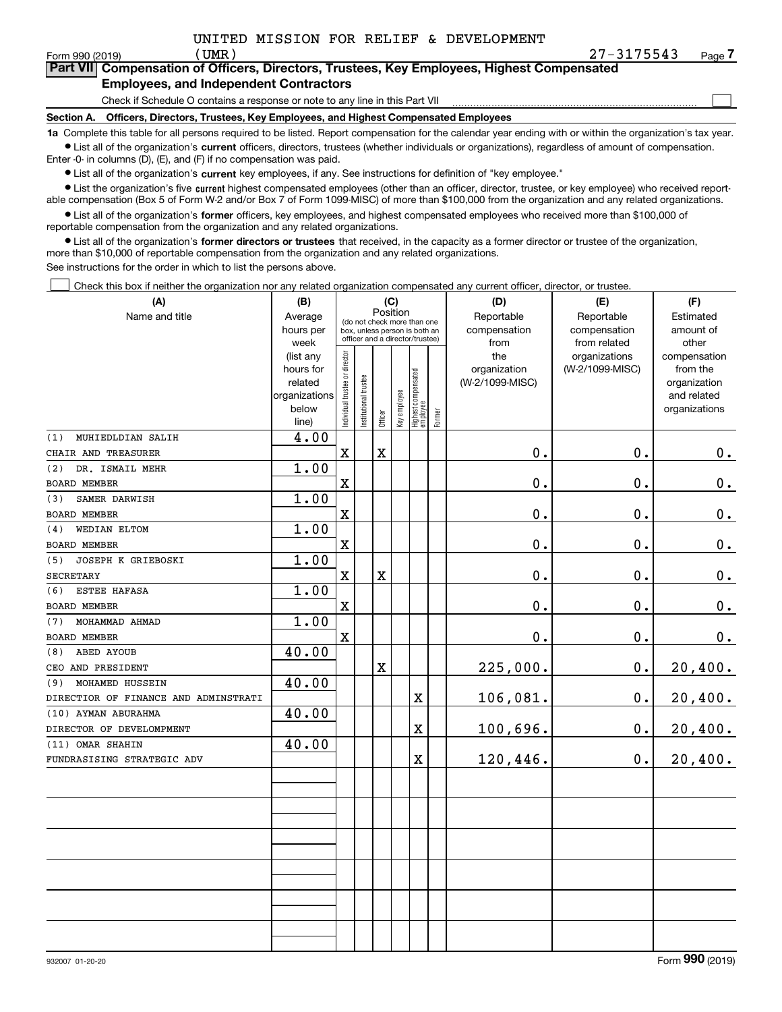$\mathcal{L}^{\text{max}}$ 

### **7Part VII Compensation of Officers, Directors, Trustees, Key Employees, Highest Compensated Employees, and Independent Contractors**

Check if Schedule O contains a response or note to any line in this Part VII

**Section A. Officers, Directors, Trustees, Key Employees, and Highest Compensated Employees**

**1a**  Complete this table for all persons required to be listed. Report compensation for the calendar year ending with or within the organization's tax year. **•** List all of the organization's current officers, directors, trustees (whether individuals or organizations), regardless of amount of compensation.

Enter -0- in columns (D), (E), and (F) if no compensation was paid.

 $\bullet$  List all of the organization's  $\,$ current key employees, if any. See instructions for definition of "key employee."

**•** List the organization's five current highest compensated employees (other than an officer, director, trustee, or key employee) who received reportable compensation (Box 5 of Form W-2 and/or Box 7 of Form 1099-MISC) of more than \$100,000 from the organization and any related organizations.

**•** List all of the organization's former officers, key employees, and highest compensated employees who received more than \$100,000 of reportable compensation from the organization and any related organizations.

**former directors or trustees**  ¥ List all of the organization's that received, in the capacity as a former director or trustee of the organization, more than \$10,000 of reportable compensation from the organization and any related organizations.

See instructions for the order in which to list the persons above.

Check this box if neither the organization nor any related organization compensated any current officer, director, or trustee.  $\mathcal{L}^{\text{max}}$ 

| (A)                                  | (B)               |                               |                                                                          |                         | (C)          |                                   |        | (D)                  | (E)                          | (F)                |
|--------------------------------------|-------------------|-------------------------------|--------------------------------------------------------------------------|-------------------------|--------------|-----------------------------------|--------|----------------------|------------------------------|--------------------|
| Name and title                       | Average           |                               | Position<br>(do not check more than one<br>box, unless person is both an |                         |              |                                   |        | Reportable           | Reportable                   | Estimated          |
|                                      | hours per<br>week |                               |                                                                          |                         |              | officer and a director/trustee)   |        | compensation<br>from | compensation<br>from related | amount of<br>other |
|                                      | (list any         |                               |                                                                          |                         |              |                                   |        | the                  | organizations                | compensation       |
|                                      | hours for         |                               |                                                                          |                         |              |                                   |        | organization         | (W-2/1099-MISC)              | from the           |
|                                      | related           |                               |                                                                          |                         |              |                                   |        | (W-2/1099-MISC)      |                              | organization       |
|                                      | organizations     |                               |                                                                          |                         |              |                                   |        |                      |                              | and related        |
|                                      | below<br>line)    | ndividual trustee or director | nstitutional trustee                                                     | Officer                 | Key employee | Highest compensated<br>  employee | Former |                      |                              | organizations      |
| MUHIEDLDIAN SALIH<br>(1)             | 4.00              |                               |                                                                          |                         |              |                                   |        |                      |                              |                    |
| CHAIR AND TREASURER                  |                   | $\mathbf x$                   |                                                                          | X                       |              |                                   |        | 0.                   | 0.                           | $0_{\bullet}$      |
| (2)<br>DR. ISMAIL MEHR               | 1.00              |                               |                                                                          |                         |              |                                   |        |                      |                              |                    |
| BOARD MEMBER                         |                   | X                             |                                                                          |                         |              |                                   |        | 0.                   | 0.                           | $\mathbf 0$ .      |
| SAMER DARWISH<br>(3)                 | 1.00              |                               |                                                                          |                         |              |                                   |        |                      |                              |                    |
| <b>BOARD MEMBER</b>                  |                   | $\mathbf X$                   |                                                                          |                         |              |                                   |        | 0.                   | $\mathbf 0$ .                | 0.                 |
| WEDIAN ELTOM<br>(4)                  | 1.00              |                               |                                                                          |                         |              |                                   |        |                      |                              |                    |
| BOARD MEMBER                         |                   | $\overline{\mathbf{X}}$       |                                                                          |                         |              |                                   |        | 0.                   | $\mathbf 0$ .                | $0_{\cdot}$        |
| JOSEPH K GRIEBOSKI<br>(5)            | 1.00              |                               |                                                                          |                         |              |                                   |        |                      |                              |                    |
| <b>SECRETARY</b>                     |                   | $\mathbf X$                   |                                                                          | $\mathbf X$             |              |                                   |        | 0.                   | $\mathbf 0$ .                | 0.                 |
| (6)<br><b>ESTEE HAFASA</b>           | 1.00              |                               |                                                                          |                         |              |                                   |        |                      |                              |                    |
| <b>BOARD MEMBER</b>                  |                   | $\mathbf X$                   |                                                                          |                         |              |                                   |        | 0.                   | $\mathbf 0$ .                | $\mathbf 0$ .      |
| MOHAMMAD AHMAD<br>(7)                | 1.00              |                               |                                                                          |                         |              |                                   |        |                      |                              |                    |
| BOARD MEMBER                         |                   | $\mathbf X$                   |                                                                          |                         |              |                                   |        | 0.                   | $\mathbf 0$ .                | $\mathbf 0$ .      |
| <b>ABED AYOUB</b><br>(8)             | 40.00             |                               |                                                                          |                         |              |                                   |        |                      |                              |                    |
| CEO AND PRESIDENT                    |                   |                               |                                                                          | $\overline{\textbf{X}}$ |              |                                   |        | 225,000.             | 0.                           | 20,400.            |
| MOHAMED HUSSEIN<br>(9)               | 40.00             |                               |                                                                          |                         |              |                                   |        |                      |                              |                    |
| DIRECTIOR OF FINANCE AND ADMINSTRATI |                   |                               |                                                                          |                         |              | $\mathbf X$                       |        | 106,081.             | 0.                           | 20,400.            |
| (10) AYMAN ABURAHMA                  | 40.00             |                               |                                                                          |                         |              |                                   |        |                      |                              |                    |
| DIRECTOR OF DEVELOMPMENT             |                   |                               |                                                                          |                         |              | $\overline{\textbf{X}}$           |        | 100,696.             | 0.                           | 20,400.            |
| (11) OMAR SHAHIN                     | 40.00             |                               |                                                                          |                         |              |                                   |        |                      |                              |                    |
| FUNDRASISING STRATEGIC ADV           |                   |                               |                                                                          |                         |              | $\mathbf X$                       |        | 120,446.             | 0.                           | 20,400.            |
|                                      |                   |                               |                                                                          |                         |              |                                   |        |                      |                              |                    |
|                                      |                   |                               |                                                                          |                         |              |                                   |        |                      |                              |                    |
|                                      |                   |                               |                                                                          |                         |              |                                   |        |                      |                              |                    |
|                                      |                   |                               |                                                                          |                         |              |                                   |        |                      |                              |                    |
|                                      |                   |                               |                                                                          |                         |              |                                   |        |                      |                              |                    |
|                                      |                   |                               |                                                                          |                         |              |                                   |        |                      |                              |                    |
|                                      |                   |                               |                                                                          |                         |              |                                   |        |                      |                              |                    |
|                                      |                   |                               |                                                                          |                         |              |                                   |        |                      |                              |                    |
|                                      |                   |                               |                                                                          |                         |              |                                   |        |                      |                              |                    |
|                                      |                   |                               |                                                                          |                         |              |                                   |        |                      |                              |                    |
|                                      |                   |                               |                                                                          |                         |              |                                   |        |                      |                              |                    |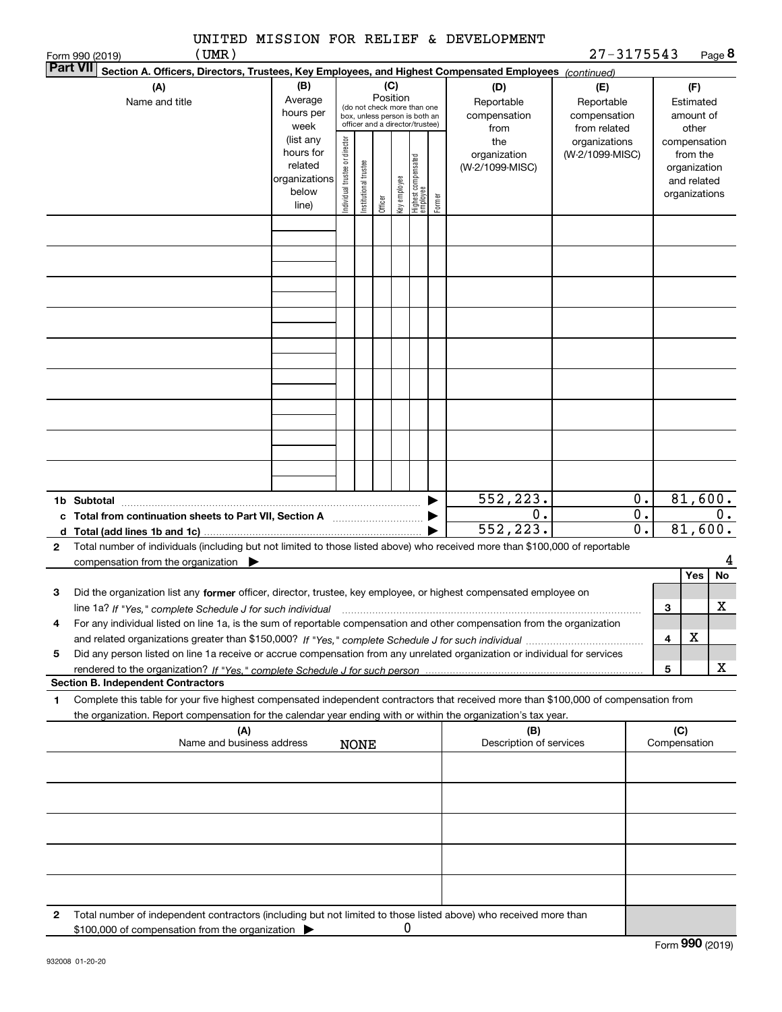|                                                                                                                                                                                                                                                                                       | (UMR )                           |                                                                      |                                |                       |          |              |                                                                                                 |        | UNITED MISSION FOR RELIEF & DEVELOPMENT                                                                | $27 - 3175543$                                    |                                                 |                     |                                                                          | Page 8        |
|---------------------------------------------------------------------------------------------------------------------------------------------------------------------------------------------------------------------------------------------------------------------------------------|----------------------------------|----------------------------------------------------------------------|--------------------------------|-----------------------|----------|--------------|-------------------------------------------------------------------------------------------------|--------|--------------------------------------------------------------------------------------------------------|---------------------------------------------------|-------------------------------------------------|---------------------|--------------------------------------------------------------------------|---------------|
| Form 990 (2019)<br><b>Part VII</b>                                                                                                                                                                                                                                                    |                                  |                                                                      |                                |                       |          |              |                                                                                                 |        | Section A. Officers, Directors, Trustees, Key Employees, and Highest Compensated Employees (continued) |                                                   |                                                 |                     |                                                                          |               |
| (A)<br>Name and title                                                                                                                                                                                                                                                                 |                                  | (B)<br>Average<br>hours per<br>week                                  |                                |                       | Position | (C)          | (do not check more than one<br>box, unless person is both an<br>officer and a director/trustee) |        | (D)<br>Reportable<br>compensation<br>from                                                              | (E)<br>Reportable<br>compensation<br>from related |                                                 |                     | (F)<br>Estimated<br>amount of<br>other                                   |               |
|                                                                                                                                                                                                                                                                                       |                                  | (list any<br>hours for<br>related<br>organizations<br>below<br>line) | Individual trustee or director | Institutional trustee | Officer  | Key employee | Highest compensated<br>employee                                                                 | Former | the<br>organization<br>(W-2/1099-MISC)                                                                 | organizations<br>(W-2/1099-MISC)                  |                                                 |                     | compensation<br>from the<br>organization<br>and related<br>organizations |               |
|                                                                                                                                                                                                                                                                                       |                                  |                                                                      |                                |                       |          |              |                                                                                                 |        |                                                                                                        |                                                   |                                                 |                     |                                                                          |               |
|                                                                                                                                                                                                                                                                                       |                                  |                                                                      |                                |                       |          |              |                                                                                                 |        |                                                                                                        |                                                   |                                                 |                     |                                                                          |               |
|                                                                                                                                                                                                                                                                                       |                                  |                                                                      |                                |                       |          |              |                                                                                                 |        |                                                                                                        |                                                   |                                                 |                     |                                                                          |               |
|                                                                                                                                                                                                                                                                                       |                                  |                                                                      |                                |                       |          |              |                                                                                                 |        |                                                                                                        |                                                   |                                                 |                     |                                                                          |               |
|                                                                                                                                                                                                                                                                                       |                                  |                                                                      |                                |                       |          |              |                                                                                                 |        |                                                                                                        |                                                   |                                                 |                     |                                                                          |               |
|                                                                                                                                                                                                                                                                                       |                                  |                                                                      |                                |                       |          |              |                                                                                                 |        |                                                                                                        |                                                   |                                                 |                     |                                                                          |               |
| 1b Subtotal                                                                                                                                                                                                                                                                           |                                  |                                                                      |                                |                       |          |              |                                                                                                 |        | 552,223.                                                                                               |                                                   | 0.                                              |                     |                                                                          | 81,600.       |
| c Total from continuation sheets to Part VII, Section A [111] [12] Total from continuation sheets to Part VII, Section A<br>d $Total (add lines 1b and 1c)$                                                                                                                           |                                  |                                                                      |                                |                       |          |              |                                                                                                 |        | $\mathbf 0$ .<br>552, 223.                                                                             |                                                   | $\overline{0}$ .<br>$\overline{\mathfrak{o}}$ . |                     |                                                                          | 0.<br>81,600. |
| Total number of individuals (including but not limited to those listed above) who received more than \$100,000 of reportable<br>2<br>compensation from the organization                                                                                                               |                                  |                                                                      |                                |                       |          |              |                                                                                                 |        |                                                                                                        |                                                   |                                                 |                     |                                                                          | 4             |
| Did the organization list any former officer, director, trustee, key employee, or highest compensated employee on<br>3                                                                                                                                                                |                                  |                                                                      |                                |                       |          |              |                                                                                                 |        |                                                                                                        |                                                   |                                                 |                     | Yes                                                                      | <b>No</b>     |
| line 1a? If "Yes," complete Schedule J for such individual manufactured contained and the line 1a? If "Yes," complete Schedule J for such individual<br>For any individual listed on line 1a, is the sum of reportable compensation and other compensation from the organization<br>4 |                                  |                                                                      |                                |                       |          |              |                                                                                                 |        |                                                                                                        |                                                   |                                                 | з                   |                                                                          | $\mathbf X$   |
| Did any person listed on line 1a receive or accrue compensation from any unrelated organization or individual for services<br>5                                                                                                                                                       |                                  |                                                                      |                                |                       |          |              |                                                                                                 |        |                                                                                                        |                                                   |                                                 | 4<br>5              | х                                                                        | x             |
| <b>Section B. Independent Contractors</b>                                                                                                                                                                                                                                             |                                  |                                                                      |                                |                       |          |              |                                                                                                 |        |                                                                                                        |                                                   |                                                 |                     |                                                                          |               |
| Complete this table for your five highest compensated independent contractors that received more than \$100,000 of compensation from<br>1<br>the organization. Report compensation for the calendar year ending with or within the organization's tax year.                           |                                  |                                                                      |                                |                       |          |              |                                                                                                 |        |                                                                                                        |                                                   |                                                 |                     |                                                                          |               |
|                                                                                                                                                                                                                                                                                       | (A)<br>Name and business address |                                                                      |                                | <b>NONE</b>           |          |              |                                                                                                 |        | (B)<br>Description of services                                                                         |                                                   |                                                 | (C)<br>Compensation |                                                                          |               |
|                                                                                                                                                                                                                                                                                       |                                  |                                                                      |                                |                       |          |              |                                                                                                 |        |                                                                                                        |                                                   |                                                 |                     |                                                                          |               |
|                                                                                                                                                                                                                                                                                       |                                  |                                                                      |                                |                       |          |              |                                                                                                 |        |                                                                                                        |                                                   |                                                 |                     |                                                                          |               |
|                                                                                                                                                                                                                                                                                       |                                  |                                                                      |                                |                       |          |              |                                                                                                 |        |                                                                                                        |                                                   |                                                 |                     |                                                                          |               |
|                                                                                                                                                                                                                                                                                       |                                  |                                                                      |                                |                       |          |              |                                                                                                 |        |                                                                                                        |                                                   |                                                 |                     |                                                                          |               |
| 2<br>Total number of independent contractors (including but not limited to those listed above) who received more than<br>\$100,000 of compensation from the organization                                                                                                              |                                  |                                                                      |                                |                       |          | 0            |                                                                                                 |        |                                                                                                        |                                                   |                                                 |                     |                                                                          |               |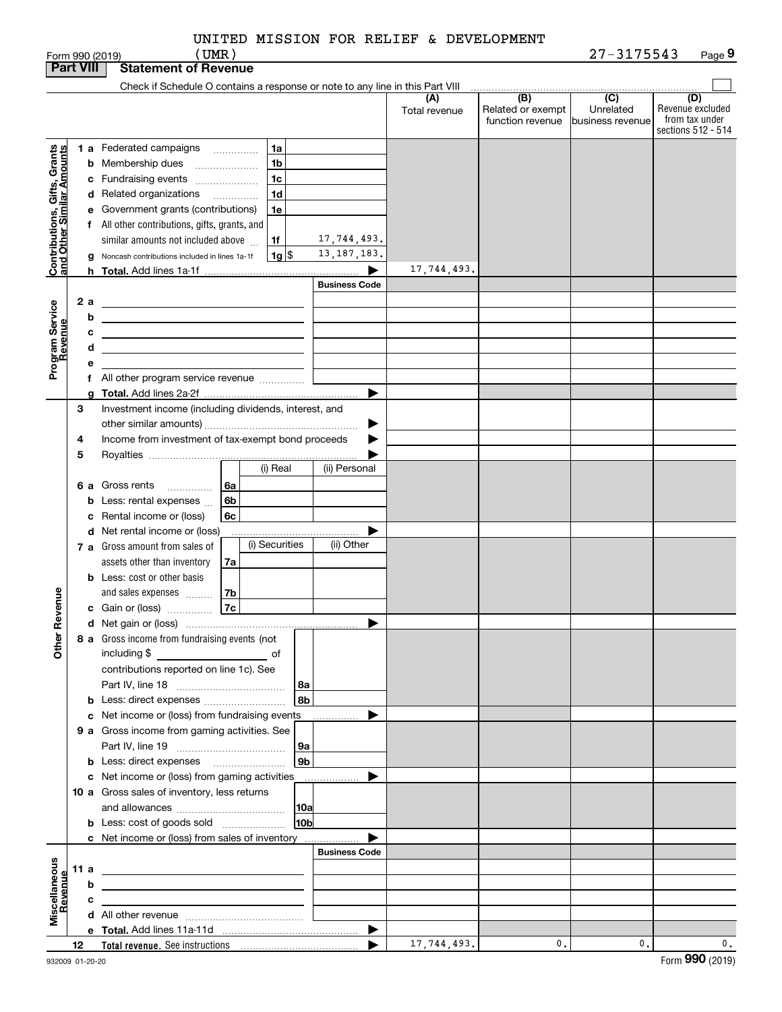| UNITED MISSION FOR RELIEF & DEVELOPMENT |  |  |  |  |
|-----------------------------------------|--|--|--|--|
|-----------------------------------------|--|--|--|--|

(UMR)

| <b>Part VIII</b>                                          |        |             | <b>Statement of Revenue</b>                                                                                                                                                                                                                                                                                                                                                                                                                                                                                                                                                   |                                                           |                      |                                              |                                                 |                                                                 |
|-----------------------------------------------------------|--------|-------------|-------------------------------------------------------------------------------------------------------------------------------------------------------------------------------------------------------------------------------------------------------------------------------------------------------------------------------------------------------------------------------------------------------------------------------------------------------------------------------------------------------------------------------------------------------------------------------|-----------------------------------------------------------|----------------------|----------------------------------------------|-------------------------------------------------|-----------------------------------------------------------------|
|                                                           |        |             | Check if Schedule O contains a response or note to any line in this Part VIII                                                                                                                                                                                                                                                                                                                                                                                                                                                                                                 |                                                           |                      |                                              |                                                 |                                                                 |
|                                                           |        |             |                                                                                                                                                                                                                                                                                                                                                                                                                                                                                                                                                                               |                                                           | (A)<br>Total revenue | (B)<br>Related or exempt<br>function revenue | $\overline{C}$<br>Unrelated<br>business revenue | (D)<br>Revenue excluded<br>from tax under<br>sections 512 - 514 |
| Contributions, Gifts, Grants<br>and Other Similar Amounts |        | 2a<br>b     | 1 a Federated campaigns<br>1a<br>.<br><b>b</b> Membership dues<br>1b<br>$\ldots \ldots \ldots \ldots \ldots$<br>c Fundraising events<br>1c<br>1 <sub>d</sub><br>d Related organizations<br>$\overline{\phantom{a}}$<br>e Government grants (contributions)<br>1e<br>f All other contributions, gifts, grants, and<br>similar amounts not included above<br>1f<br>Noncash contributions included in lines 1a-1f<br>$1g$ $\frac{1}{3}$<br><u> 1980 - Johann Barn, amerikansk politiker (</u><br>the contract of the contract of the contract of the contract of the contract of | 17,744,493.<br>13, 187, 183.<br>▶<br><b>Business Code</b> | 17,744,493.          |                                              |                                                 |                                                                 |
| Program Service<br>Revenue                                |        | с<br>d<br>е | <u> 1999 - Johann Stein, marwolaethau a bhann an t-Amhainn an t-Amhainn an t-Amhainn an t-Amhainn an t-Amhainn a</u><br><u> 1989 - Johann Stein, mars an deutscher Stein und der Stein und der Stein und der Stein und der Stein und der</u><br>f All other program service revenue                                                                                                                                                                                                                                                                                           |                                                           |                      |                                              |                                                 |                                                                 |
|                                                           | 3<br>4 |             | Investment income (including dividends, interest, and<br>Income from investment of tax-exempt bond proceeds                                                                                                                                                                                                                                                                                                                                                                                                                                                                   | ▶<br>▶                                                    |                      |                                              |                                                 |                                                                 |
|                                                           | 5      | 6а<br>b     | (i) Real<br>Gross rents<br>6a<br>.<br>6b<br>Less: rental expenses<br>6c<br>c Rental income or (loss)                                                                                                                                                                                                                                                                                                                                                                                                                                                                          | (ii) Personal                                             |                      |                                              |                                                 |                                                                 |
|                                                           |        |             | d Net rental income or (loss)<br>(i) Securities<br>7 a Gross amount from sales of<br>assets other than inventory<br>7a<br><b>b</b> Less: cost or other basis<br>and sales expenses<br>7b                                                                                                                                                                                                                                                                                                                                                                                      | (ii) Other                                                |                      |                                              |                                                 |                                                                 |
| Revenue                                                   |        |             | 7c<br>c Gain or (loss)                                                                                                                                                                                                                                                                                                                                                                                                                                                                                                                                                        | ▶                                                         |                      |                                              |                                                 |                                                                 |
| 늦<br>Othe                                                 |        |             | 8 a Gross income from fundraising events (not<br>including \$<br>and the contract of the contract of<br>contributions reported on line 1c). See<br>  8a<br>8b<br><b>b</b> Less: direct expenses                                                                                                                                                                                                                                                                                                                                                                               |                                                           |                      |                                              |                                                 |                                                                 |
|                                                           |        |             | c Net income or (loss) from fundraising events                                                                                                                                                                                                                                                                                                                                                                                                                                                                                                                                | ▶<br>.                                                    |                      |                                              |                                                 |                                                                 |
|                                                           |        |             | 9 a Gross income from gaming activities. See<br>  9a<br>9 <sub>b</sub>                                                                                                                                                                                                                                                                                                                                                                                                                                                                                                        |                                                           |                      |                                              |                                                 |                                                                 |
|                                                           |        |             | c Net income or (loss) from gaming activities<br>10 a Gross sales of inventory, less returns<br> 10a<br>10 <sub>b</sub><br><b>b</b> Less: cost of goods sold                                                                                                                                                                                                                                                                                                                                                                                                                  | ▶<br>.                                                    |                      |                                              |                                                 |                                                                 |
|                                                           |        |             | c Net income or (loss) from sales of inventory                                                                                                                                                                                                                                                                                                                                                                                                                                                                                                                                | ▶                                                         |                      |                                              |                                                 |                                                                 |
|                                                           |        |             |                                                                                                                                                                                                                                                                                                                                                                                                                                                                                                                                                                               | <b>Business Code</b>                                      |                      |                                              |                                                 |                                                                 |
| Miscellaneous<br>Revenue                                  | 11 a   |             | <u> 1989 - Johann Barbara, martin amerikan basar dan berasal dan berasal dalam basar dalam basar dalam basar dala</u>                                                                                                                                                                                                                                                                                                                                                                                                                                                         |                                                           |                      |                                              |                                                 |                                                                 |
|                                                           |        | b           |                                                                                                                                                                                                                                                                                                                                                                                                                                                                                                                                                                               |                                                           |                      |                                              |                                                 |                                                                 |
|                                                           |        | с           | <u> 1989 - Johann Barbara, martxa alemaniar a</u>                                                                                                                                                                                                                                                                                                                                                                                                                                                                                                                             |                                                           |                      |                                              |                                                 |                                                                 |
|                                                           |        |             |                                                                                                                                                                                                                                                                                                                                                                                                                                                                                                                                                                               |                                                           |                      |                                              |                                                 |                                                                 |
|                                                           |        |             |                                                                                                                                                                                                                                                                                                                                                                                                                                                                                                                                                                               |                                                           | 17,744,493.          | 0.                                           | $\mathbf{0}$ .                                  | 0.                                                              |
|                                                           | 12     |             |                                                                                                                                                                                                                                                                                                                                                                                                                                                                                                                                                                               |                                                           |                      |                                              |                                                 |                                                                 |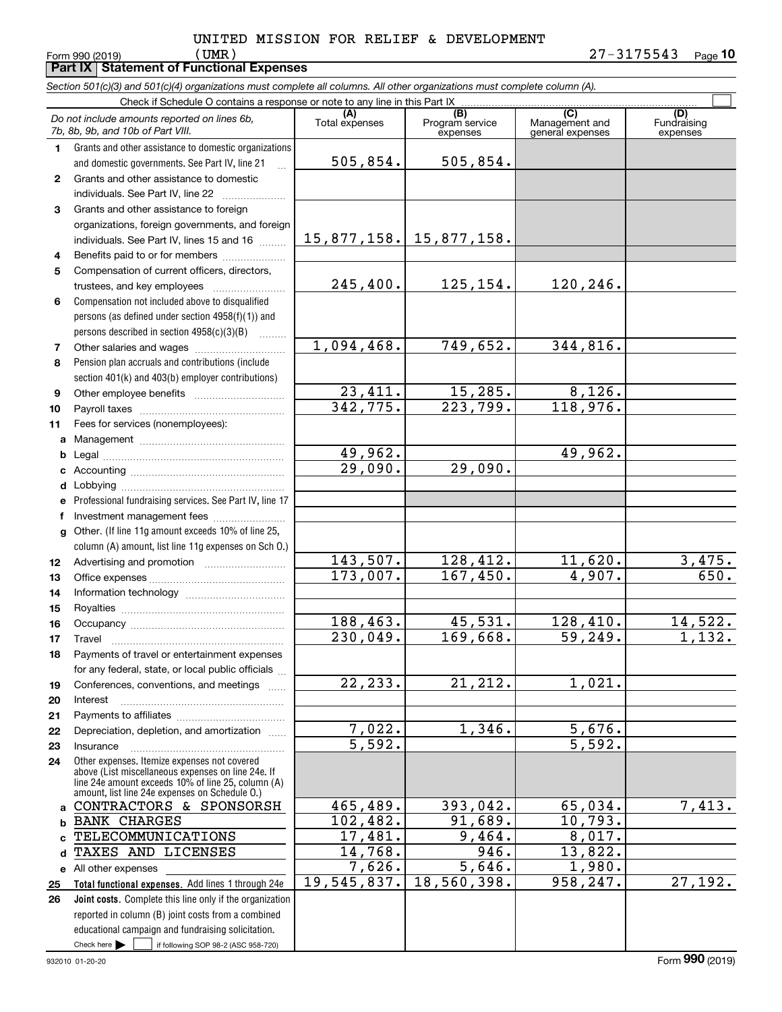**Part IX Statement of Functional Expenses**

**(A)**<br>Total expenses **(C)** (C) (C)<br>
penses Program service Management and Fundrai<br>
expenses general expenses expen **123** Grants and other assistance to foreign **4567891011abcdefg12131415161718192021222324a** CONTRACTORS & SPONSORSH **bc**TELECOMMUNICATIONS **d**TAXES AND LICENSES *Section 501(c)(3) and 501(c)(4) organizations must complete all columns. All other organizations must complete column (A).* Grants and other assistance to domestic organizations and domestic governments. See Part IV, line 21 Compensation not included above to disqualified persons (as defined under section 4958(f)(1)) and persons described in section 4958(c)(3)(B)  $\quad \ldots \ldots \ldots$ Pension plan accruals and contributions (include section 401(k) and 403(b) employer contributions) Professional fundraising services. See Part IV, line 17 Other. (If line 11g amount exceeds 10% of line 25, column (A) amount, list line 11g expenses on Sch O.) Other expenses. Itemize expenses not covered above (List miscellaneous expenses on line 24e. If line 24e amount exceeds 10% of line 25, column (A) amount, list line 24e expenses on Schedule O.) Check if Schedule O contains a response or note to any line in this Part IX (C) (C) (C) (C) (C) (C) Program service expensesFundraising expensesGrants and other assistance to domestic  $individuals. See Part IV, line 22  $388$$ organizations, foreign governments, and foreign individuals. See Part IV, lines 15 and 16  $\ldots$ Benefits paid to or for members ..................... Compensation of current officers, directors, trustees, and key employees ~~~~~~~~ Other salaries and wages ~~~~~~~~~~ Other employee benefits ~~~~~~~~~~ Payroll taxes ~~~~~~~~~~~~~~~~ Fees for services (nonemployees): Management ~~~~~~~~~~~~~~~~ Legal ~~~~~~~~~~~~~~~~~~~~Accounting ~~~~~~~~~~~~~~~~~ Lobbying ~~~~~~~~~~~~~~~~~~ lnvestment management fees ....................... Advertising and promotion www.communication Office expenses ~~~~~~~~~~~~~~~Information technology ~~~~~~~~~~~ Royalties ~~~~~~~~~~~~~~~~~~ Occupancy ~~~~~~~~~~~~~~~~~ Travel ……………………………………………… Payments of travel or entertainment expenses for any federal, state, or local public officials ... Conferences, conventions, and meetings InterestPayments to affiliates ~~~~~~~~~~~~ Depreciation, depletion, and amortization  $\,\,\ldots\,\,$ Insurance~~~~~~~~~~~~~~~~~*Do not include amounts reported on lines 6b, 7b, 8b, 9b, and 10b of Part VIII.*  $\mathcal{L}^{\text{max}}$ 505,854. 15,877,158. 245,400. 1,094,468. 23,411. 342,775. 49,962. 29,090. 143,507. 173,007. 188,463. 230,049. 22,233. 7,022. 5,592. 465,489. 102,482. 17,481. 14,768. 505,854. 15,877,158. 125,154. 120,246. 749,652. 344,816. 15,285. 8,126. 223,799. 118,976. 49,962. 29,090.  $128, 412.$  11,620. 3,475.  $167,450.$  4,907. 650. 45,531. 128,410. 14,522. 169,668. 59,249. 1,132. 21,212. 1,021. 1,346. 5,676. 5,592. 393,042. 65,034. 7,413. 91,689. 10,793. 9,464. 8,017. 946. 13,822. BANK CHARGES

7,626.

 $5,646.$  1,980.

18,560,398. 958,247. 27,192.

19,545,837.

Check here  $\bullet$  if following SOP 98-2 (ASC 958-720) **Total functional expenses.**  Add lines 1 through 24e **Joint costs.** Complete this line only if the organization **e** All other expenses **2526**reported in column (B) joint costs from a combined educational campaign and fundraising solicitation. Check here  $\blacktriangleright$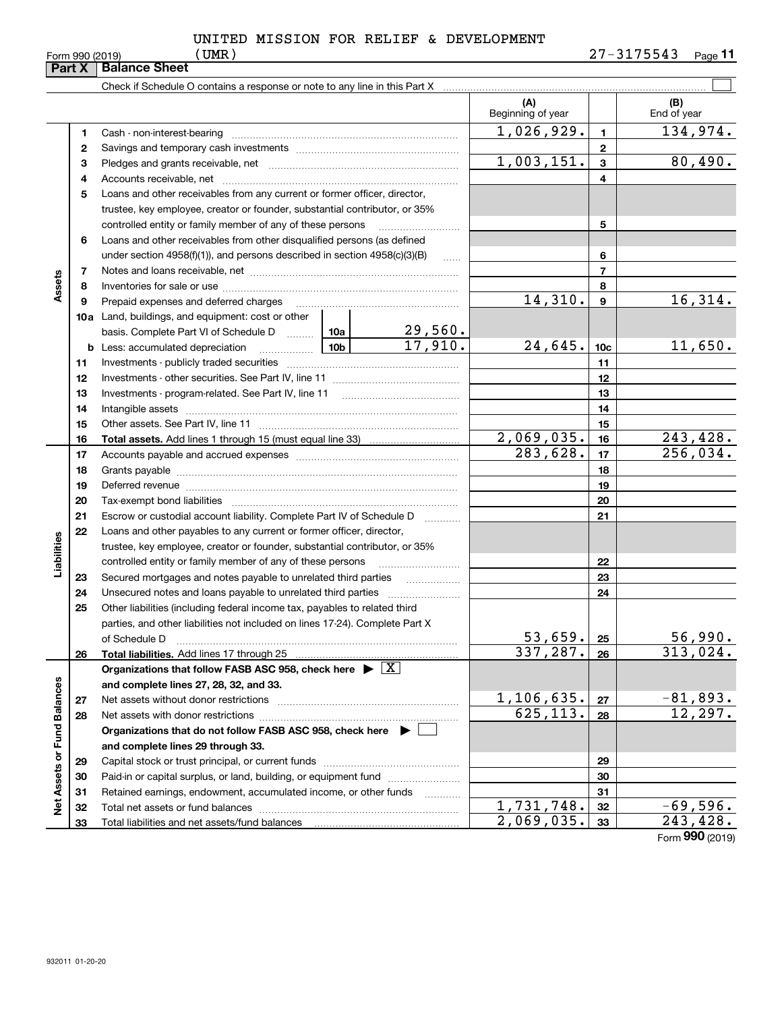|                             | Part X       | <b>Balance Sheet</b>                                                                                                                                                                                                           |                 |                           |                          |                         |                                         |
|-----------------------------|--------------|--------------------------------------------------------------------------------------------------------------------------------------------------------------------------------------------------------------------------------|-----------------|---------------------------|--------------------------|-------------------------|-----------------------------------------|
|                             |              |                                                                                                                                                                                                                                |                 |                           |                          |                         |                                         |
|                             |              |                                                                                                                                                                                                                                |                 |                           | (A)<br>Beginning of year |                         | (B)<br>End of year                      |
|                             | 1            |                                                                                                                                                                                                                                |                 |                           | 1,026,929.               | $\mathbf{1}$            | 134,974.                                |
|                             | $\mathbf{2}$ |                                                                                                                                                                                                                                |                 |                           |                          | $\mathbf{2}$            |                                         |
|                             | з            |                                                                                                                                                                                                                                |                 |                           | 1,003,151.               | 3                       | 80,490.                                 |
|                             | 4            |                                                                                                                                                                                                                                |                 |                           |                          | $\overline{\mathbf{4}}$ |                                         |
|                             | 5            | Loans and other receivables from any current or former officer, director,                                                                                                                                                      |                 |                           |                          |                         |                                         |
|                             |              | trustee, key employee, creator or founder, substantial contributor, or 35%                                                                                                                                                     |                 |                           |                          |                         |                                         |
|                             |              | controlled entity or family member of any of these persons                                                                                                                                                                     |                 |                           |                          | 5                       |                                         |
|                             | 6            | Loans and other receivables from other disqualified persons (as defined                                                                                                                                                        |                 |                           |                          |                         |                                         |
|                             |              | under section $4958(f)(1)$ , and persons described in section $4958(c)(3)(B)$                                                                                                                                                  |                 | 6                         |                          |                         |                                         |
|                             | 7            |                                                                                                                                                                                                                                |                 |                           | $\overline{7}$           |                         |                                         |
| Assets                      | 8            |                                                                                                                                                                                                                                |                 |                           |                          | 8                       |                                         |
|                             | 9            | Prepaid expenses and deferred charges                                                                                                                                                                                          |                 |                           | 14,310.                  | $\mathbf{9}$            | 16,314.                                 |
|                             |              | <b>10a</b> Land, buildings, and equipment: cost or other                                                                                                                                                                       |                 |                           |                          |                         |                                         |
|                             |              | basis. Complete Part VI of Schedule D                                                                                                                                                                                          | ∣ 10a ∣         | $\frac{29,560}{17,910}$ . |                          |                         |                                         |
|                             |              | <b>b</b> Less: accumulated depreciation<br>$\ldots \ldots \ldots \ldots$                                                                                                                                                       | 10 <sub>b</sub> |                           | 24,645.                  | 10 <sub>c</sub>         | 11,650.                                 |
|                             | 11           |                                                                                                                                                                                                                                |                 |                           |                          | 11                      |                                         |
|                             | 12           |                                                                                                                                                                                                                                |                 |                           | 12                       |                         |                                         |
|                             | 13           |                                                                                                                                                                                                                                |                 | 13                        |                          |                         |                                         |
|                             | 14           |                                                                                                                                                                                                                                |                 |                           | 14                       |                         |                                         |
|                             | 15           |                                                                                                                                                                                                                                |                 |                           |                          | 15                      |                                         |
|                             | 16           |                                                                                                                                                                                                                                |                 |                           | 2,069,035.<br>283,628.   | 16                      | 243,428.<br>256,034.                    |
|                             | 17<br>18     |                                                                                                                                                                                                                                |                 |                           |                          | 17<br>18                |                                         |
|                             | 19           |                                                                                                                                                                                                                                |                 | 19                        |                          |                         |                                         |
|                             | 20           | Deferred revenue manual contracts and contracts are contracted and contract and contract are contracted and contract are contracted and contract are contracted and contract are contracted and contract are contracted and co |                 | 20                        |                          |                         |                                         |
|                             | 21           | Escrow or custodial account liability. Complete Part IV of Schedule D                                                                                                                                                          | .               |                           | 21                       |                         |                                         |
|                             | 22           | Loans and other payables to any current or former officer, director,                                                                                                                                                           |                 |                           |                          |                         |                                         |
| Liabilities                 |              | trustee, key employee, creator or founder, substantial contributor, or 35%                                                                                                                                                     |                 |                           |                          |                         |                                         |
|                             |              | controlled entity or family member of any of these persons                                                                                                                                                                     |                 |                           |                          | 22                      |                                         |
|                             | 23           | Secured mortgages and notes payable to unrelated third parties                                                                                                                                                                 |                 |                           |                          | 23                      |                                         |
|                             | 24           |                                                                                                                                                                                                                                |                 |                           |                          | 24                      |                                         |
|                             | 25           | Other liabilities (including federal income tax, payables to related third                                                                                                                                                     |                 |                           |                          |                         |                                         |
|                             |              | parties, and other liabilities not included on lines 17-24). Complete Part X                                                                                                                                                   |                 |                           |                          |                         |                                         |
|                             |              | of Schedule D                                                                                                                                                                                                                  |                 |                           | <u>53,659.</u>           | 25                      | 56,990.                                 |
|                             | 26           |                                                                                                                                                                                                                                |                 |                           | 337,287.                 | 26                      | 313,024.                                |
|                             |              | Organizations that follow FASB ASC 958, check here $\blacktriangleright \boxed{X}$                                                                                                                                             |                 |                           |                          |                         |                                         |
|                             |              | and complete lines 27, 28, 32, and 33.                                                                                                                                                                                         |                 |                           |                          |                         |                                         |
|                             | 27           |                                                                                                                                                                                                                                |                 |                           | 1,106,635.<br>625, 113.  | 27                      | $-81,893.$<br>12, 297.                  |
|                             | 28           |                                                                                                                                                                                                                                |                 |                           |                          | 28                      |                                         |
|                             |              | Organizations that do not follow FASB ASC 958, check here $\blacktriangleright$                                                                                                                                                |                 |                           |                          |                         |                                         |
| Net Assets or Fund Balances |              | and complete lines 29 through 33.                                                                                                                                                                                              |                 |                           |                          | 29                      |                                         |
|                             | 29<br>30     | Paid-in or capital surplus, or land, building, or equipment fund                                                                                                                                                               |                 |                           |                          | 30                      |                                         |
|                             | 31           | Retained earnings, endowment, accumulated income, or other funds                                                                                                                                                               |                 |                           |                          | 31                      |                                         |
|                             | 32           |                                                                                                                                                                                                                                |                 | .                         | $\overline{1,731}, 748.$ | 32                      | $-69,596.$                              |
|                             | 33           |                                                                                                                                                                                                                                |                 |                           | 2,069,035.               | 33                      | 243,428.                                |
|                             |              |                                                                                                                                                                                                                                |                 |                           |                          |                         | $F_{\text{max}}$ 000 $\mu_{\text{max}}$ |

Form (2019) **990**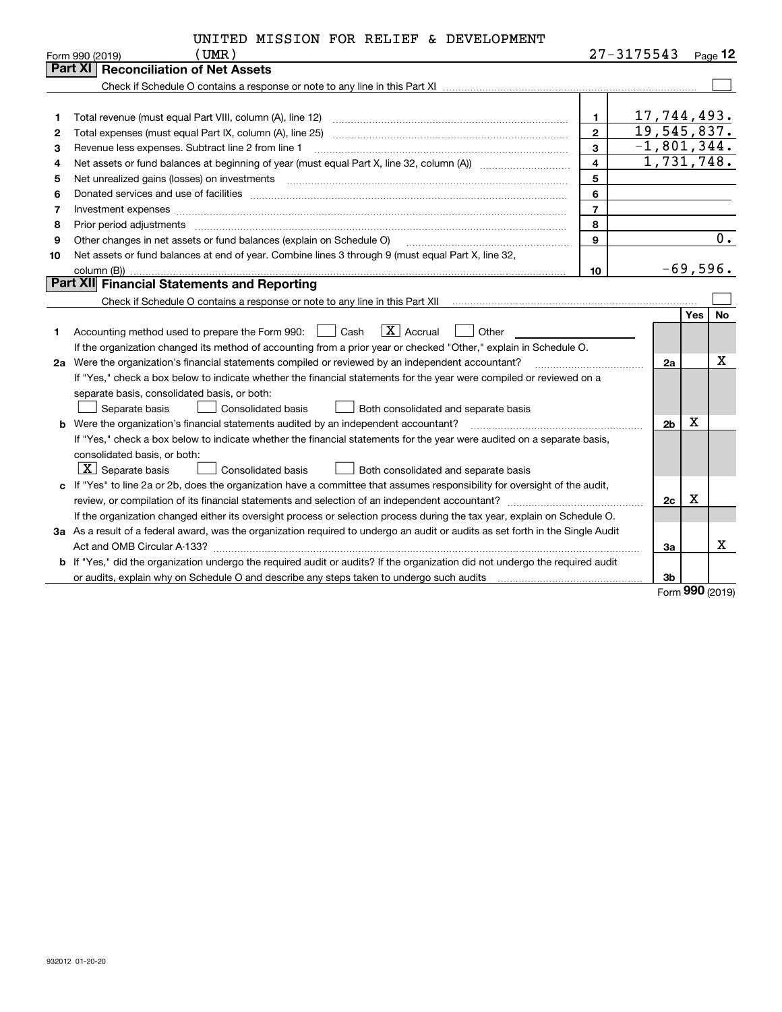| UNITED MISSION FOR RELIEF & DEVELOPMENT |  |  |  |  |
|-----------------------------------------|--|--|--|--|
|-----------------------------------------|--|--|--|--|

|    | UMR)<br>Form 990 (2019)                                                                                                                                                                                                        |                | 27-3175543     |               | Page 12    |  |  |  |
|----|--------------------------------------------------------------------------------------------------------------------------------------------------------------------------------------------------------------------------------|----------------|----------------|---------------|------------|--|--|--|
|    | Part XI<br><b>Reconciliation of Net Assets</b>                                                                                                                                                                                 |                |                |               |            |  |  |  |
|    |                                                                                                                                                                                                                                |                |                |               |            |  |  |  |
|    |                                                                                                                                                                                                                                |                |                |               |            |  |  |  |
|    |                                                                                                                                                                                                                                | $\mathbf{1}$   | 17,744,493.    |               |            |  |  |  |
| 2  |                                                                                                                                                                                                                                | $\overline{2}$ | 19,545,837.    |               |            |  |  |  |
| з  | Revenue less expenses. Subtract line 2 from line 1                                                                                                                                                                             | 3              |                | $-1,801,344.$ |            |  |  |  |
| 4  | 1,731,748.<br>4                                                                                                                                                                                                                |                |                |               |            |  |  |  |
| 5  | Net unrealized gains (losses) on investments                                                                                                                                                                                   | 5              |                |               |            |  |  |  |
| 6  | Donated services and use of facilities [111] Donated and the service of facilities [11] Donated services and use of facilities [11] Donated and the service of the service of the service of the service of the service of the | 6              |                |               |            |  |  |  |
| 7  | Investment expenses www.communication.com/www.communication.com/www.communication.com/www.com                                                                                                                                  | $\overline{7}$ |                |               |            |  |  |  |
| 8  | Prior period adjustments www.communication.communication.communication.com/                                                                                                                                                    | 8              |                |               |            |  |  |  |
| 9  | Other changes in net assets or fund balances (explain on Schedule O)                                                                                                                                                           | 9              |                |               | 0.         |  |  |  |
| 10 | Net assets or fund balances at end of year. Combine lines 3 through 9 (must equal Part X, line 32,                                                                                                                             |                |                |               |            |  |  |  |
|    | column (B))                                                                                                                                                                                                                    | 10             |                |               | $-69,596.$ |  |  |  |
|    | Part XII Financial Statements and Reporting                                                                                                                                                                                    |                |                |               |            |  |  |  |
|    |                                                                                                                                                                                                                                |                |                |               |            |  |  |  |
|    |                                                                                                                                                                                                                                |                |                | Yes           | <b>No</b>  |  |  |  |
| 1  | $\boxed{\text{X}}$ Accrual<br>Accounting method used to prepare the Form 990:     Cash<br>  Other                                                                                                                              |                |                |               |            |  |  |  |
|    | If the organization changed its method of accounting from a prior year or checked "Other," explain in Schedule O.                                                                                                              |                |                |               |            |  |  |  |
|    | 2a Were the organization's financial statements compiled or reviewed by an independent accountant?                                                                                                                             |                | 2a             |               | х          |  |  |  |
|    | If "Yes," check a box below to indicate whether the financial statements for the year were compiled or reviewed on a                                                                                                           |                |                |               |            |  |  |  |
|    | separate basis, consolidated basis, or both:                                                                                                                                                                                   |                |                |               |            |  |  |  |
|    | Separate basis<br><b>Consolidated basis</b><br>Both consolidated and separate basis                                                                                                                                            |                |                |               |            |  |  |  |
|    | <b>b</b> Were the organization's financial statements audited by an independent accountant?                                                                                                                                    |                | 2 <sub>b</sub> | Х             |            |  |  |  |
|    | If "Yes," check a box below to indicate whether the financial statements for the year were audited on a separate basis,                                                                                                        |                |                |               |            |  |  |  |
|    | consolidated basis, or both:                                                                                                                                                                                                   |                |                |               |            |  |  |  |
|    | $\mid$ $\rm X\mid$ Separate basis<br>Consolidated basis<br>Both consolidated and separate basis                                                                                                                                |                |                |               |            |  |  |  |
|    | c If "Yes" to line 2a or 2b, does the organization have a committee that assumes responsibility for oversight of the audit,                                                                                                    |                |                |               |            |  |  |  |
|    |                                                                                                                                                                                                                                |                | 2c             | х             |            |  |  |  |
|    | If the organization changed either its oversight process or selection process during the tax year, explain on Schedule O.                                                                                                      |                |                |               |            |  |  |  |
|    | 3a As a result of a federal award, was the organization required to undergo an audit or audits as set forth in the Single Audit                                                                                                |                |                |               |            |  |  |  |
|    |                                                                                                                                                                                                                                |                | За             |               | x          |  |  |  |
|    | b If "Yes," did the organization undergo the required audit or audits? If the organization did not undergo the required audit                                                                                                  |                |                |               |            |  |  |  |
|    |                                                                                                                                                                                                                                |                | 3b             |               |            |  |  |  |

Form (2019) **990**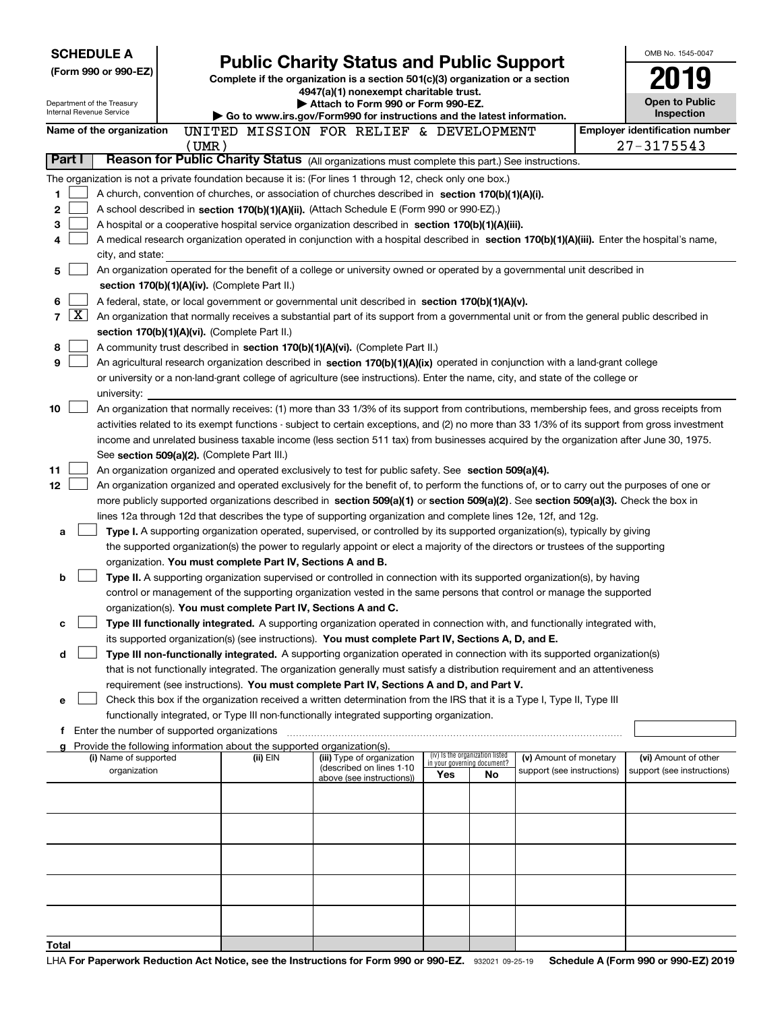|                          | <b>SCHEDULE A</b>                                                                                                                                                                                                                                                                          |             |                                                                        |                                                                                                                                            |                                                                |    |                            |  | OMB No. 1545-0047                     |  |  |  |  |
|--------------------------|--------------------------------------------------------------------------------------------------------------------------------------------------------------------------------------------------------------------------------------------------------------------------------------------|-------------|------------------------------------------------------------------------|--------------------------------------------------------------------------------------------------------------------------------------------|----------------------------------------------------------------|----|----------------------------|--|---------------------------------------|--|--|--|--|
|                          | (Form 990 or 990-EZ)                                                                                                                                                                                                                                                                       |             |                                                                        | <b>Public Charity Status and Public Support</b><br>Complete if the organization is a section 501(c)(3) organization or a section           |                                                                |    |                            |  |                                       |  |  |  |  |
|                          |                                                                                                                                                                                                                                                                                            |             |                                                                        | 4947(a)(1) nonexempt charitable trust.                                                                                                     |                                                                |    |                            |  |                                       |  |  |  |  |
| Internal Revenue Service | Department of the Treasury                                                                                                                                                                                                                                                                 |             |                                                                        | Attach to Form 990 or Form 990-EZ.<br>Go to www.irs.gov/Form990 for instructions and the latest information.                               |                                                                |    |                            |  | Open to Public<br>Inspection          |  |  |  |  |
|                          | Name of the organization                                                                                                                                                                                                                                                                   |             |                                                                        | UNITED MISSION FOR RELIEF & DEVELOPMENT                                                                                                    |                                                                |    |                            |  | <b>Employer identification number</b> |  |  |  |  |
|                          |                                                                                                                                                                                                                                                                                            | $($ UMR $)$ |                                                                        |                                                                                                                                            |                                                                |    |                            |  | 27-3175543                            |  |  |  |  |
| Part I                   |                                                                                                                                                                                                                                                                                            |             |                                                                        | Reason for Public Charity Status (All organizations must complete this part.) See instructions.                                            |                                                                |    |                            |  |                                       |  |  |  |  |
|                          |                                                                                                                                                                                                                                                                                            |             |                                                                        | The organization is not a private foundation because it is: (For lines 1 through 12, check only one box.)                                  |                                                                |    |                            |  |                                       |  |  |  |  |
| 1                        |                                                                                                                                                                                                                                                                                            |             |                                                                        | A church, convention of churches, or association of churches described in section 170(b)(1)(A)(i).                                         |                                                                |    |                            |  |                                       |  |  |  |  |
| 2                        |                                                                                                                                                                                                                                                                                            |             |                                                                        | A school described in section 170(b)(1)(A)(ii). (Attach Schedule E (Form 990 or 990-EZ).)                                                  |                                                                |    |                            |  |                                       |  |  |  |  |
| 3                        |                                                                                                                                                                                                                                                                                            |             |                                                                        | A hospital or a cooperative hospital service organization described in section 170(b)(1)(A)(iii).                                          |                                                                |    |                            |  |                                       |  |  |  |  |
| 4                        | city, and state:                                                                                                                                                                                                                                                                           |             |                                                                        | A medical research organization operated in conjunction with a hospital described in section 170(b)(1)(A)(iii). Enter the hospital's name, |                                                                |    |                            |  |                                       |  |  |  |  |
| 5                        |                                                                                                                                                                                                                                                                                            |             |                                                                        | An organization operated for the benefit of a college or university owned or operated by a governmental unit described in                  |                                                                |    |                            |  |                                       |  |  |  |  |
|                          |                                                                                                                                                                                                                                                                                            |             | section 170(b)(1)(A)(iv). (Complete Part II.)                          |                                                                                                                                            |                                                                |    |                            |  |                                       |  |  |  |  |
| 6                        | A federal, state, or local government or governmental unit described in section 170(b)(1)(A)(v).                                                                                                                                                                                           |             |                                                                        |                                                                                                                                            |                                                                |    |                            |  |                                       |  |  |  |  |
| $\mathbf{X}$<br>7        |                                                                                                                                                                                                                                                                                            |             |                                                                        | An organization that normally receives a substantial part of its support from a governmental unit or from the general public described in  |                                                                |    |                            |  |                                       |  |  |  |  |
|                          |                                                                                                                                                                                                                                                                                            |             | section 170(b)(1)(A)(vi). (Complete Part II.)                          |                                                                                                                                            |                                                                |    |                            |  |                                       |  |  |  |  |
| 8                        |                                                                                                                                                                                                                                                                                            |             |                                                                        | A community trust described in section 170(b)(1)(A)(vi). (Complete Part II.)                                                               |                                                                |    |                            |  |                                       |  |  |  |  |
| 9                        | An agricultural research organization described in section 170(b)(1)(A)(ix) operated in conjunction with a land-grant college<br>or university or a non-land-grant college of agriculture (see instructions). Enter the name, city, and state of the college or                            |             |                                                                        |                                                                                                                                            |                                                                |    |                            |  |                                       |  |  |  |  |
|                          |                                                                                                                                                                                                                                                                                            |             |                                                                        |                                                                                                                                            |                                                                |    |                            |  |                                       |  |  |  |  |
| 10                       | university:                                                                                                                                                                                                                                                                                |             |                                                                        |                                                                                                                                            |                                                                |    |                            |  |                                       |  |  |  |  |
|                          | An organization that normally receives: (1) more than 33 1/3% of its support from contributions, membership fees, and gross receipts from<br>activities related to its exempt functions - subject to certain exceptions, and (2) no more than 33 1/3% of its support from gross investment |             |                                                                        |                                                                                                                                            |                                                                |    |                            |  |                                       |  |  |  |  |
|                          |                                                                                                                                                                                                                                                                                            |             |                                                                        | income and unrelated business taxable income (less section 511 tax) from businesses acquired by the organization after June 30, 1975.      |                                                                |    |                            |  |                                       |  |  |  |  |
|                          |                                                                                                                                                                                                                                                                                            |             | See section 509(a)(2). (Complete Part III.)                            |                                                                                                                                            |                                                                |    |                            |  |                                       |  |  |  |  |
| 11                       |                                                                                                                                                                                                                                                                                            |             |                                                                        | An organization organized and operated exclusively to test for public safety. See section 509(a)(4).                                       |                                                                |    |                            |  |                                       |  |  |  |  |
| 12                       |                                                                                                                                                                                                                                                                                            |             |                                                                        | An organization organized and operated exclusively for the benefit of, to perform the functions of, or to carry out the purposes of one or |                                                                |    |                            |  |                                       |  |  |  |  |
|                          |                                                                                                                                                                                                                                                                                            |             |                                                                        | more publicly supported organizations described in section 509(a)(1) or section 509(a)(2). See section 509(a)(3). Check the box in         |                                                                |    |                            |  |                                       |  |  |  |  |
|                          |                                                                                                                                                                                                                                                                                            |             |                                                                        | lines 12a through 12d that describes the type of supporting organization and complete lines 12e, 12f, and 12g.                             |                                                                |    |                            |  |                                       |  |  |  |  |
| a                        |                                                                                                                                                                                                                                                                                            |             |                                                                        | Type I. A supporting organization operated, supervised, or controlled by its supported organization(s), typically by giving                |                                                                |    |                            |  |                                       |  |  |  |  |
|                          |                                                                                                                                                                                                                                                                                            |             | organization. You must complete Part IV, Sections A and B.             | the supported organization(s) the power to regularly appoint or elect a majority of the directors or trustees of the supporting            |                                                                |    |                            |  |                                       |  |  |  |  |
| b                        |                                                                                                                                                                                                                                                                                            |             |                                                                        | Type II. A supporting organization supervised or controlled in connection with its supported organization(s), by having                    |                                                                |    |                            |  |                                       |  |  |  |  |
|                          |                                                                                                                                                                                                                                                                                            |             |                                                                        | control or management of the supporting organization vested in the same persons that control or manage the supported                       |                                                                |    |                            |  |                                       |  |  |  |  |
|                          |                                                                                                                                                                                                                                                                                            |             | organization(s). You must complete Part IV, Sections A and C.          |                                                                                                                                            |                                                                |    |                            |  |                                       |  |  |  |  |
| с                        |                                                                                                                                                                                                                                                                                            |             |                                                                        | Type III functionally integrated. A supporting organization operated in connection with, and functionally integrated with,                 |                                                                |    |                            |  |                                       |  |  |  |  |
|                          |                                                                                                                                                                                                                                                                                            |             |                                                                        | its supported organization(s) (see instructions). You must complete Part IV, Sections A, D, and E.                                         |                                                                |    |                            |  |                                       |  |  |  |  |
| d                        |                                                                                                                                                                                                                                                                                            |             |                                                                        | Type III non-functionally integrated. A supporting organization operated in connection with its supported organization(s)                  |                                                                |    |                            |  |                                       |  |  |  |  |
|                          |                                                                                                                                                                                                                                                                                            |             |                                                                        | that is not functionally integrated. The organization generally must satisfy a distribution requirement and an attentiveness               |                                                                |    |                            |  |                                       |  |  |  |  |
|                          |                                                                                                                                                                                                                                                                                            |             |                                                                        | requirement (see instructions). You must complete Part IV, Sections A and D, and Part V.                                                   |                                                                |    |                            |  |                                       |  |  |  |  |
| е                        |                                                                                                                                                                                                                                                                                            |             |                                                                        | Check this box if the organization received a written determination from the IRS that it is a Type I, Type II, Type III                    |                                                                |    |                            |  |                                       |  |  |  |  |
|                          | f Enter the number of supported organizations                                                                                                                                                                                                                                              |             |                                                                        | functionally integrated, or Type III non-functionally integrated supporting organization.                                                  |                                                                |    |                            |  |                                       |  |  |  |  |
|                          |                                                                                                                                                                                                                                                                                            |             | Provide the following information about the supported organization(s). |                                                                                                                                            |                                                                |    |                            |  |                                       |  |  |  |  |
|                          | (i) Name of supported                                                                                                                                                                                                                                                                      |             | (ii) EIN                                                               | (iii) Type of organization<br>(described on lines 1-10                                                                                     | (iv) Is the organization listed<br>in your governing document? |    | (v) Amount of monetary     |  | (vi) Amount of other                  |  |  |  |  |
|                          | organization                                                                                                                                                                                                                                                                               |             |                                                                        | above (see instructions))                                                                                                                  | Yes                                                            | No | support (see instructions) |  | support (see instructions)            |  |  |  |  |
|                          |                                                                                                                                                                                                                                                                                            |             |                                                                        |                                                                                                                                            |                                                                |    |                            |  |                                       |  |  |  |  |
|                          |                                                                                                                                                                                                                                                                                            |             |                                                                        |                                                                                                                                            |                                                                |    |                            |  |                                       |  |  |  |  |
|                          |                                                                                                                                                                                                                                                                                            |             |                                                                        |                                                                                                                                            |                                                                |    |                            |  |                                       |  |  |  |  |
|                          |                                                                                                                                                                                                                                                                                            |             |                                                                        |                                                                                                                                            |                                                                |    |                            |  |                                       |  |  |  |  |
|                          |                                                                                                                                                                                                                                                                                            |             |                                                                        |                                                                                                                                            |                                                                |    |                            |  |                                       |  |  |  |  |
|                          |                                                                                                                                                                                                                                                                                            |             |                                                                        |                                                                                                                                            |                                                                |    |                            |  |                                       |  |  |  |  |
|                          |                                                                                                                                                                                                                                                                                            |             |                                                                        |                                                                                                                                            |                                                                |    |                            |  |                                       |  |  |  |  |
|                          |                                                                                                                                                                                                                                                                                            |             |                                                                        |                                                                                                                                            |                                                                |    |                            |  |                                       |  |  |  |  |
|                          |                                                                                                                                                                                                                                                                                            |             |                                                                        |                                                                                                                                            |                                                                |    |                            |  |                                       |  |  |  |  |
| Total                    |                                                                                                                                                                                                                                                                                            |             |                                                                        |                                                                                                                                            |                                                                |    |                            |  |                                       |  |  |  |  |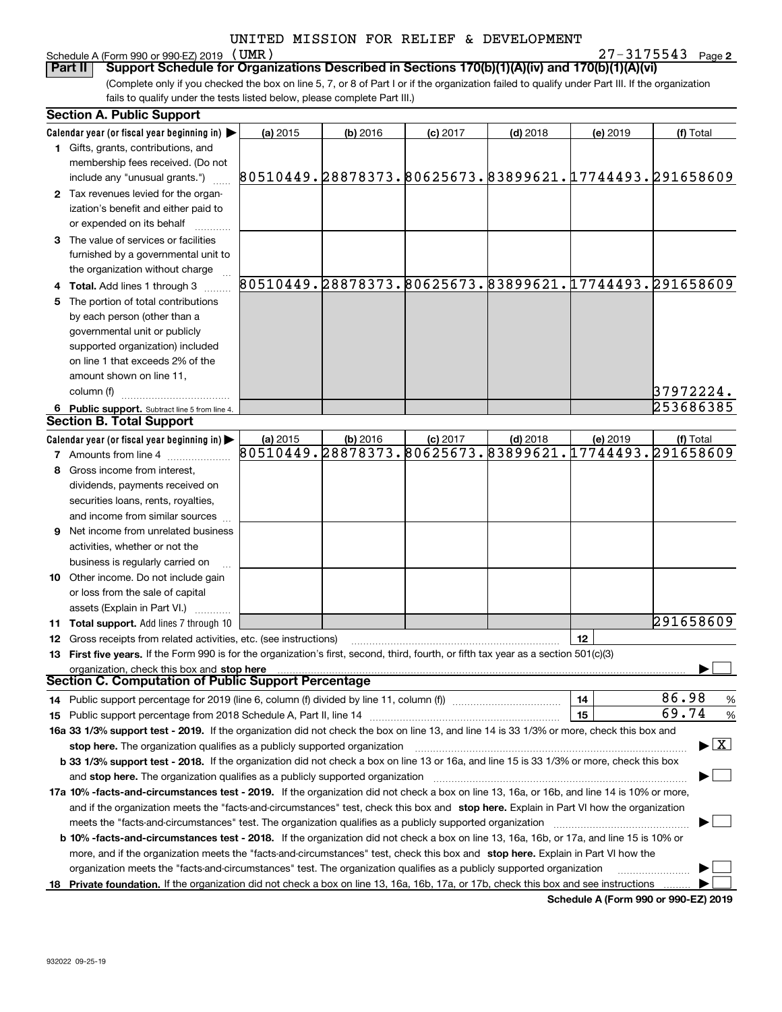## Schedule A (Form 990 or 990-EZ) 2019 (UMR)<br>**Part II** | Support Schedule for Organ

**2** (UMR) 27-3175543

(Complete only if you checked the box on line 5, 7, or 8 of Part I or if the organization failed to qualify under Part III. If the organization fails to qualify under the tests listed below, please complete Part III.) **Part III Support Schedule for Organizations Described in Sections 170(b)(1)(A)(iv) and 170(b)(1)(A)(vi)** 

|     | <b>Section A. Public Support</b>                                                                                                           |                                                        |            |            |            |          |                                          |
|-----|--------------------------------------------------------------------------------------------------------------------------------------------|--------------------------------------------------------|------------|------------|------------|----------|------------------------------------------|
|     | Calendar year (or fiscal year beginning in) $\blacktriangleright$                                                                          | (a) 2015                                               | $(b)$ 2016 | $(c)$ 2017 | $(d)$ 2018 | (e) 2019 | (f) Total                                |
|     | <b>1</b> Gifts, grants, contributions, and                                                                                                 |                                                        |            |            |            |          |                                          |
|     | membership fees received. (Do not                                                                                                          |                                                        |            |            |            |          |                                          |
|     | include any "unusual grants.")                                                                                                             | 80510449.28878373.80625673.83899621.17744493.291658609 |            |            |            |          |                                          |
|     | 2 Tax revenues levied for the organ-                                                                                                       |                                                        |            |            |            |          |                                          |
|     | ization's benefit and either paid to                                                                                                       |                                                        |            |            |            |          |                                          |
|     | or expended on its behalf                                                                                                                  |                                                        |            |            |            |          |                                          |
|     | 3 The value of services or facilities                                                                                                      |                                                        |            |            |            |          |                                          |
|     | furnished by a governmental unit to                                                                                                        |                                                        |            |            |            |          |                                          |
|     | the organization without charge                                                                                                            |                                                        |            |            |            |          |                                          |
|     | 4 Total. Add lines 1 through 3                                                                                                             | 80510449.28878373.80625673.83899621.17744493.291658609 |            |            |            |          |                                          |
| 5.  | The portion of total contributions                                                                                                         |                                                        |            |            |            |          |                                          |
|     | by each person (other than a                                                                                                               |                                                        |            |            |            |          |                                          |
|     | governmental unit or publicly                                                                                                              |                                                        |            |            |            |          |                                          |
|     | supported organization) included                                                                                                           |                                                        |            |            |            |          |                                          |
|     | on line 1 that exceeds 2% of the                                                                                                           |                                                        |            |            |            |          |                                          |
|     | amount shown on line 11,                                                                                                                   |                                                        |            |            |            |          |                                          |
|     | column (f)                                                                                                                                 |                                                        |            |            |            |          | 37972224.                                |
|     | 6 Public support. Subtract line 5 from line 4.                                                                                             |                                                        |            |            |            |          | 253686385                                |
|     | <b>Section B. Total Support</b>                                                                                                            |                                                        |            |            |            |          |                                          |
|     | Calendar year (or fiscal year beginning in)                                                                                                | (a) 2015                                               | $(b)$ 2016 | $(c)$ 2017 | $(d)$ 2018 | (e) 2019 | (f) Total                                |
|     | <b>7</b> Amounts from line 4                                                                                                               | 80510449.28878373.80625673.83899621.17744493.291658609 |            |            |            |          |                                          |
|     | 8 Gross income from interest,                                                                                                              |                                                        |            |            |            |          |                                          |
|     | dividends, payments received on                                                                                                            |                                                        |            |            |            |          |                                          |
|     | securities loans, rents, royalties,                                                                                                        |                                                        |            |            |            |          |                                          |
|     | and income from similar sources                                                                                                            |                                                        |            |            |            |          |                                          |
|     | <b>9</b> Net income from unrelated business                                                                                                |                                                        |            |            |            |          |                                          |
|     | activities, whether or not the                                                                                                             |                                                        |            |            |            |          |                                          |
|     | business is regularly carried on                                                                                                           |                                                        |            |            |            |          |                                          |
|     | <b>10</b> Other income. Do not include gain                                                                                                |                                                        |            |            |            |          |                                          |
|     | or loss from the sale of capital                                                                                                           |                                                        |            |            |            |          |                                          |
|     | assets (Explain in Part VI.)                                                                                                               |                                                        |            |            |            |          |                                          |
|     | <b>11 Total support.</b> Add lines 7 through 10                                                                                            |                                                        |            |            |            |          | 291658609                                |
|     | <b>12</b> Gross receipts from related activities, etc. (see instructions)                                                                  |                                                        |            |            |            | 12       |                                          |
|     | 13 First five years. If the Form 990 is for the organization's first, second, third, fourth, or fifth tax year as a section 501(c)(3)      |                                                        |            |            |            |          |                                          |
|     | organization, check this box and stop here                                                                                                 |                                                        |            |            |            |          |                                          |
|     | <b>Section C. Computation of Public Support Percentage</b>                                                                                 |                                                        |            |            |            |          |                                          |
|     | 14 Public support percentage for 2019 (line 6, column (f) divided by line 11, column (f) <i>marrouum</i> manu-                             |                                                        |            |            |            | 14       | 86.98<br>$\%$                            |
|     |                                                                                                                                            |                                                        |            |            |            | 15       | 69.74<br>%                               |
|     | 16a 33 1/3% support test - 2019. If the organization did not check the box on line 13, and line 14 is 33 1/3% or more, check this box and  |                                                        |            |            |            |          |                                          |
|     | stop here. The organization qualifies as a publicly supported organization                                                                 |                                                        |            |            |            |          | $\blacktriangleright$ $\boxed{\text{X}}$ |
|     | b 33 1/3% support test - 2018. If the organization did not check a box on line 13 or 16a, and line 15 is 33 1/3% or more, check this box   |                                                        |            |            |            |          |                                          |
|     | and stop here. The organization qualifies as a publicly supported organization                                                             |                                                        |            |            |            |          |                                          |
|     | 17a 10% -facts-and-circumstances test - 2019. If the organization did not check a box on line 13, 16a, or 16b, and line 14 is 10% or more, |                                                        |            |            |            |          |                                          |
|     | and if the organization meets the "facts-and-circumstances" test, check this box and stop here. Explain in Part VI how the organization    |                                                        |            |            |            |          |                                          |
|     | meets the "facts-and-circumstances" test. The organization qualifies as a publicly supported organization                                  |                                                        |            |            |            |          |                                          |
|     | b 10% -facts-and-circumstances test - 2018. If the organization did not check a box on line 13, 16a, 16b, or 17a, and line 15 is 10% or    |                                                        |            |            |            |          |                                          |
|     | more, and if the organization meets the "facts-and-circumstances" test, check this box and stop here. Explain in Part VI how the           |                                                        |            |            |            |          |                                          |
|     | organization meets the "facts-and-circumstances" test. The organization qualifies as a publicly supported organization                     |                                                        |            |            |            |          |                                          |
| 18. | Private foundation. If the organization did not check a box on line 13, 16a, 16b, 17a, or 17b, check this box and see instructions         |                                                        |            |            |            |          |                                          |

**Schedule A (Form 990 or 990-EZ) 2019**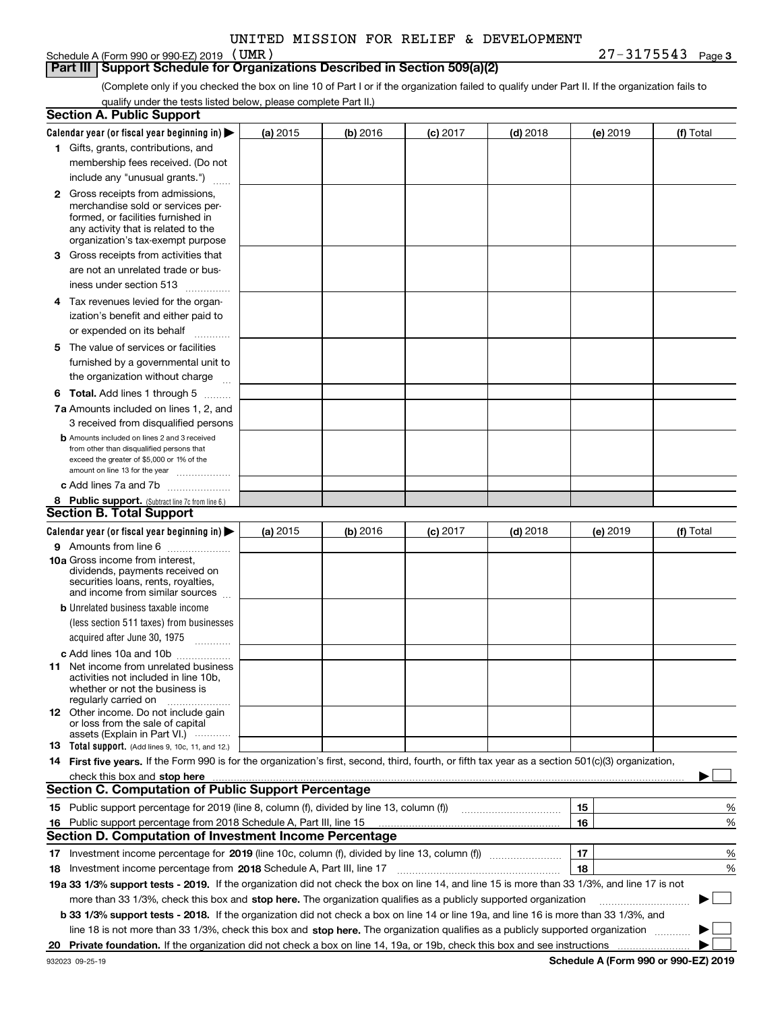### Schedule A (Form 990 or 990-EZ) 2019 (UMR)

**Part III Support Schedule for Organizations Described in Section 509(a)(2)** 

**3** (UMR) 27-3175543

(Complete only if you checked the box on line 10 of Part I or if the organization failed to qualify under Part II. If the organization fails to qualify under the tests listed below, please complete Part II.)

| Calendar year (or fiscal year beginning in) $\blacktriangleright$<br>1 Gifts, grants, contributions, and<br>membership fees received. (Do not       | <b>(a)</b> 2015 | (b) 2016 | <b>(c)</b> 2017 | $(d)$ 2018 | (e) 2019 | (f) Total |
|-----------------------------------------------------------------------------------------------------------------------------------------------------|-----------------|----------|-----------------|------------|----------|-----------|
|                                                                                                                                                     |                 |          |                 |            |          |           |
|                                                                                                                                                     |                 |          |                 |            |          |           |
|                                                                                                                                                     |                 |          |                 |            |          |           |
| include any "unusual grants.")                                                                                                                      |                 |          |                 |            |          |           |
| <b>2</b> Gross receipts from admissions,                                                                                                            |                 |          |                 |            |          |           |
| merchandise sold or services per-                                                                                                                   |                 |          |                 |            |          |           |
| formed, or facilities furnished in                                                                                                                  |                 |          |                 |            |          |           |
| any activity that is related to the<br>organization's tax-exempt purpose                                                                            |                 |          |                 |            |          |           |
| 3 Gross receipts from activities that                                                                                                               |                 |          |                 |            |          |           |
| are not an unrelated trade or bus-                                                                                                                  |                 |          |                 |            |          |           |
| iness under section 513                                                                                                                             |                 |          |                 |            |          |           |
|                                                                                                                                                     |                 |          |                 |            |          |           |
| 4 Tax revenues levied for the organ-                                                                                                                |                 |          |                 |            |          |           |
| ization's benefit and either paid to                                                                                                                |                 |          |                 |            |          |           |
| or expended on its behalf<br>.                                                                                                                      |                 |          |                 |            |          |           |
| 5 The value of services or facilities                                                                                                               |                 |          |                 |            |          |           |
| furnished by a governmental unit to                                                                                                                 |                 |          |                 |            |          |           |
| the organization without charge                                                                                                                     |                 |          |                 |            |          |           |
| <b>6 Total.</b> Add lines 1 through 5                                                                                                               |                 |          |                 |            |          |           |
| 7a Amounts included on lines 1, 2, and                                                                                                              |                 |          |                 |            |          |           |
| 3 received from disqualified persons                                                                                                                |                 |          |                 |            |          |           |
| <b>b</b> Amounts included on lines 2 and 3 received                                                                                                 |                 |          |                 |            |          |           |
| from other than disqualified persons that<br>exceed the greater of \$5,000 or 1% of the                                                             |                 |          |                 |            |          |           |
| amount on line 13 for the year                                                                                                                      |                 |          |                 |            |          |           |
| c Add lines 7a and 7b                                                                                                                               |                 |          |                 |            |          |           |
| 8 Public support. (Subtract line 7c from line 6.)                                                                                                   |                 |          |                 |            |          |           |
| <b>Section B. Total Support</b>                                                                                                                     |                 |          |                 |            |          |           |
| Calendar year (or fiscal year beginning in)                                                                                                         | (a) $2015$      | (b) 2016 | <b>(c)</b> 2017 | $(d)$ 2018 | (e) 2019 | (f) Total |
| 9 Amounts from line 6                                                                                                                               |                 |          |                 |            |          |           |
| <b>10a</b> Gross income from interest,                                                                                                              |                 |          |                 |            |          |           |
| dividends, payments received on                                                                                                                     |                 |          |                 |            |          |           |
| securities loans, rents, royalties,<br>and income from similar sources                                                                              |                 |          |                 |            |          |           |
| <b>b</b> Unrelated business taxable income                                                                                                          |                 |          |                 |            |          |           |
| (less section 511 taxes) from businesses                                                                                                            |                 |          |                 |            |          |           |
| acquired after June 30, 1975                                                                                                                        |                 |          |                 |            |          |           |
|                                                                                                                                                     |                 |          |                 |            |          |           |
| c Add lines 10a and 10b<br>11 Net income from unrelated business                                                                                    |                 |          |                 |            |          |           |
| activities not included in line 10b,                                                                                                                |                 |          |                 |            |          |           |
| whether or not the business is                                                                                                                      |                 |          |                 |            |          |           |
| regularly carried on                                                                                                                                |                 |          |                 |            |          |           |
| <b>12</b> Other income. Do not include gain<br>or loss from the sale of capital                                                                     |                 |          |                 |            |          |           |
| assets (Explain in Part VI.)                                                                                                                        |                 |          |                 |            |          |           |
| 13 Total support. (Add lines 9, 10c, 11, and 12.)                                                                                                   |                 |          |                 |            |          |           |
| 14 First five years. If the Form 990 is for the organization's first, second, third, fourth, or fifth tax year as a section 501(c)(3) organization, |                 |          |                 |            |          |           |
| check this box and stop here measurements and the state of the state of the state of the state of the state of                                      |                 |          |                 |            |          |           |
| <b>Section C. Computation of Public Support Percentage</b>                                                                                          |                 |          |                 |            |          |           |
| 15 Public support percentage for 2019 (line 8, column (f), divided by line 13, column (f))                                                          |                 |          |                 |            | 15       | %         |
| 16 Public support percentage from 2018 Schedule A, Part III, line 15                                                                                |                 |          |                 |            | 16       | %         |
| <b>Section D. Computation of Investment Income Percentage</b>                                                                                       |                 |          |                 |            |          |           |
| 17 Investment income percentage for 2019 (line 10c, column (f), divided by line 13, column (f))                                                     |                 |          |                 |            | 17       | %         |
| <b>18</b> Investment income percentage from <b>2018</b> Schedule A, Part III, line 17                                                               |                 |          |                 |            | 18       | %         |
| 19a 33 1/3% support tests - 2019. If the organization did not check the box on line 14, and line 15 is more than 33 1/3%, and line 17 is not        |                 |          |                 |            |          |           |
| more than 33 1/3%, check this box and stop here. The organization qualifies as a publicly supported organization                                    |                 |          |                 |            |          | $\sim$ 10 |
| b 33 1/3% support tests - 2018. If the organization did not check a box on line 14 or line 19a, and line 16 is more than 33 1/3%, and               |                 |          |                 |            |          |           |
| line 18 is not more than 33 1/3%, check this box and stop here. The organization qualifies as a publicly supported organization                     |                 |          |                 |            |          |           |
|                                                                                                                                                     |                 |          |                 |            |          |           |

**Schedule A (Form 990 or 990-EZ) 2019**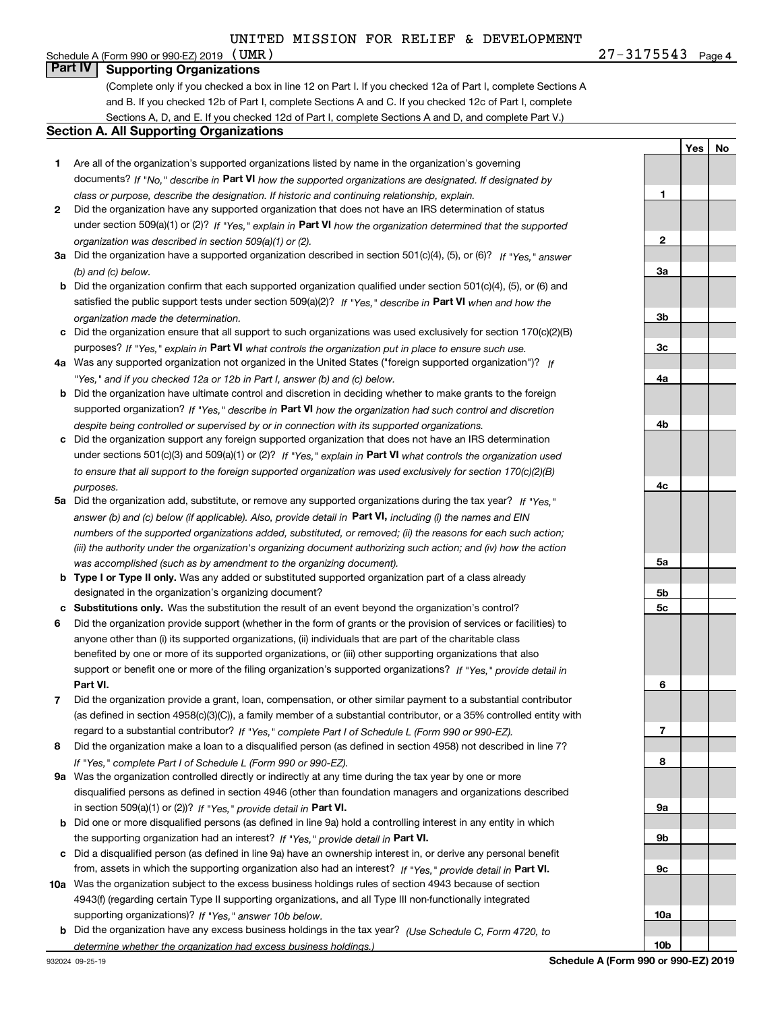### Schedule A (Form 990 or 990-EZ) 2019  $\langle$  UMR) **Part IV Supporting Organizations**

(Complete only if you checked a box in line 12 on Part I. If you checked 12a of Part I, complete Sections A and B. If you checked 12b of Part I, complete Sections A and C. If you checked 12c of Part I, complete Sections A, D, and E. If you checked 12d of Part I, complete Sections A and D, and complete Part V.)

### **Section A. All Supporting Organizations**

- **1** Are all of the organization's supported organizations listed by name in the organization's governing documents? If "No," describe in **Part VI** how the supported organizations are designated. If designated by *class or purpose, describe the designation. If historic and continuing relationship, explain.*
- **2** Did the organization have any supported organization that does not have an IRS determination of status under section 509(a)(1) or (2)? If "Yes," explain in Part VI how the organization determined that the supported *organization was described in section 509(a)(1) or (2).*
- **3a** Did the organization have a supported organization described in section 501(c)(4), (5), or (6)? If "Yes," answer *(b) and (c) below.*
- **b** Did the organization confirm that each supported organization qualified under section 501(c)(4), (5), or (6) and satisfied the public support tests under section 509(a)(2)? If "Yes," describe in **Part VI** when and how the *organization made the determination.*
- **c**Did the organization ensure that all support to such organizations was used exclusively for section 170(c)(2)(B) purposes? If "Yes," explain in **Part VI** what controls the organization put in place to ensure such use.
- **4a***If* Was any supported organization not organized in the United States ("foreign supported organization")? *"Yes," and if you checked 12a or 12b in Part I, answer (b) and (c) below.*
- **b** Did the organization have ultimate control and discretion in deciding whether to make grants to the foreign supported organization? If "Yes," describe in **Part VI** how the organization had such control and discretion *despite being controlled or supervised by or in connection with its supported organizations.*
- **c** Did the organization support any foreign supported organization that does not have an IRS determination under sections 501(c)(3) and 509(a)(1) or (2)? If "Yes," explain in **Part VI** what controls the organization used *to ensure that all support to the foreign supported organization was used exclusively for section 170(c)(2)(B) purposes.*
- **5a***If "Yes,"* Did the organization add, substitute, or remove any supported organizations during the tax year? answer (b) and (c) below (if applicable). Also, provide detail in **Part VI,** including (i) the names and EIN *numbers of the supported organizations added, substituted, or removed; (ii) the reasons for each such action; (iii) the authority under the organization's organizing document authorizing such action; and (iv) how the action was accomplished (such as by amendment to the organizing document).*
- **b** Type I or Type II only. Was any added or substituted supported organization part of a class already designated in the organization's organizing document?
- **cSubstitutions only.**  Was the substitution the result of an event beyond the organization's control?
- **6** Did the organization provide support (whether in the form of grants or the provision of services or facilities) to **Part VI.** *If "Yes," provide detail in* support or benefit one or more of the filing organization's supported organizations? anyone other than (i) its supported organizations, (ii) individuals that are part of the charitable class benefited by one or more of its supported organizations, or (iii) other supporting organizations that also
- **7**Did the organization provide a grant, loan, compensation, or other similar payment to a substantial contributor *If "Yes," complete Part I of Schedule L (Form 990 or 990-EZ).* regard to a substantial contributor? (as defined in section 4958(c)(3)(C)), a family member of a substantial contributor, or a 35% controlled entity with
- **8** Did the organization make a loan to a disqualified person (as defined in section 4958) not described in line 7? *If "Yes," complete Part I of Schedule L (Form 990 or 990-EZ).*
- **9a** Was the organization controlled directly or indirectly at any time during the tax year by one or more in section 509(a)(1) or (2))? If "Yes," *provide detail in* <code>Part VI.</code> disqualified persons as defined in section 4946 (other than foundation managers and organizations described
- **b** Did one or more disqualified persons (as defined in line 9a) hold a controlling interest in any entity in which the supporting organization had an interest? If "Yes," provide detail in P**art VI**.
- **c**Did a disqualified person (as defined in line 9a) have an ownership interest in, or derive any personal benefit from, assets in which the supporting organization also had an interest? If "Yes," provide detail in P**art VI.**
- **10a** Was the organization subject to the excess business holdings rules of section 4943 because of section supporting organizations)? If "Yes," answer 10b below. 4943(f) (regarding certain Type II supporting organizations, and all Type III non-functionally integrated
- **b** Did the organization have any excess business holdings in the tax year? (Use Schedule C, Form 4720, to *determine whether the organization had excess business holdings.)*

**23a3b3c4a4b4c5a5b5c6789a 9b9c10a**

**10b**

**1**

**Yes**

**No**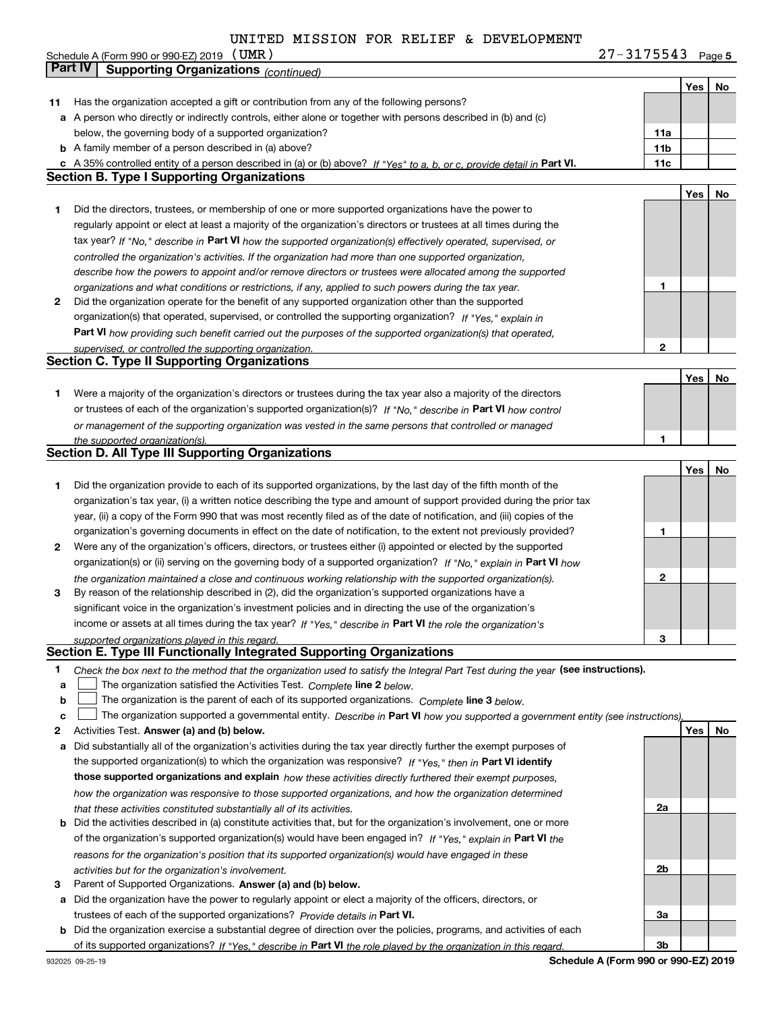**5** (UMR) 27-3175543 Schedule A (Form 990 or 990-EZ) 2019 Page

|              | Part IV<br><b>Supporting Organizations (continued)</b>                                                                            |                 |     |    |
|--------------|-----------------------------------------------------------------------------------------------------------------------------------|-----------------|-----|----|
|              |                                                                                                                                   |                 | Yes | No |
| 11           | Has the organization accepted a gift or contribution from any of the following persons?                                           |                 |     |    |
|              | a A person who directly or indirectly controls, either alone or together with persons described in (b) and (c)                    |                 |     |    |
|              | below, the governing body of a supported organization?                                                                            | 11a             |     |    |
|              | <b>b</b> A family member of a person described in (a) above?                                                                      | 11 <sub>b</sub> |     |    |
|              | c A 35% controlled entity of a person described in (a) or (b) above? If "Yes" to a, b, or c, provide detail in Part VI.           | 11c             |     |    |
|              | <b>Section B. Type I Supporting Organizations</b>                                                                                 |                 |     |    |
|              |                                                                                                                                   |                 | Yes | No |
| 1            | Did the directors, trustees, or membership of one or more supported organizations have the power to                               |                 |     |    |
|              | regularly appoint or elect at least a majority of the organization's directors or trustees at all times during the                |                 |     |    |
|              | tax year? If "No," describe in Part VI how the supported organization(s) effectively operated, supervised, or                     |                 |     |    |
|              | controlled the organization's activities. If the organization had more than one supported organization,                           |                 |     |    |
|              | describe how the powers to appoint and/or remove directors or trustees were allocated among the supported                         |                 |     |    |
|              | organizations and what conditions or restrictions, if any, applied to such powers during the tax year.                            | 1               |     |    |
| $\mathbf{2}$ | Did the organization operate for the benefit of any supported organization other than the supported                               |                 |     |    |
|              | organization(s) that operated, supervised, or controlled the supporting organization? If "Yes," explain in                        |                 |     |    |
|              | Part VI how providing such benefit carried out the purposes of the supported organization(s) that operated,                       |                 |     |    |
|              | supervised, or controlled the supporting organization.                                                                            | $\mathbf{2}$    |     |    |
|              | <b>Section C. Type II Supporting Organizations</b>                                                                                |                 |     |    |
|              |                                                                                                                                   |                 | Yes | No |
| 1.           | Were a majority of the organization's directors or trustees during the tax year also a majority of the directors                  |                 |     |    |
|              | or trustees of each of the organization's supported organization(s)? If "No." describe in Part VI how control                     |                 |     |    |
|              | or management of the supporting organization was vested in the same persons that controlled or managed                            | 1               |     |    |
|              | the supported organization(s).<br><b>Section D. All Type III Supporting Organizations</b>                                         |                 |     |    |
|              |                                                                                                                                   |                 | Yes | No |
| 1            | Did the organization provide to each of its supported organizations, by the last day of the fifth month of the                    |                 |     |    |
|              | organization's tax year, (i) a written notice describing the type and amount of support provided during the prior tax             |                 |     |    |
|              | year, (ii) a copy of the Form 990 that was most recently filed as of the date of notification, and (iii) copies of the            |                 |     |    |
|              | organization's governing documents in effect on the date of notification, to the extent not previously provided?                  | 1               |     |    |
| 2            | Were any of the organization's officers, directors, or trustees either (i) appointed or elected by the supported                  |                 |     |    |
|              | organization(s) or (ii) serving on the governing body of a supported organization? If "No," explain in Part VI how                |                 |     |    |
|              | the organization maintained a close and continuous working relationship with the supported organization(s).                       | $\mathbf{2}$    |     |    |
| 3            | By reason of the relationship described in (2), did the organization's supported organizations have a                             |                 |     |    |
|              | significant voice in the organization's investment policies and in directing the use of the organization's                        |                 |     |    |
|              | income or assets at all times during the tax year? If "Yes," describe in Part VI the role the organization's                      |                 |     |    |
|              | supported organizations played in this regard.                                                                                    | 3               |     |    |
|              | Section E. Type III Functionally Integrated Supporting Organizations                                                              |                 |     |    |
| 1            | Check the box next to the method that the organization used to satisfy the Integral Part Test during the year (see instructions). |                 |     |    |
| a            | The organization satisfied the Activities Test. Complete line 2 below.                                                            |                 |     |    |
| b            | The organization is the parent of each of its supported organizations. Complete line 3 below.                                     |                 |     |    |
| c            | The organization supported a governmental entity. Describe in Part VI how you supported a government entity (see instructions),   |                 |     |    |
| 2            | Activities Test. Answer (a) and (b) below.                                                                                        |                 | Yes | No |
| а            | Did substantially all of the organization's activities during the tax year directly further the exempt purposes of                |                 |     |    |
|              | the supported organization(s) to which the organization was responsive? If "Yes," then in Part VI identify                        |                 |     |    |
|              | those supported organizations and explain how these activities directly furthered their exempt purposes,                          |                 |     |    |
|              | how the organization was responsive to those supported organizations, and how the organization determined                         |                 |     |    |
|              | that these activities constituted substantially all of its activities.                                                            | 2a              |     |    |
| b            | Did the activities described in (a) constitute activities that, but for the organization's involvement, one or more               |                 |     |    |
|              | of the organization's supported organization(s) would have been engaged in? If "Yes," explain in Part VI the                      |                 |     |    |
|              | reasons for the organization's position that its supported organization(s) would have engaged in these                            | 2b              |     |    |
| з            | activities but for the organization's involvement.<br>Parent of Supported Organizations. Answer (a) and (b) below.                |                 |     |    |
| а            | Did the organization have the power to regularly appoint or elect a majority of the officers, directors, or                       |                 |     |    |
|              | trustees of each of the supported organizations? Provide details in Part VI.                                                      | За              |     |    |
|              | <b>b</b> Did the organization exercise a substantial degree of direction over the policies, programs, and activities of each      |                 |     |    |
|              | of its supported organizations? If "Yes." describe in Part VI the role played by the organization in this regard.                 | Зb              |     |    |

**Schedule A (Form 990 or 990-EZ) 2019**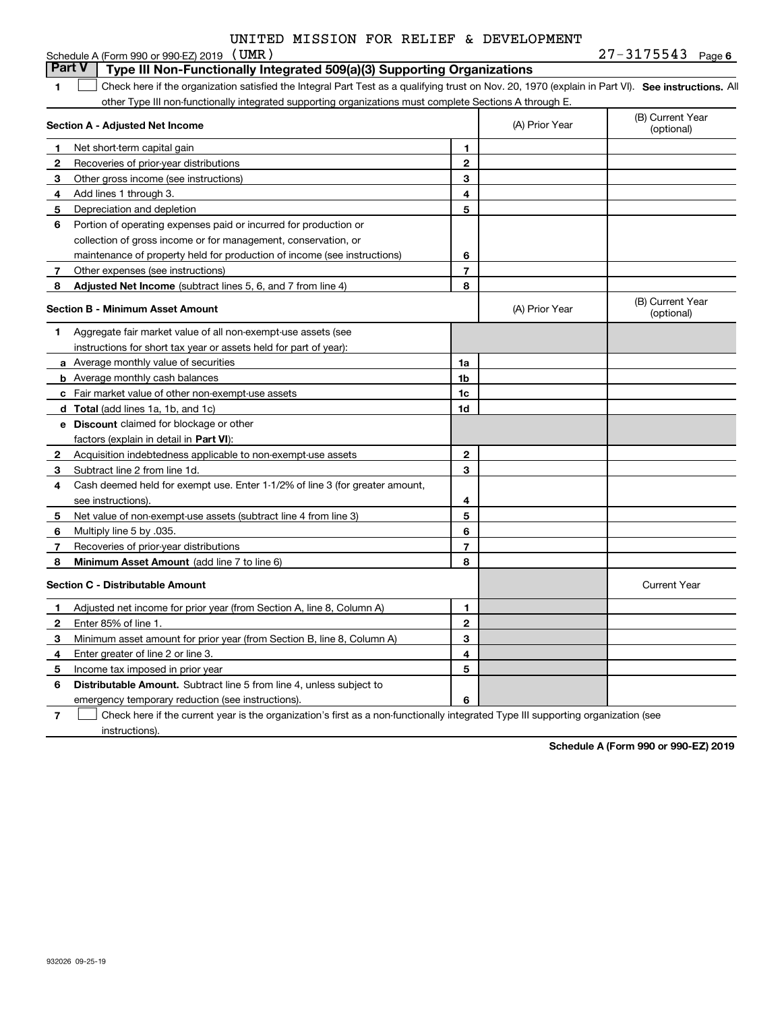|              | Schedule A (Form 990 or 990-EZ) 2019 (UMR)                                                                                                        |                |                | $27 - 3175543$ Page 6          |
|--------------|---------------------------------------------------------------------------------------------------------------------------------------------------|----------------|----------------|--------------------------------|
|              | <b>Part V</b><br>Type III Non-Functionally Integrated 509(a)(3) Supporting Organizations                                                          |                |                |                                |
| 1            | Check here if the organization satisfied the Integral Part Test as a qualifying trust on Nov. 20, 1970 (explain in Part VI). See instructions. Al |                |                |                                |
|              | other Type III non-functionally integrated supporting organizations must complete Sections A through E.                                           |                |                |                                |
|              | Section A - Adjusted Net Income                                                                                                                   |                | (A) Prior Year | (B) Current Year<br>(optional) |
| 1            | Net short-term capital gain                                                                                                                       | 1.             |                |                                |
| 2            | Recoveries of prior-year distributions                                                                                                            | $\mathbf{2}$   |                |                                |
| 3            | Other gross income (see instructions)                                                                                                             | 3              |                |                                |
| 4            | Add lines 1 through 3.                                                                                                                            | 4              |                |                                |
| 5            | Depreciation and depletion                                                                                                                        | 5              |                |                                |
| 6            | Portion of operating expenses paid or incurred for production or                                                                                  |                |                |                                |
|              | collection of gross income or for management, conservation, or                                                                                    |                |                |                                |
|              | maintenance of property held for production of income (see instructions)                                                                          | 6              |                |                                |
| 7            | Other expenses (see instructions)                                                                                                                 | $\overline{7}$ |                |                                |
| 8            | Adjusted Net Income (subtract lines 5, 6, and 7 from line 4)                                                                                      | 8              |                |                                |
|              | <b>Section B - Minimum Asset Amount</b>                                                                                                           |                | (A) Prior Year | (B) Current Year<br>(optional) |
| 1            | Aggregate fair market value of all non-exempt-use assets (see                                                                                     |                |                |                                |
|              | instructions for short tax year or assets held for part of year):                                                                                 |                |                |                                |
|              | a Average monthly value of securities                                                                                                             | 1a             |                |                                |
|              | <b>b</b> Average monthly cash balances                                                                                                            | 1b             |                |                                |
|              | c Fair market value of other non-exempt-use assets                                                                                                | 1c             |                |                                |
|              | d Total (add lines 1a, 1b, and 1c)                                                                                                                | 1d             |                |                                |
|              | e Discount claimed for blockage or other                                                                                                          |                |                |                                |
|              | factors (explain in detail in Part VI):                                                                                                           |                |                |                                |
| $\mathbf{2}$ | Acquisition indebtedness applicable to non-exempt-use assets                                                                                      | $\mathbf{2}$   |                |                                |
| 3            | Subtract line 2 from line 1d.                                                                                                                     | 3              |                |                                |
| 4            | Cash deemed held for exempt use. Enter 1-1/2% of line 3 (for greater amount,                                                                      |                |                |                                |
|              | see instructions).                                                                                                                                | 4              |                |                                |
| 5            | Net value of non-exempt-use assets (subtract line 4 from line 3)                                                                                  | 5              |                |                                |
| 6            | Multiply line 5 by .035.                                                                                                                          | 6              |                |                                |
| 7            | Recoveries of prior-year distributions                                                                                                            | $\overline{7}$ |                |                                |
| 8            | Minimum Asset Amount (add line 7 to line 6)                                                                                                       | 8              |                |                                |
|              | <b>Section C - Distributable Amount</b>                                                                                                           |                |                | <b>Current Year</b>            |
| $\mathbf{1}$ | Adjusted net income for prior year (from Section A, line 8, Column A)                                                                             | 1              |                |                                |
| 2            | Enter 85% of line 1.                                                                                                                              | $\mathbf{2}$   |                |                                |
| 3            | Minimum asset amount for prior year (from Section B, line 8, Column A)                                                                            | 3              |                |                                |
| 4            | Enter greater of line 2 or line 3.                                                                                                                | 4              |                |                                |
| 5            | Income tax imposed in prior year                                                                                                                  | 5              |                |                                |
| 6            | <b>Distributable Amount.</b> Subtract line 5 from line 4, unless subject to                                                                       |                |                |                                |
|              | emergency temporary reduction (see instructions).                                                                                                 | 6              |                |                                |

**7** Check here if the current year is the organization's first as a non-functionally integrated Type III supporting organization (see instructions).

**Schedule A (Form 990 or 990-EZ) 2019**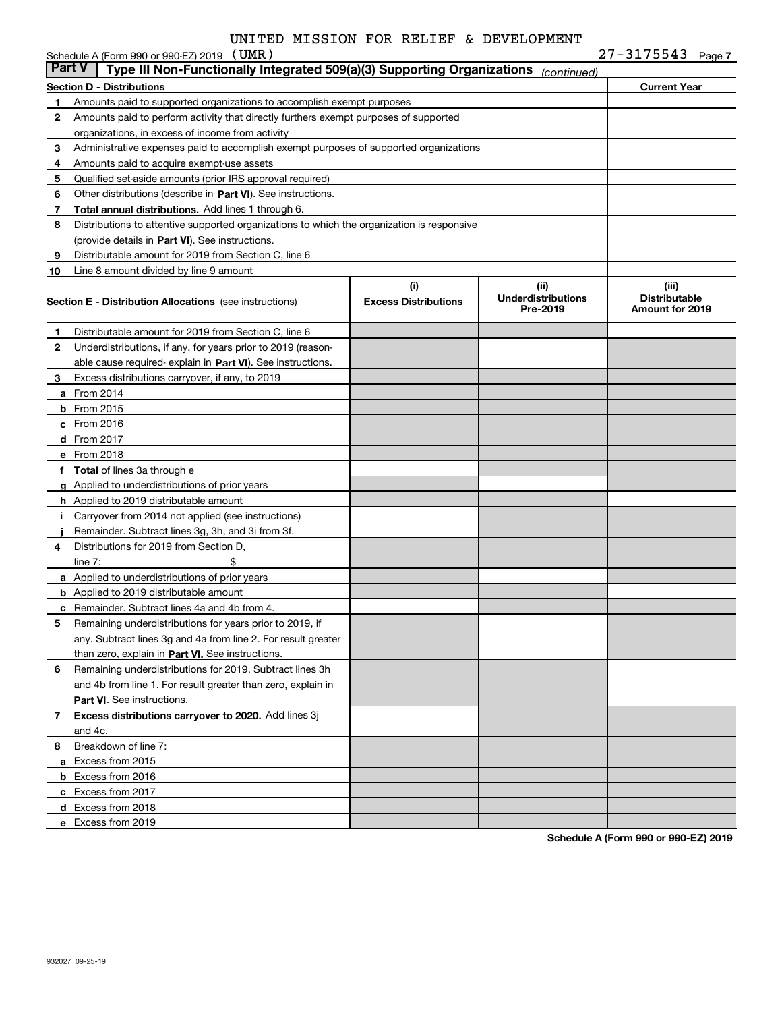|               | Schedule A (Form 990 or 990-EZ) 2019 (UMR)                                                 |                                    |                                               | $27 - 3175543$ Page 7                            |
|---------------|--------------------------------------------------------------------------------------------|------------------------------------|-----------------------------------------------|--------------------------------------------------|
| <b>Part V</b> | Type III Non-Functionally Integrated 509(a)(3) Supporting Organizations                    |                                    | (continued)                                   |                                                  |
|               | Section D - Distributions                                                                  |                                    |                                               | <b>Current Year</b>                              |
| 1             | Amounts paid to supported organizations to accomplish exempt purposes                      |                                    |                                               |                                                  |
| $\mathbf{2}$  | Amounts paid to perform activity that directly furthers exempt purposes of supported       |                                    |                                               |                                                  |
|               | organizations, in excess of income from activity                                           |                                    |                                               |                                                  |
| 3             | Administrative expenses paid to accomplish exempt purposes of supported organizations      |                                    |                                               |                                                  |
| 4             | Amounts paid to acquire exempt-use assets                                                  |                                    |                                               |                                                  |
| 5             | Qualified set-aside amounts (prior IRS approval required)                                  |                                    |                                               |                                                  |
| 6             | Other distributions (describe in Part VI). See instructions.                               |                                    |                                               |                                                  |
| 7             | <b>Total annual distributions.</b> Add lines 1 through 6.                                  |                                    |                                               |                                                  |
| 8             | Distributions to attentive supported organizations to which the organization is responsive |                                    |                                               |                                                  |
|               | (provide details in Part VI). See instructions.                                            |                                    |                                               |                                                  |
| 9             | Distributable amount for 2019 from Section C, line 6                                       |                                    |                                               |                                                  |
| 10            | Line 8 amount divided by line 9 amount                                                     |                                    |                                               |                                                  |
|               | <b>Section E - Distribution Allocations</b> (see instructions)                             | (i)<br><b>Excess Distributions</b> | (ii)<br><b>Underdistributions</b><br>Pre-2019 | (iii)<br><b>Distributable</b><br>Amount for 2019 |
| 1             | Distributable amount for 2019 from Section C, line 6                                       |                                    |                                               |                                                  |
| 2             | Underdistributions, if any, for years prior to 2019 (reason-                               |                                    |                                               |                                                  |
|               | able cause required- explain in Part VI). See instructions.                                |                                    |                                               |                                                  |
| 3             | Excess distributions carryover, if any, to 2019                                            |                                    |                                               |                                                  |
|               | <b>a</b> From 2014                                                                         |                                    |                                               |                                                  |
|               | <b>b</b> From $2015$                                                                       |                                    |                                               |                                                  |
|               | $c$ From 2016                                                                              |                                    |                                               |                                                  |
|               | d From 2017                                                                                |                                    |                                               |                                                  |
|               | e From 2018                                                                                |                                    |                                               |                                                  |
|               | f Total of lines 3a through e                                                              |                                    |                                               |                                                  |
|               | g Applied to underdistributions of prior years                                             |                                    |                                               |                                                  |
|               | <b>h</b> Applied to 2019 distributable amount                                              |                                    |                                               |                                                  |
| ÷Ī.           | Carryover from 2014 not applied (see instructions)                                         |                                    |                                               |                                                  |
|               | Remainder. Subtract lines 3g, 3h, and 3i from 3f.                                          |                                    |                                               |                                                  |
| 4             | Distributions for 2019 from Section D.                                                     |                                    |                                               |                                                  |
|               | line $7:$<br>\$                                                                            |                                    |                                               |                                                  |
|               | a Applied to underdistributions of prior years                                             |                                    |                                               |                                                  |
|               |                                                                                            |                                    |                                               |                                                  |
|               | <b>b</b> Applied to 2019 distributable amount                                              |                                    |                                               |                                                  |
|               | <b>c</b> Remainder. Subtract lines 4a and 4b from 4.                                       |                                    |                                               |                                                  |
| 5             | Remaining underdistributions for years prior to 2019, if                                   |                                    |                                               |                                                  |
|               | any. Subtract lines 3g and 4a from line 2. For result greater                              |                                    |                                               |                                                  |
|               | than zero, explain in Part VI. See instructions.                                           |                                    |                                               |                                                  |
| 6             | Remaining underdistributions for 2019. Subtract lines 3h                                   |                                    |                                               |                                                  |
|               | and 4b from line 1. For result greater than zero, explain in                               |                                    |                                               |                                                  |
|               | <b>Part VI.</b> See instructions.                                                          |                                    |                                               |                                                  |
| 7             | Excess distributions carryover to 2020. Add lines 3j                                       |                                    |                                               |                                                  |
|               | and 4c.                                                                                    |                                    |                                               |                                                  |
| 8             | Breakdown of line 7:                                                                       |                                    |                                               |                                                  |
|               | a Excess from 2015                                                                         |                                    |                                               |                                                  |
|               | <b>b</b> Excess from 2016                                                                  |                                    |                                               |                                                  |
|               | c Excess from 2017                                                                         |                                    |                                               |                                                  |
|               | d Excess from 2018                                                                         |                                    |                                               |                                                  |
|               | e Excess from 2019                                                                         |                                    |                                               |                                                  |

**Schedule A (Form 990 or 990-EZ) 2019**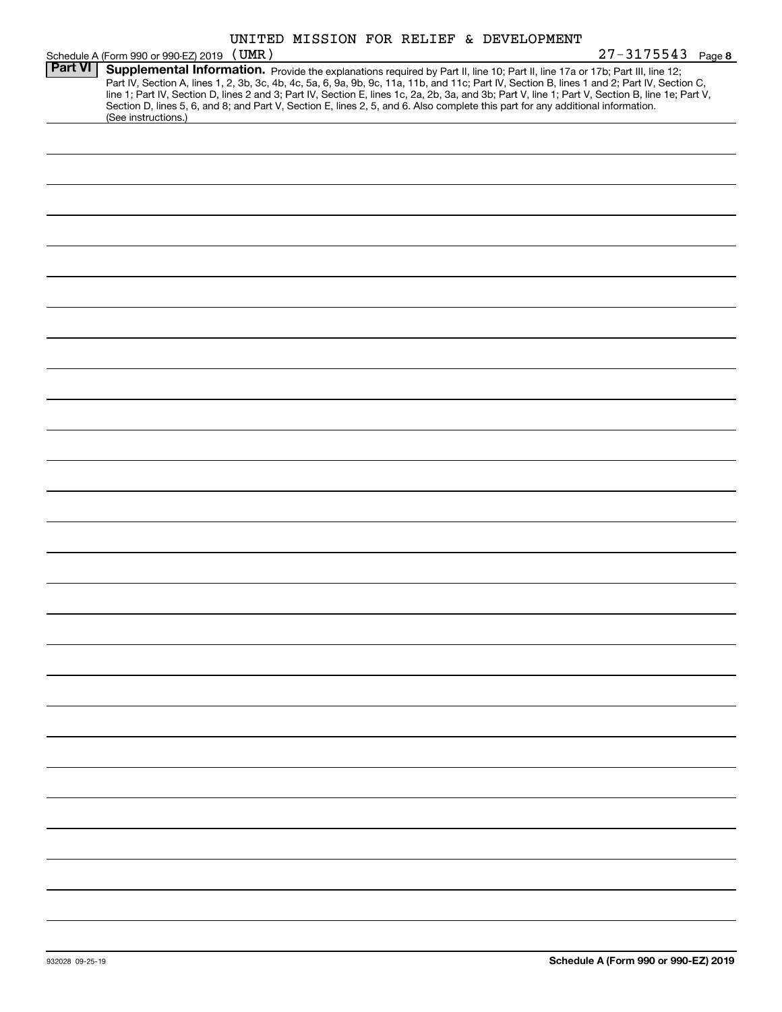|                | Schedule A (Form 990 or 990-EZ) 2019 (UMR)                                                                                                                                                                                                                                                                                                                                                                                              |  |  | UNITED MISSION FOR RELIEF & DEVELOPMENT | $27 - 3175543$<br>Page 8                                                                                                                         |
|----------------|-----------------------------------------------------------------------------------------------------------------------------------------------------------------------------------------------------------------------------------------------------------------------------------------------------------------------------------------------------------------------------------------------------------------------------------------|--|--|-----------------------------------------|--------------------------------------------------------------------------------------------------------------------------------------------------|
| <b>Part VI</b> | Supplemental Information. Provide the explanations required by Part II, line 10; Part II, line 17a or 17b; Part III, line 12;<br>Part IV, Section A, lines 1, 2, 3b, 3c, 4b, 4c, 5a, 6, 9a, 9b, 9c, 11a, 11b, and 11c; Part IV, Section B, lines 1 and 2; Part IV, Section C,<br>Section D, lines 5, 6, and 8; and Part V, Section E, lines 2, 5, and 6. Also complete this part for any additional information.<br>(See instructions.) |  |  |                                         | line 1; Part IV, Section D, lines 2 and 3; Part IV, Section E, lines 1c, 2a, 2b, 3a, and 3b; Part V, line 1; Part V, Section B, line 1e; Part V, |
|                |                                                                                                                                                                                                                                                                                                                                                                                                                                         |  |  |                                         |                                                                                                                                                  |
|                |                                                                                                                                                                                                                                                                                                                                                                                                                                         |  |  |                                         |                                                                                                                                                  |
|                |                                                                                                                                                                                                                                                                                                                                                                                                                                         |  |  |                                         |                                                                                                                                                  |
|                |                                                                                                                                                                                                                                                                                                                                                                                                                                         |  |  |                                         |                                                                                                                                                  |
|                |                                                                                                                                                                                                                                                                                                                                                                                                                                         |  |  |                                         |                                                                                                                                                  |
|                |                                                                                                                                                                                                                                                                                                                                                                                                                                         |  |  |                                         |                                                                                                                                                  |
|                |                                                                                                                                                                                                                                                                                                                                                                                                                                         |  |  |                                         |                                                                                                                                                  |
|                |                                                                                                                                                                                                                                                                                                                                                                                                                                         |  |  |                                         |                                                                                                                                                  |
|                |                                                                                                                                                                                                                                                                                                                                                                                                                                         |  |  |                                         |                                                                                                                                                  |
|                |                                                                                                                                                                                                                                                                                                                                                                                                                                         |  |  |                                         |                                                                                                                                                  |
|                |                                                                                                                                                                                                                                                                                                                                                                                                                                         |  |  |                                         |                                                                                                                                                  |
|                |                                                                                                                                                                                                                                                                                                                                                                                                                                         |  |  |                                         |                                                                                                                                                  |
|                |                                                                                                                                                                                                                                                                                                                                                                                                                                         |  |  |                                         |                                                                                                                                                  |
|                |                                                                                                                                                                                                                                                                                                                                                                                                                                         |  |  |                                         |                                                                                                                                                  |
|                |                                                                                                                                                                                                                                                                                                                                                                                                                                         |  |  |                                         |                                                                                                                                                  |
|                |                                                                                                                                                                                                                                                                                                                                                                                                                                         |  |  |                                         |                                                                                                                                                  |
|                |                                                                                                                                                                                                                                                                                                                                                                                                                                         |  |  |                                         |                                                                                                                                                  |
|                |                                                                                                                                                                                                                                                                                                                                                                                                                                         |  |  |                                         |                                                                                                                                                  |
|                |                                                                                                                                                                                                                                                                                                                                                                                                                                         |  |  |                                         |                                                                                                                                                  |
|                |                                                                                                                                                                                                                                                                                                                                                                                                                                         |  |  |                                         |                                                                                                                                                  |
|                |                                                                                                                                                                                                                                                                                                                                                                                                                                         |  |  |                                         |                                                                                                                                                  |
|                |                                                                                                                                                                                                                                                                                                                                                                                                                                         |  |  |                                         |                                                                                                                                                  |
|                |                                                                                                                                                                                                                                                                                                                                                                                                                                         |  |  |                                         |                                                                                                                                                  |
|                |                                                                                                                                                                                                                                                                                                                                                                                                                                         |  |  |                                         |                                                                                                                                                  |
|                |                                                                                                                                                                                                                                                                                                                                                                                                                                         |  |  |                                         |                                                                                                                                                  |
|                |                                                                                                                                                                                                                                                                                                                                                                                                                                         |  |  |                                         |                                                                                                                                                  |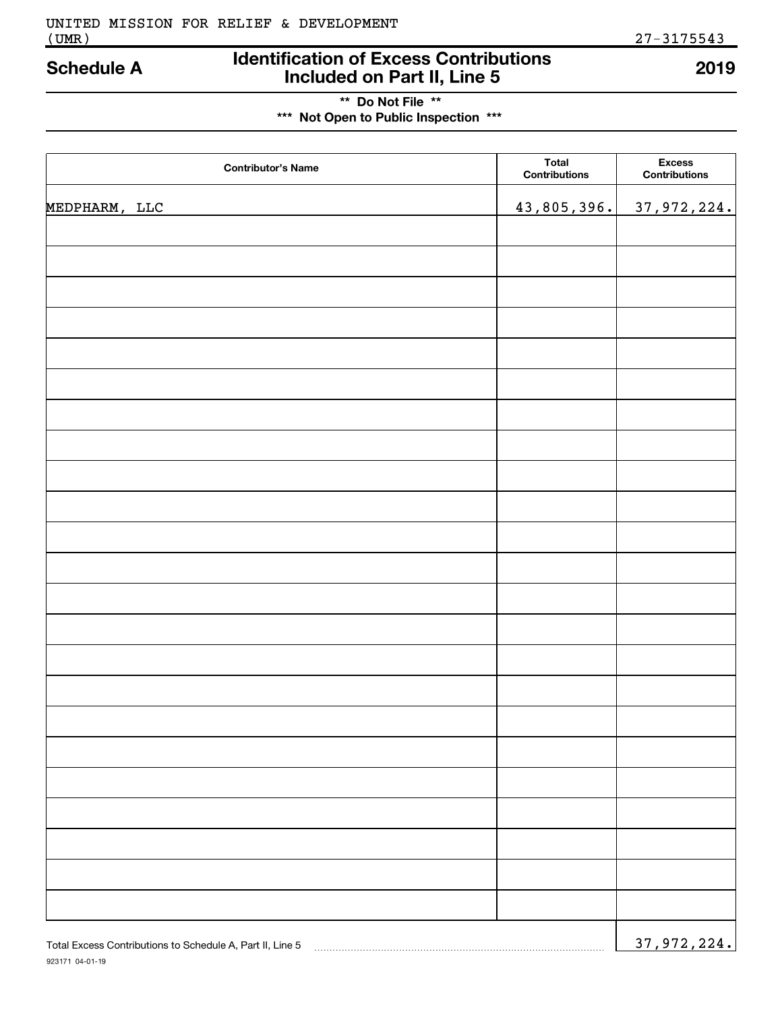### **Identification of Excess Contributions Included on Part II, Line 5 Schedule A 2019**

### **\*\* Do Not File \*\* \*\*\* Not Open to Public Inspection \*\*\***

|               | <b>Contributor's Name</b> | <b>Total</b><br>Contributions | <b>Excess</b><br><b>Contributions</b>                  |
|---------------|---------------------------|-------------------------------|--------------------------------------------------------|
| MEDPHARM, LLC |                           | 43,805,396.                   | 37,972,224.                                            |
|               |                           |                               |                                                        |
|               |                           |                               |                                                        |
|               |                           |                               |                                                        |
|               |                           |                               |                                                        |
|               |                           |                               |                                                        |
|               |                           |                               |                                                        |
|               |                           |                               |                                                        |
|               |                           |                               |                                                        |
|               |                           |                               |                                                        |
|               |                           |                               |                                                        |
|               |                           |                               |                                                        |
|               |                           |                               |                                                        |
|               |                           |                               |                                                        |
|               |                           |                               |                                                        |
|               |                           |                               |                                                        |
|               |                           |                               |                                                        |
|               |                           |                               |                                                        |
|               |                           |                               |                                                        |
|               |                           |                               |                                                        |
|               |                           |                               |                                                        |
|               |                           |                               |                                                        |
|               |                           |                               |                                                        |
|               |                           |                               |                                                        |
|               |                           |                               | $\sim$ $\sim$<br>$\sim$ $\sim$<br>$\sim$ $\sim$ $\sim$ |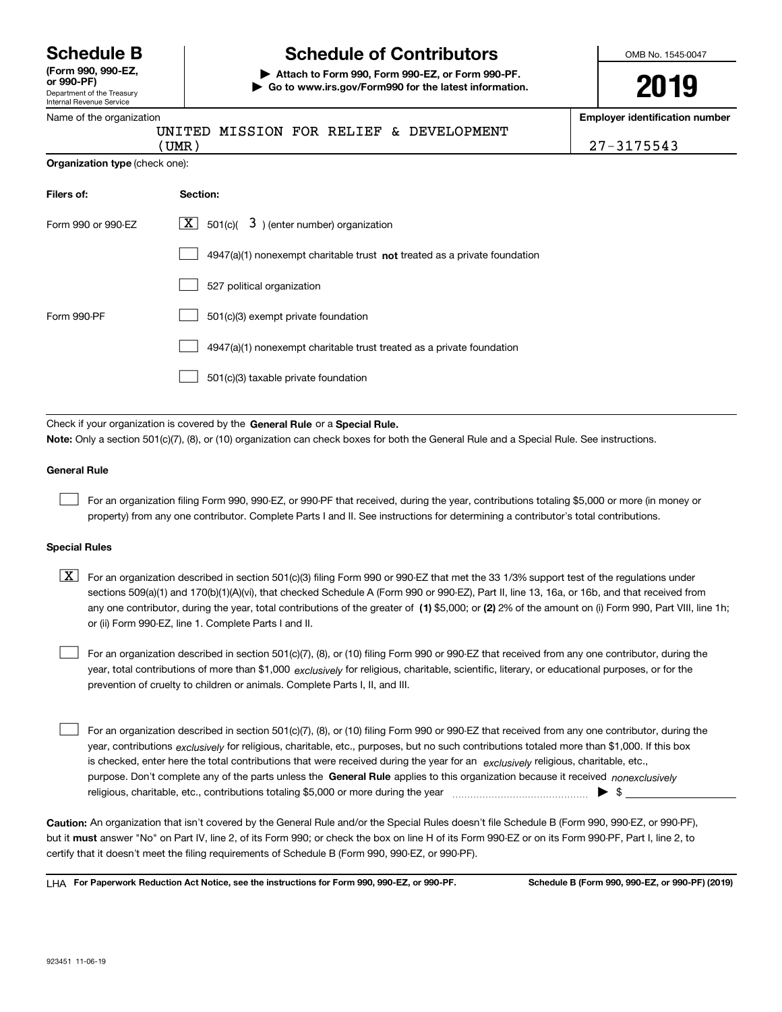Department of the Treasury Internal Revenue Service **(Form 990, 990-EZ, or 990-PF)**

Name of the organization

## **Schedule B Schedule of Contributors**

**| Attach to Form 990, Form 990-EZ, or Form 990-PF. | Go to www.irs.gov/Form990 for the latest information.** OMB No. 1545-0047

# **2019**

**Employer identification number**

|                                | UNITED MISSION FOR RELIEF & DEVELOPMENT<br>(UMR)                          | $27 - 3175543$ |
|--------------------------------|---------------------------------------------------------------------------|----------------|
| Organization type (check one): |                                                                           |                |
| Filers of:                     | Section:                                                                  |                |
| Form 990 or 990-EZ             | $\lfloor x \rfloor$ 501(c)( 3) (enter number) organization                |                |
|                                | 4947(a)(1) nonexempt charitable trust not treated as a private foundation |                |
|                                | 527 political organization                                                |                |
| Form 990-PF                    | 501(c)(3) exempt private foundation                                       |                |
|                                | 4947(a)(1) nonexempt charitable trust treated as a private foundation     |                |
|                                | 501(c)(3) taxable private foundation                                      |                |
|                                |                                                                           |                |

Check if your organization is covered by the **General Rule** or a **Special Rule. Note:**  Only a section 501(c)(7), (8), or (10) organization can check boxes for both the General Rule and a Special Rule. See instructions.

### **General Rule**

 $\mathcal{L}^{\text{max}}$ 

For an organization filing Form 990, 990-EZ, or 990-PF that received, during the year, contributions totaling \$5,000 or more (in money or property) from any one contributor. Complete Parts I and II. See instructions for determining a contributor's total contributions.

#### **Special Rules**

any one contributor, during the year, total contributions of the greater of  $\,$  (1) \$5,000; or **(2)** 2% of the amount on (i) Form 990, Part VIII, line 1h;  $\boxed{\textbf{X}}$  For an organization described in section 501(c)(3) filing Form 990 or 990-EZ that met the 33 1/3% support test of the regulations under sections 509(a)(1) and 170(b)(1)(A)(vi), that checked Schedule A (Form 990 or 990-EZ), Part II, line 13, 16a, or 16b, and that received from or (ii) Form 990-EZ, line 1. Complete Parts I and II.

year, total contributions of more than \$1,000 *exclusively* for religious, charitable, scientific, literary, or educational purposes, or for the For an organization described in section 501(c)(7), (8), or (10) filing Form 990 or 990-EZ that received from any one contributor, during the prevention of cruelty to children or animals. Complete Parts I, II, and III.  $\mathcal{L}^{\text{max}}$ 

purpose. Don't complete any of the parts unless the **General Rule** applies to this organization because it received *nonexclusively* year, contributions <sub>exclusively</sub> for religious, charitable, etc., purposes, but no such contributions totaled more than \$1,000. If this box is checked, enter here the total contributions that were received during the year for an  $\;$ exclusively religious, charitable, etc., For an organization described in section 501(c)(7), (8), or (10) filing Form 990 or 990-EZ that received from any one contributor, during the religious, charitable, etc., contributions totaling \$5,000 or more during the year  $\Box$ — $\Box$   $\Box$  $\mathcal{L}^{\text{max}}$ 

**Caution:**  An organization that isn't covered by the General Rule and/or the Special Rules doesn't file Schedule B (Form 990, 990-EZ, or 990-PF),  **must** but it answer "No" on Part IV, line 2, of its Form 990; or check the box on line H of its Form 990-EZ or on its Form 990-PF, Part I, line 2, to certify that it doesn't meet the filing requirements of Schedule B (Form 990, 990-EZ, or 990-PF).

**For Paperwork Reduction Act Notice, see the instructions for Form 990, 990-EZ, or 990-PF. Schedule B (Form 990, 990-EZ, or 990-PF) (2019)** LHA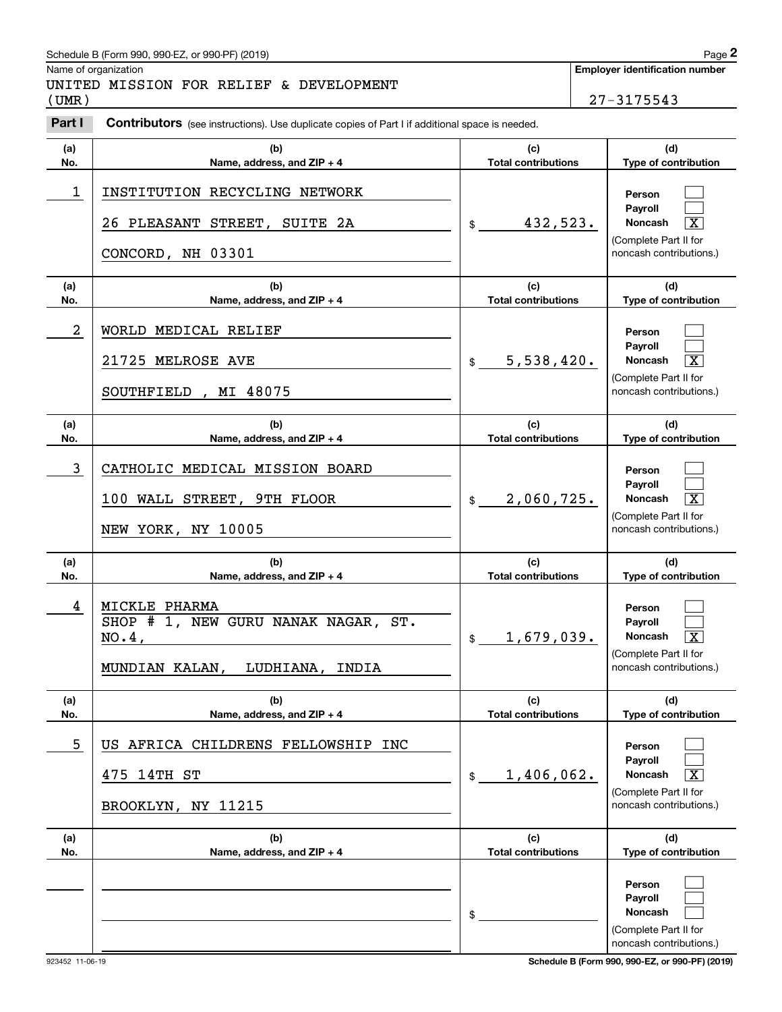### Schedule B (Form 990, 990-EZ, or 990-PF) (2019) Page 2

Name of organization

## Chedule B (Form 990, 990-EZ, or 990-PF) (2019)<br>Iame of organization<br>**INITED MISSION FOR RELIEF & DEVELOPMENT**<br>UMR) 27-3175543<br>**Part I** Contributors (see instructions). Use duplicate copies of Part I if additional space is UNITED MISSION FOR RELIEF & DEVELOPMENT (UMR) 27-3175543

**Employer identification number**

| Part I                  | <b>Contributors</b> (see instructions). Use duplicate copies of Part I if additional space is needed.                            |                                                           |                                                                                                                                   |
|-------------------------|----------------------------------------------------------------------------------------------------------------------------------|-----------------------------------------------------------|-----------------------------------------------------------------------------------------------------------------------------------|
| (a)<br>No.              | (b)<br>Name, address, and ZIP + 4                                                                                                | (c)<br><b>Total contributions</b>                         | (d)<br>Type of contribution                                                                                                       |
| 1                       | INSTITUTION RECYCLING NETWORK<br>26 PLEASANT STREET, SUITE 2A<br>CONCORD, NH 03301                                               | 432,523.<br>$\frac{1}{2}$                                 | Person<br>Payroll<br>Noncash<br>$\overline{\text{X}}$<br>(Complete Part II for<br>noncash contributions.)                         |
| (a)<br>No.              | (b)<br>Name, address, and ZIP + 4                                                                                                | (c)<br><b>Total contributions</b>                         | (d)<br>Type of contribution                                                                                                       |
| $\overline{\mathbf{2}}$ | WORLD MEDICAL RELIEF<br>21725 MELROSE AVE<br>SOUTHFIELD, MI 48075                                                                | 5,538,420.<br>\$                                          | Person<br>Payroll<br>Noncash<br>$\overline{\mathbf{x}}$<br>(Complete Part II for<br>noncash contributions.)                       |
| (a)<br>No.              | (b)<br>Name, address, and ZIP + 4                                                                                                | (c)<br><b>Total contributions</b>                         | (d)<br>Type of contribution                                                                                                       |
| $\mathbf{3}$            | CATHOLIC MEDICAL MISSION BOARD<br>100 WALL STREET, 9TH FLOOR<br>NEW YORK, NY 10005                                               | 2,060,725.<br>$\frac{1}{2}$                               | Person<br>Payroll<br>Noncash<br>$\overline{\mathbf{x}}$<br>(Complete Part II for<br>noncash contributions.)                       |
| (a)                     | (b)                                                                                                                              | (c)                                                       | (d)                                                                                                                               |
| No.<br>4                | Name, address, and ZIP + 4<br>MICKLE PHARMA<br>SHOP # 1, NEW GURU NANAK NAGAR, ST.<br>$NO.4$ ,<br>MUNDIAN KALAN, LUDHIANA, INDIA | <b>Total contributions</b><br>1,679,039.<br>$\frac{1}{2}$ | Type of contribution<br>Person<br>Payroll<br>$\overline{\text{X}}$<br>Noncash<br>(Complete Part II for<br>noncash contributions.) |
| (a)<br>No.              | (b)<br>Name, address, and $ZIP + 4$                                                                                              | (c)<br><b>Total contributions</b>                         | (d)<br>Type of contribution                                                                                                       |
| 5                       | AFRICA CHILDRENS FELLOWSHIP<br>INC<br>US.<br>475 14TH ST<br>NY 11215<br>BROOKLYN,                                                | 1,406,062.<br>$\mathsf{\$}$                               | Person<br>Payroll<br>Noncash<br>$\overline{\texttt{x}}$<br>(Complete Part II for<br>noncash contributions.)                       |
| (a)<br>No.              | (b)<br>Name, address, and ZIP + 4                                                                                                | (c)<br><b>Total contributions</b>                         | (d)<br>Type of contribution                                                                                                       |
|                         |                                                                                                                                  | \$                                                        | Person<br>Payroll<br><b>Noncash</b><br>(Complete Part II for<br>noncash contributions.)                                           |

<sup>923452 11-06-19</sup> **Schedule B (Form 990, 990-EZ, or 990-PF) (2019)**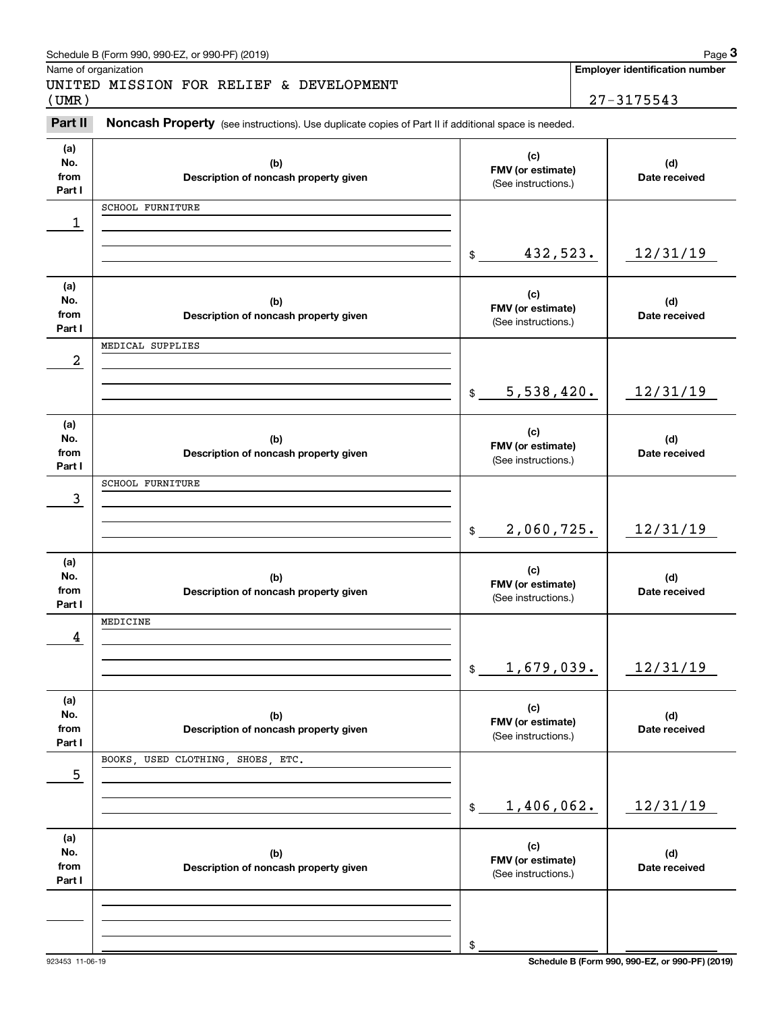|                      | Schedule B (Form 990, 990-EZ, or 990-PF) (2019)                                                     |                                          |  | Page 3                                |  |
|----------------------|-----------------------------------------------------------------------------------------------------|------------------------------------------|--|---------------------------------------|--|
| Name of organization |                                                                                                     |                                          |  | <b>Employer identification number</b> |  |
|                      | UNITED MISSION FOR RELIEF & DEVELOPMENT                                                             |                                          |  |                                       |  |
| (UMR)                |                                                                                                     |                                          |  | $27 - 3175543$                        |  |
| Part II              | Noncash Property (see instructions). Use duplicate copies of Part II if additional space is needed. |                                          |  |                                       |  |
| (a)                  |                                                                                                     |                                          |  |                                       |  |
| No.                  | (b)                                                                                                 | (c)                                      |  | (d)                                   |  |
| from                 | Description of noncash property given                                                               | FMV (or estimate)<br>(See instructions.) |  | Date received                         |  |
| Part I               |                                                                                                     |                                          |  |                                       |  |
|                      | SCHOOL FURNITURE                                                                                    |                                          |  |                                       |  |
| 1                    |                                                                                                     |                                          |  |                                       |  |
|                      |                                                                                                     |                                          |  |                                       |  |
|                      |                                                                                                     | 432,523.<br>$\frac{1}{2}$                |  | 12/31/19                              |  |
|                      |                                                                                                     |                                          |  |                                       |  |
| (a)                  |                                                                                                     | (c)                                      |  |                                       |  |
| No.                  | (b)                                                                                                 | FMV (or estimate)                        |  | (d)                                   |  |
| from<br>Part I       | Description of noncash property given                                                               | (See instructions.)                      |  | Date received                         |  |
|                      | MEDICAL SUPPLIES                                                                                    |                                          |  |                                       |  |
| $\boldsymbol{2}$     |                                                                                                     |                                          |  |                                       |  |
|                      |                                                                                                     |                                          |  |                                       |  |
|                      |                                                                                                     | 5,538,420.<br>$\frac{1}{2}$              |  | 12/31/19                              |  |
|                      |                                                                                                     |                                          |  |                                       |  |
| (a)                  |                                                                                                     |                                          |  |                                       |  |
| No.                  | (b)                                                                                                 | (c)                                      |  | (d)                                   |  |
| from                 | Description of noncash property given                                                               | FMV (or estimate)                        |  | Date received                         |  |
| Part I               |                                                                                                     | (See instructions.)                      |  |                                       |  |
|                      | SCHOOL FURNITURE                                                                                    |                                          |  |                                       |  |
| 3                    |                                                                                                     |                                          |  |                                       |  |
|                      |                                                                                                     |                                          |  |                                       |  |
|                      |                                                                                                     | 2,060,725.<br>$\frac{1}{2}$              |  | 12/31/19                              |  |
|                      |                                                                                                     |                                          |  |                                       |  |
| (a)                  |                                                                                                     | (c)                                      |  |                                       |  |
| No.                  | (b)                                                                                                 | FMV (or estimate)                        |  | (d)                                   |  |
| from<br>Part I       | Description of noncash property given                                                               | (See instructions.)                      |  | Date received                         |  |
|                      | MEDICINE                                                                                            |                                          |  |                                       |  |
| 4                    |                                                                                                     |                                          |  |                                       |  |
|                      |                                                                                                     |                                          |  |                                       |  |
|                      |                                                                                                     | 1,679,039.<br>\$                         |  | 12/31/19                              |  |
|                      |                                                                                                     |                                          |  |                                       |  |
| (a)                  |                                                                                                     |                                          |  |                                       |  |
| No.                  | (b)                                                                                                 | (c)                                      |  | (d)                                   |  |
| from                 | Description of noncash property given                                                               | FMV (or estimate)<br>(See instructions.) |  | Date received                         |  |
| Part I               |                                                                                                     |                                          |  |                                       |  |
|                      | BOOKS, USED CLOTHING, SHOES, ETC.                                                                   |                                          |  |                                       |  |
| 5                    |                                                                                                     |                                          |  |                                       |  |
|                      |                                                                                                     |                                          |  |                                       |  |
|                      |                                                                                                     | 1,406,062.<br>$\$\$                      |  | 12/31/19                              |  |
|                      |                                                                                                     |                                          |  |                                       |  |
| (a)                  |                                                                                                     | (c)                                      |  |                                       |  |
| No.<br>from          | (b)                                                                                                 | FMV (or estimate)                        |  | (d)                                   |  |
| Part I               | Description of noncash property given                                                               | (See instructions.)                      |  | Date received                         |  |
|                      |                                                                                                     |                                          |  |                                       |  |
|                      |                                                                                                     |                                          |  |                                       |  |
|                      |                                                                                                     |                                          |  |                                       |  |
|                      |                                                                                                     | \$                                       |  |                                       |  |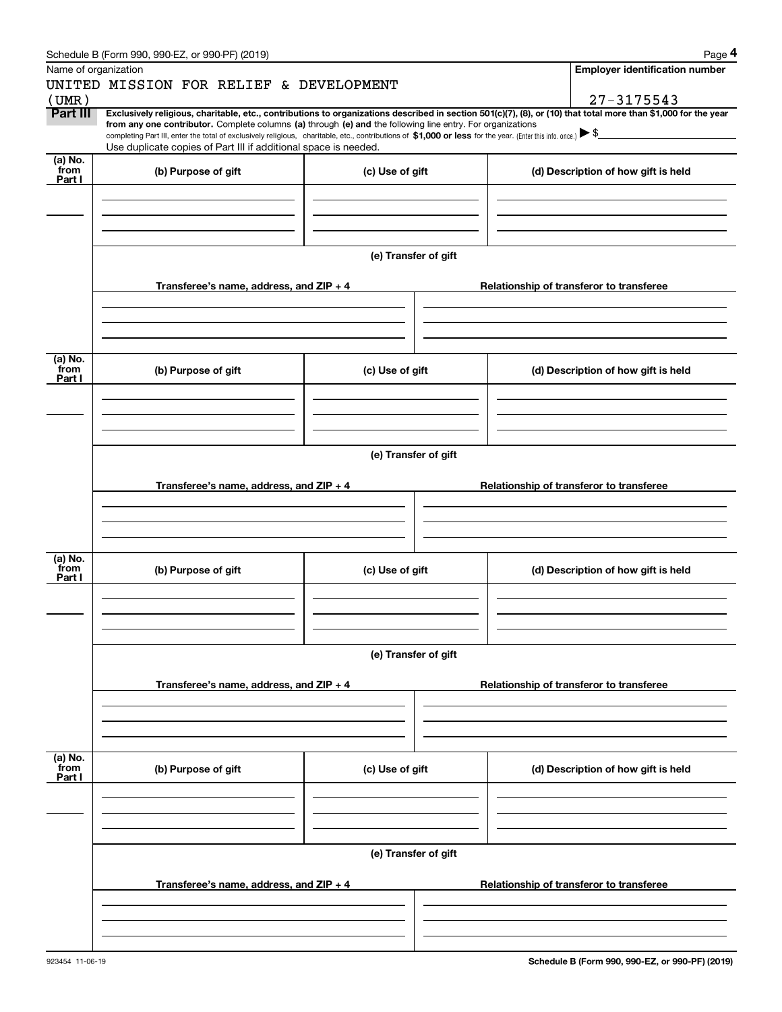|                      | Schedule B (Form 990, 990-EZ, or 990-PF) (2019)                                                                                                                                                                                                                                                 |                      | Page 4                                                                                                                                                         |  |  |  |  |  |
|----------------------|-------------------------------------------------------------------------------------------------------------------------------------------------------------------------------------------------------------------------------------------------------------------------------------------------|----------------------|----------------------------------------------------------------------------------------------------------------------------------------------------------------|--|--|--|--|--|
| Name of organization | UNITED MISSION FOR RELIEF & DEVELOPMENT                                                                                                                                                                                                                                                         |                      | <b>Employer identification number</b>                                                                                                                          |  |  |  |  |  |
| (UMR)                |                                                                                                                                                                                                                                                                                                 |                      | 27-3175543                                                                                                                                                     |  |  |  |  |  |
| Part III             |                                                                                                                                                                                                                                                                                                 |                      | Exclusively religious, charitable, etc., contributions to organizations described in section 501(c)(7), (8), or (10) that total more than \$1,000 for the year |  |  |  |  |  |
|                      | from any one contributor. Complete columns (a) through (e) and the following line entry. For organizations<br>completing Part III, enter the total of exclusively religious, charitable, etc., contributions of \$1,000 or less for the year. (Enter this info. once.) $\blacktriangleright$ \$ |                      |                                                                                                                                                                |  |  |  |  |  |
|                      | Use duplicate copies of Part III if additional space is needed.                                                                                                                                                                                                                                 |                      |                                                                                                                                                                |  |  |  |  |  |
| (a) No.<br>from      | (b) Purpose of gift                                                                                                                                                                                                                                                                             | (c) Use of gift      | (d) Description of how gift is held                                                                                                                            |  |  |  |  |  |
| Part I               |                                                                                                                                                                                                                                                                                                 |                      |                                                                                                                                                                |  |  |  |  |  |
|                      |                                                                                                                                                                                                                                                                                                 |                      |                                                                                                                                                                |  |  |  |  |  |
|                      |                                                                                                                                                                                                                                                                                                 |                      |                                                                                                                                                                |  |  |  |  |  |
|                      |                                                                                                                                                                                                                                                                                                 |                      |                                                                                                                                                                |  |  |  |  |  |
|                      |                                                                                                                                                                                                                                                                                                 | (e) Transfer of gift |                                                                                                                                                                |  |  |  |  |  |
|                      | Transferee's name, address, and ZIP + 4                                                                                                                                                                                                                                                         |                      | Relationship of transferor to transferee                                                                                                                       |  |  |  |  |  |
|                      |                                                                                                                                                                                                                                                                                                 |                      |                                                                                                                                                                |  |  |  |  |  |
|                      |                                                                                                                                                                                                                                                                                                 |                      |                                                                                                                                                                |  |  |  |  |  |
|                      |                                                                                                                                                                                                                                                                                                 |                      |                                                                                                                                                                |  |  |  |  |  |
| (a) No.              |                                                                                                                                                                                                                                                                                                 |                      |                                                                                                                                                                |  |  |  |  |  |
| from<br>Part I       | (b) Purpose of gift                                                                                                                                                                                                                                                                             | (c) Use of gift      | (d) Description of how gift is held                                                                                                                            |  |  |  |  |  |
|                      |                                                                                                                                                                                                                                                                                                 |                      |                                                                                                                                                                |  |  |  |  |  |
|                      |                                                                                                                                                                                                                                                                                                 |                      |                                                                                                                                                                |  |  |  |  |  |
|                      |                                                                                                                                                                                                                                                                                                 |                      |                                                                                                                                                                |  |  |  |  |  |
|                      | (e) Transfer of gift                                                                                                                                                                                                                                                                            |                      |                                                                                                                                                                |  |  |  |  |  |
|                      |                                                                                                                                                                                                                                                                                                 |                      |                                                                                                                                                                |  |  |  |  |  |
|                      | Transferee's name, address, and ZIP + 4                                                                                                                                                                                                                                                         |                      | Relationship of transferor to transferee                                                                                                                       |  |  |  |  |  |
|                      |                                                                                                                                                                                                                                                                                                 |                      |                                                                                                                                                                |  |  |  |  |  |
|                      |                                                                                                                                                                                                                                                                                                 |                      |                                                                                                                                                                |  |  |  |  |  |
|                      |                                                                                                                                                                                                                                                                                                 |                      |                                                                                                                                                                |  |  |  |  |  |
| (a) No.<br>from      | (b) Purpose of gift                                                                                                                                                                                                                                                                             | (c) Use of gift      | (d) Description of how gift is held                                                                                                                            |  |  |  |  |  |
| Part I               |                                                                                                                                                                                                                                                                                                 |                      |                                                                                                                                                                |  |  |  |  |  |
|                      |                                                                                                                                                                                                                                                                                                 |                      |                                                                                                                                                                |  |  |  |  |  |
|                      |                                                                                                                                                                                                                                                                                                 |                      |                                                                                                                                                                |  |  |  |  |  |
|                      |                                                                                                                                                                                                                                                                                                 |                      |                                                                                                                                                                |  |  |  |  |  |
|                      |                                                                                                                                                                                                                                                                                                 | (e) Transfer of gift |                                                                                                                                                                |  |  |  |  |  |
|                      | Transferee's name, address, and $ZIP + 4$                                                                                                                                                                                                                                                       |                      | Relationship of transferor to transferee                                                                                                                       |  |  |  |  |  |
|                      |                                                                                                                                                                                                                                                                                                 |                      |                                                                                                                                                                |  |  |  |  |  |
|                      |                                                                                                                                                                                                                                                                                                 |                      |                                                                                                                                                                |  |  |  |  |  |
|                      |                                                                                                                                                                                                                                                                                                 |                      |                                                                                                                                                                |  |  |  |  |  |
| (a) No.<br>from      | (b) Purpose of gift                                                                                                                                                                                                                                                                             | (c) Use of gift      | (d) Description of how gift is held                                                                                                                            |  |  |  |  |  |
| Part I               |                                                                                                                                                                                                                                                                                                 |                      |                                                                                                                                                                |  |  |  |  |  |
|                      |                                                                                                                                                                                                                                                                                                 |                      |                                                                                                                                                                |  |  |  |  |  |
|                      |                                                                                                                                                                                                                                                                                                 |                      |                                                                                                                                                                |  |  |  |  |  |
|                      |                                                                                                                                                                                                                                                                                                 |                      |                                                                                                                                                                |  |  |  |  |  |
|                      |                                                                                                                                                                                                                                                                                                 | (e) Transfer of gift |                                                                                                                                                                |  |  |  |  |  |
|                      | Transferee's name, address, and $ZIP + 4$                                                                                                                                                                                                                                                       |                      | Relationship of transferor to transferee                                                                                                                       |  |  |  |  |  |
|                      |                                                                                                                                                                                                                                                                                                 |                      |                                                                                                                                                                |  |  |  |  |  |
|                      |                                                                                                                                                                                                                                                                                                 |                      |                                                                                                                                                                |  |  |  |  |  |
|                      |                                                                                                                                                                                                                                                                                                 |                      |                                                                                                                                                                |  |  |  |  |  |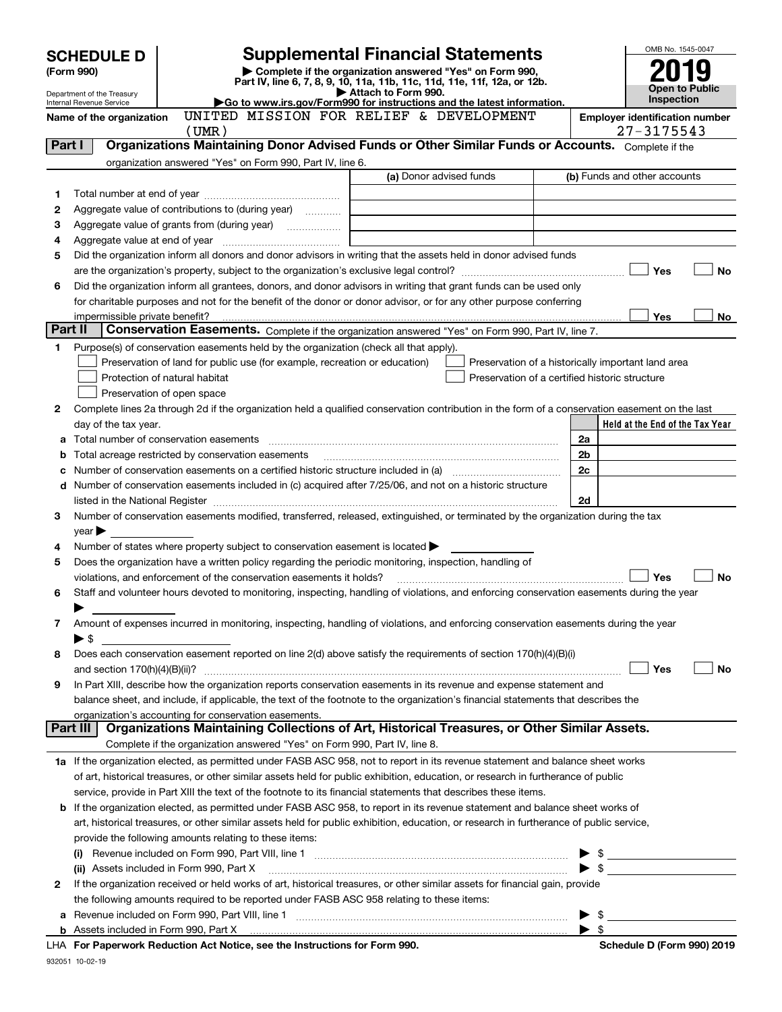| <b>Supplemental Financial Statements</b><br><b>SCHEDULE D</b> |                                                                                                                                                                                        | OMB No. 1545-0047                                                                                      |                                                                                                                                                                                                                               |                          |                                                    |  |  |
|---------------------------------------------------------------|----------------------------------------------------------------------------------------------------------------------------------------------------------------------------------------|--------------------------------------------------------------------------------------------------------|-------------------------------------------------------------------------------------------------------------------------------------------------------------------------------------------------------------------------------|--------------------------|----------------------------------------------------|--|--|
|                                                               | Complete if the organization answered "Yes" on Form 990,<br>(Form 990)                                                                                                                 |                                                                                                        |                                                                                                                                                                                                                               |                          |                                                    |  |  |
|                                                               |                                                                                                                                                                                        |                                                                                                        | <b>Open to Public</b>                                                                                                                                                                                                         |                          |                                                    |  |  |
|                                                               | Department of the Treasury<br>Internal Revenue Service                                                                                                                                 | <b>Inspection</b>                                                                                      |                                                                                                                                                                                                                               |                          |                                                    |  |  |
|                                                               | Go to www.irs.gov/Form990 for instructions and the latest information.<br>UNITED MISSION FOR RELIEF & DEVELOPMENT<br><b>Employer identification number</b><br>Name of the organization |                                                                                                        |                                                                                                                                                                                                                               |                          |                                                    |  |  |
|                                                               | $27 - 3175543$<br>(UMR )                                                                                                                                                               |                                                                                                        |                                                                                                                                                                                                                               |                          |                                                    |  |  |
| Part I                                                        |                                                                                                                                                                                        |                                                                                                        | Organizations Maintaining Donor Advised Funds or Other Similar Funds or Accounts. Complete if the                                                                                                                             |                          |                                                    |  |  |
|                                                               |                                                                                                                                                                                        | organization answered "Yes" on Form 990, Part IV, line 6.                                              |                                                                                                                                                                                                                               |                          |                                                    |  |  |
|                                                               |                                                                                                                                                                                        |                                                                                                        | (a) Donor advised funds                                                                                                                                                                                                       |                          | (b) Funds and other accounts                       |  |  |
| 1                                                             |                                                                                                                                                                                        |                                                                                                        |                                                                                                                                                                                                                               |                          |                                                    |  |  |
| 2                                                             |                                                                                                                                                                                        | Aggregate value of contributions to (during year)                                                      | the control of the control of the control of the control of the control of the control of                                                                                                                                     |                          |                                                    |  |  |
| 3                                                             |                                                                                                                                                                                        |                                                                                                        |                                                                                                                                                                                                                               |                          |                                                    |  |  |
| 4                                                             |                                                                                                                                                                                        |                                                                                                        |                                                                                                                                                                                                                               |                          |                                                    |  |  |
| 5                                                             |                                                                                                                                                                                        |                                                                                                        | Did the organization inform all donors and donor advisors in writing that the assets held in donor advised funds                                                                                                              |                          |                                                    |  |  |
|                                                               |                                                                                                                                                                                        |                                                                                                        |                                                                                                                                                                                                                               |                          | Yes<br>No                                          |  |  |
| 6                                                             |                                                                                                                                                                                        |                                                                                                        | Did the organization inform all grantees, donors, and donor advisors in writing that grant funds can be used only                                                                                                             |                          |                                                    |  |  |
|                                                               |                                                                                                                                                                                        |                                                                                                        | for charitable purposes and not for the benefit of the donor or donor advisor, or for any other purpose conferring                                                                                                            |                          | Yes<br>No.                                         |  |  |
| Part II                                                       | impermissible private benefit?                                                                                                                                                         |                                                                                                        | Conservation Easements. Complete if the organization answered "Yes" on Form 990, Part IV, line 7.                                                                                                                             |                          |                                                    |  |  |
| 1                                                             |                                                                                                                                                                                        | Purpose(s) of conservation easements held by the organization (check all that apply).                  |                                                                                                                                                                                                                               |                          |                                                    |  |  |
|                                                               |                                                                                                                                                                                        | Preservation of land for public use (for example, recreation or education)                             |                                                                                                                                                                                                                               |                          | Preservation of a historically important land area |  |  |
|                                                               |                                                                                                                                                                                        | Protection of natural habitat                                                                          | Preservation of a certified historic structure                                                                                                                                                                                |                          |                                                    |  |  |
|                                                               |                                                                                                                                                                                        | Preservation of open space                                                                             |                                                                                                                                                                                                                               |                          |                                                    |  |  |
| 2                                                             |                                                                                                                                                                                        |                                                                                                        | Complete lines 2a through 2d if the organization held a qualified conservation contribution in the form of a conservation easement on the last                                                                                |                          |                                                    |  |  |
|                                                               | day of the tax year.                                                                                                                                                                   |                                                                                                        |                                                                                                                                                                                                                               |                          | Held at the End of the Tax Year                    |  |  |
| a                                                             |                                                                                                                                                                                        |                                                                                                        |                                                                                                                                                                                                                               | 2a                       |                                                    |  |  |
| b                                                             |                                                                                                                                                                                        | Total acreage restricted by conservation easements                                                     |                                                                                                                                                                                                                               | 2b                       |                                                    |  |  |
| c                                                             |                                                                                                                                                                                        |                                                                                                        |                                                                                                                                                                                                                               | 2c                       |                                                    |  |  |
| d                                                             |                                                                                                                                                                                        |                                                                                                        | Number of conservation easements included in (c) acquired after 7/25/06, and not on a historic structure                                                                                                                      |                          |                                                    |  |  |
|                                                               |                                                                                                                                                                                        |                                                                                                        | listed in the National Register [111] Marshall Register [11] Marshall Register [11] Marshall Register [11] Marshall Register [11] Marshall Register [11] Marshall Register [11] Marshall Register [11] Marshall Register [11] | 2d                       |                                                    |  |  |
| 3                                                             |                                                                                                                                                                                        |                                                                                                        | Number of conservation easements modified, transferred, released, extinguished, or terminated by the organization during the tax                                                                                              |                          |                                                    |  |  |
|                                                               | $year \blacktriangleright$                                                                                                                                                             |                                                                                                        |                                                                                                                                                                                                                               |                          |                                                    |  |  |
| 4                                                             |                                                                                                                                                                                        | Number of states where property subject to conservation easement is located $\blacktriangleright$      |                                                                                                                                                                                                                               |                          |                                                    |  |  |
| 5                                                             |                                                                                                                                                                                        | Does the organization have a written policy regarding the periodic monitoring, inspection, handling of |                                                                                                                                                                                                                               |                          |                                                    |  |  |
|                                                               |                                                                                                                                                                                        | violations, and enforcement of the conservation easements it holds?                                    |                                                                                                                                                                                                                               |                          | <b>No</b><br>Yes                                   |  |  |
| 6                                                             |                                                                                                                                                                                        |                                                                                                        | Staff and volunteer hours devoted to monitoring, inspecting, handling of violations, and enforcing conservation easements during the year                                                                                     |                          |                                                    |  |  |
|                                                               |                                                                                                                                                                                        |                                                                                                        |                                                                                                                                                                                                                               |                          |                                                    |  |  |
| 7                                                             |                                                                                                                                                                                        |                                                                                                        | Amount of expenses incurred in monitoring, inspecting, handling of violations, and enforcing conservation easements during the year                                                                                           |                          |                                                    |  |  |
|                                                               | $\blacktriangleright$ \$                                                                                                                                                               |                                                                                                        |                                                                                                                                                                                                                               |                          |                                                    |  |  |
| 8                                                             |                                                                                                                                                                                        |                                                                                                        | Does each conservation easement reported on line 2(d) above satisfy the requirements of section 170(h)(4)(B)(i)                                                                                                               |                          | Yes<br>No                                          |  |  |
| 9                                                             |                                                                                                                                                                                        |                                                                                                        | In Part XIII, describe how the organization reports conservation easements in its revenue and expense statement and                                                                                                           |                          |                                                    |  |  |
|                                                               |                                                                                                                                                                                        |                                                                                                        | balance sheet, and include, if applicable, the text of the footnote to the organization's financial statements that describes the                                                                                             |                          |                                                    |  |  |
|                                                               |                                                                                                                                                                                        | organization's accounting for conservation easements.                                                  |                                                                                                                                                                                                                               |                          |                                                    |  |  |
|                                                               | Part III                                                                                                                                                                               |                                                                                                        | Organizations Maintaining Collections of Art, Historical Treasures, or Other Similar Assets.                                                                                                                                  |                          |                                                    |  |  |
|                                                               |                                                                                                                                                                                        | Complete if the organization answered "Yes" on Form 990, Part IV, line 8.                              |                                                                                                                                                                                                                               |                          |                                                    |  |  |
|                                                               |                                                                                                                                                                                        |                                                                                                        | 1a If the organization elected, as permitted under FASB ASC 958, not to report in its revenue statement and balance sheet works                                                                                               |                          |                                                    |  |  |
|                                                               |                                                                                                                                                                                        |                                                                                                        | of art, historical treasures, or other similar assets held for public exhibition, education, or research in furtherance of public                                                                                             |                          |                                                    |  |  |
|                                                               |                                                                                                                                                                                        |                                                                                                        | service, provide in Part XIII the text of the footnote to its financial statements that describes these items.                                                                                                                |                          |                                                    |  |  |
|                                                               |                                                                                                                                                                                        |                                                                                                        | <b>b</b> If the organization elected, as permitted under FASB ASC 958, to report in its revenue statement and balance sheet works of                                                                                          |                          |                                                    |  |  |
|                                                               |                                                                                                                                                                                        |                                                                                                        | art, historical treasures, or other similar assets held for public exhibition, education, or research in furtherance of public service,                                                                                       |                          |                                                    |  |  |
|                                                               |                                                                                                                                                                                        | provide the following amounts relating to these items:                                                 |                                                                                                                                                                                                                               |                          |                                                    |  |  |
|                                                               |                                                                                                                                                                                        |                                                                                                        |                                                                                                                                                                                                                               |                          | $\frac{1}{2}$                                      |  |  |
|                                                               |                                                                                                                                                                                        |                                                                                                        |                                                                                                                                                                                                                               |                          |                                                    |  |  |
| 2                                                             |                                                                                                                                                                                        |                                                                                                        | If the organization received or held works of art, historical treasures, or other similar assets for financial gain, provide                                                                                                  |                          |                                                    |  |  |
|                                                               |                                                                                                                                                                                        | the following amounts required to be reported under FASB ASC 958 relating to these items:              |                                                                                                                                                                                                                               |                          |                                                    |  |  |
|                                                               |                                                                                                                                                                                        |                                                                                                        | a Revenue included on Form 990, Part VIII, line 1 [2000] [2000] [2000] [2000] [2000] [2000] [2000] [2000] [2000                                                                                                               |                          | \$                                                 |  |  |
|                                                               |                                                                                                                                                                                        |                                                                                                        |                                                                                                                                                                                                                               | $\blacktriangleright$ \$ |                                                    |  |  |
|                                                               |                                                                                                                                                                                        | LHA For Paperwork Reduction Act Notice, see the Instructions for Form 990.                             |                                                                                                                                                                                                                               |                          | Schedule D (Form 990) 2019                         |  |  |

| 932051 10-02-19 |
|-----------------|
|                 |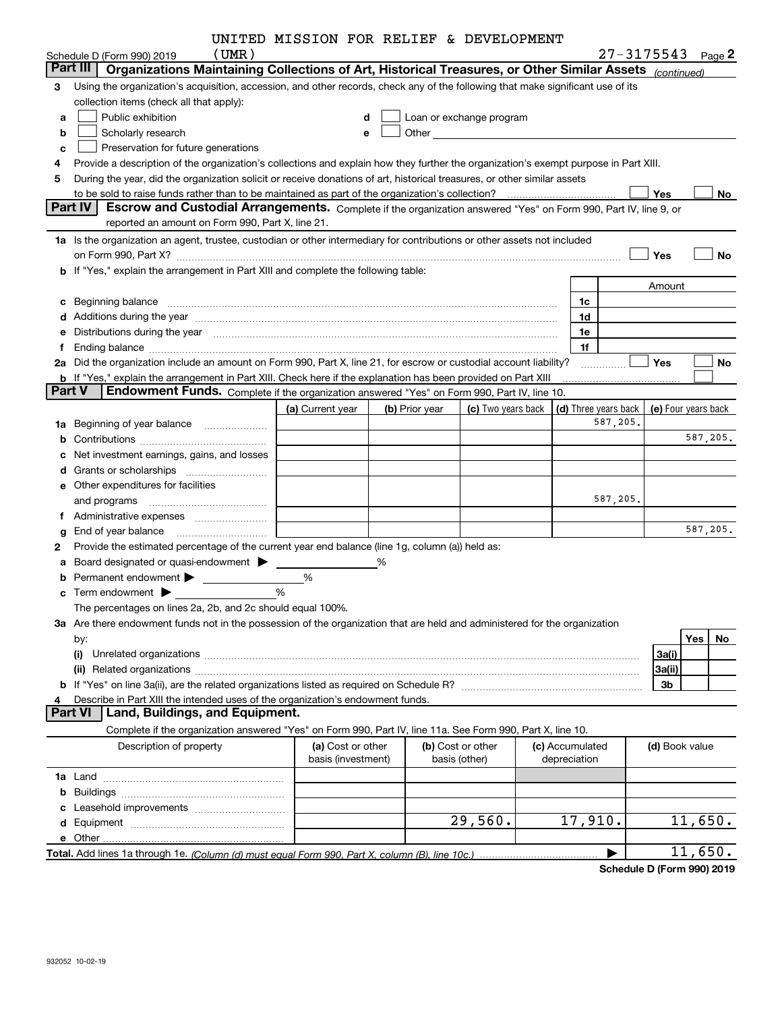|               |                                                                                                                                                                                                                                                                                                                             | UNITED MISSION FOR RELIEF & DEVELOPMENT |   |                |                                                                                                                                                                                                                               |                                 |                                              |                |     |          |
|---------------|-----------------------------------------------------------------------------------------------------------------------------------------------------------------------------------------------------------------------------------------------------------------------------------------------------------------------------|-----------------------------------------|---|----------------|-------------------------------------------------------------------------------------------------------------------------------------------------------------------------------------------------------------------------------|---------------------------------|----------------------------------------------|----------------|-----|----------|
|               | (UMR)<br>Schedule D (Form 990) 2019                                                                                                                                                                                                                                                                                         |                                         |   |                |                                                                                                                                                                                                                               |                                 | $27 - 3175543$ Page 2                        |                |     |          |
|               | Part III<br>Organizations Maintaining Collections of Art, Historical Treasures, or Other Similar Assets (continued)                                                                                                                                                                                                         |                                         |   |                |                                                                                                                                                                                                                               |                                 |                                              |                |     |          |
| 3             | Using the organization's acquisition, accession, and other records, check any of the following that make significant use of its                                                                                                                                                                                             |                                         |   |                |                                                                                                                                                                                                                               |                                 |                                              |                |     |          |
|               | collection items (check all that apply):                                                                                                                                                                                                                                                                                    |                                         |   |                |                                                                                                                                                                                                                               |                                 |                                              |                |     |          |
| a             | Public exhibition                                                                                                                                                                                                                                                                                                           |                                         |   |                | Loan or exchange program                                                                                                                                                                                                      |                                 |                                              |                |     |          |
| b             | Scholarly research                                                                                                                                                                                                                                                                                                          |                                         |   |                | Other and the contract of the contract of the contract of the contract of the contract of the contract of the contract of the contract of the contract of the contract of the contract of the contract of the contract of the |                                 |                                              |                |     |          |
| c             | Preservation for future generations                                                                                                                                                                                                                                                                                         |                                         |   |                |                                                                                                                                                                                                                               |                                 |                                              |                |     |          |
|               | Provide a description of the organization's collections and explain how they further the organization's exempt purpose in Part XIII.                                                                                                                                                                                        |                                         |   |                |                                                                                                                                                                                                                               |                                 |                                              |                |     |          |
| 5             | During the year, did the organization solicit or receive donations of art, historical treasures, or other similar assets                                                                                                                                                                                                    |                                         |   |                |                                                                                                                                                                                                                               |                                 |                                              |                |     |          |
|               | <b>Part IV</b>                                                                                                                                                                                                                                                                                                              |                                         |   |                |                                                                                                                                                                                                                               |                                 |                                              | Yes            |     | No       |
|               | Escrow and Custodial Arrangements. Complete if the organization answered "Yes" on Form 990, Part IV, line 9, or<br>reported an amount on Form 990, Part X, line 21.                                                                                                                                                         |                                         |   |                |                                                                                                                                                                                                                               |                                 |                                              |                |     |          |
|               | 1a Is the organization an agent, trustee, custodian or other intermediary for contributions or other assets not included                                                                                                                                                                                                    |                                         |   |                |                                                                                                                                                                                                                               |                                 |                                              |                |     |          |
|               |                                                                                                                                                                                                                                                                                                                             |                                         |   |                |                                                                                                                                                                                                                               |                                 |                                              | Yes            |     | No       |
|               | on Form 990, Part X? [11] matter and the contract of the contract of the contract of the contract of the contract of the contract of the contract of the contract of the contract of the contract of the contract of the contr<br><b>b</b> If "Yes," explain the arrangement in Part XIII and complete the following table: |                                         |   |                |                                                                                                                                                                                                                               |                                 |                                              |                |     |          |
|               |                                                                                                                                                                                                                                                                                                                             |                                         |   |                |                                                                                                                                                                                                                               |                                 |                                              | Amount         |     |          |
|               |                                                                                                                                                                                                                                                                                                                             |                                         |   |                |                                                                                                                                                                                                                               | 1c                              |                                              |                |     |          |
|               | c Beginning balance measurements and the state of the state of the state of the state of the state of the state of the state of the state of the state of the state of the state of the state of the state of the state of the                                                                                              |                                         |   |                |                                                                                                                                                                                                                               | 1d                              |                                              |                |     |          |
|               |                                                                                                                                                                                                                                                                                                                             |                                         |   |                |                                                                                                                                                                                                                               | 1e                              |                                              |                |     |          |
|               | e Distributions during the year manufactured and contain an account of the state of the state of the state of the state of the state of the state of the state of the state of the state of the state of the state of the stat                                                                                              |                                         |   |                |                                                                                                                                                                                                                               | 1f                              |                                              |                |     |          |
| Ť.            | 2a Did the organization include an amount on Form 990, Part X, line 21, for escrow or custodial account liability?                                                                                                                                                                                                          |                                         |   |                |                                                                                                                                                                                                                               |                                 |                                              | Yes            |     | No       |
|               | <b>b</b> If "Yes," explain the arrangement in Part XIII. Check here if the explanation has been provided on Part XIII                                                                                                                                                                                                       |                                         |   |                |                                                                                                                                                                                                                               |                                 |                                              |                |     |          |
| <b>Part V</b> | Endowment Funds. Complete if the organization answered "Yes" on Form 990, Part IV, line 10.                                                                                                                                                                                                                                 |                                         |   |                |                                                                                                                                                                                                                               |                                 |                                              |                |     |          |
|               |                                                                                                                                                                                                                                                                                                                             | (a) Current year                        |   | (b) Prior year | (c) Two years back                                                                                                                                                                                                            |                                 | (d) Three years back $ $ (e) Four years back |                |     |          |
|               | 1a Beginning of year balance                                                                                                                                                                                                                                                                                                |                                         |   |                |                                                                                                                                                                                                                               |                                 | 587,205.                                     |                |     |          |
|               |                                                                                                                                                                                                                                                                                                                             |                                         |   |                |                                                                                                                                                                                                                               |                                 |                                              |                |     | 587,205. |
|               |                                                                                                                                                                                                                                                                                                                             |                                         |   |                |                                                                                                                                                                                                                               |                                 |                                              |                |     |          |
|               | c Net investment earnings, gains, and losses                                                                                                                                                                                                                                                                                |                                         |   |                |                                                                                                                                                                                                                               |                                 |                                              |                |     |          |
|               |                                                                                                                                                                                                                                                                                                                             |                                         |   |                |                                                                                                                                                                                                                               |                                 |                                              |                |     |          |
|               | e Other expenditures for facilities                                                                                                                                                                                                                                                                                         |                                         |   |                |                                                                                                                                                                                                                               |                                 | 587,205.                                     |                |     |          |
|               | and programs                                                                                                                                                                                                                                                                                                                |                                         |   |                |                                                                                                                                                                                                                               |                                 |                                              |                |     |          |
|               | f Administrative expenses <i></i>                                                                                                                                                                                                                                                                                           |                                         |   |                |                                                                                                                                                                                                                               |                                 |                                              |                |     | 587,205. |
|               | <b>g</b> End of year balance $\ldots$                                                                                                                                                                                                                                                                                       |                                         |   |                |                                                                                                                                                                                                                               |                                 |                                              |                |     |          |
| 2             | Provide the estimated percentage of the current year end balance (line 1g, column (a)) held as:                                                                                                                                                                                                                             |                                         |   |                |                                                                                                                                                                                                                               |                                 |                                              |                |     |          |
|               | a Board designated or quasi-endowment >                                                                                                                                                                                                                                                                                     |                                         | % |                |                                                                                                                                                                                                                               |                                 |                                              |                |     |          |
|               |                                                                                                                                                                                                                                                                                                                             | %                                       |   |                |                                                                                                                                                                                                                               |                                 |                                              |                |     |          |
|               | $\mathbf c$ Term endowment $\blacktriangleright$                                                                                                                                                                                                                                                                            | %                                       |   |                |                                                                                                                                                                                                                               |                                 |                                              |                |     |          |
|               | The percentages on lines 2a, 2b, and 2c should equal 100%.                                                                                                                                                                                                                                                                  |                                         |   |                |                                                                                                                                                                                                                               |                                 |                                              |                |     |          |
|               | 3a Are there endowment funds not in the possession of the organization that are held and administered for the organization                                                                                                                                                                                                  |                                         |   |                |                                                                                                                                                                                                                               |                                 |                                              |                |     |          |
|               | by:                                                                                                                                                                                                                                                                                                                         |                                         |   |                |                                                                                                                                                                                                                               |                                 |                                              |                | Yes | No       |
|               | (i)                                                                                                                                                                                                                                                                                                                         |                                         |   |                |                                                                                                                                                                                                                               |                                 |                                              | 3a(i)          |     |          |
|               |                                                                                                                                                                                                                                                                                                                             |                                         |   |                |                                                                                                                                                                                                                               |                                 |                                              | 3a(ii)         |     |          |
|               |                                                                                                                                                                                                                                                                                                                             |                                         |   |                |                                                                                                                                                                                                                               |                                 |                                              | 3b             |     |          |
| 4             | Describe in Part XIII the intended uses of the organization's endowment funds.<br><b>Part VI</b><br>Land, Buildings, and Equipment.                                                                                                                                                                                         |                                         |   |                |                                                                                                                                                                                                                               |                                 |                                              |                |     |          |
|               |                                                                                                                                                                                                                                                                                                                             |                                         |   |                |                                                                                                                                                                                                                               |                                 |                                              |                |     |          |
|               | Complete if the organization answered "Yes" on Form 990, Part IV, line 11a. See Form 990, Part X, line 10.                                                                                                                                                                                                                  |                                         |   |                |                                                                                                                                                                                                                               |                                 |                                              |                |     |          |
|               | Description of property                                                                                                                                                                                                                                                                                                     | (a) Cost or other<br>basis (investment) |   |                | (b) Cost or other<br>basis (other)                                                                                                                                                                                            | (c) Accumulated<br>depreciation |                                              | (d) Book value |     |          |
|               |                                                                                                                                                                                                                                                                                                                             |                                         |   |                |                                                                                                                                                                                                                               |                                 |                                              |                |     |          |
|               |                                                                                                                                                                                                                                                                                                                             |                                         |   |                |                                                                                                                                                                                                                               |                                 |                                              |                |     |          |
|               |                                                                                                                                                                                                                                                                                                                             |                                         |   |                |                                                                                                                                                                                                                               |                                 |                                              |                |     |          |
|               |                                                                                                                                                                                                                                                                                                                             |                                         |   |                | 29,560.                                                                                                                                                                                                                       | 17,910.                         |                                              |                |     |          |
|               |                                                                                                                                                                                                                                                                                                                             |                                         |   |                |                                                                                                                                                                                                                               |                                 |                                              |                |     | 11,650.  |
|               |                                                                                                                                                                                                                                                                                                                             |                                         |   |                |                                                                                                                                                                                                                               |                                 |                                              |                |     | 11,650.  |
|               |                                                                                                                                                                                                                                                                                                                             |                                         |   |                |                                                                                                                                                                                                                               |                                 |                                              |                |     |          |
|               |                                                                                                                                                                                                                                                                                                                             |                                         |   |                |                                                                                                                                                                                                                               |                                 | Schedule D (Form 990) 2019                   |                |     |          |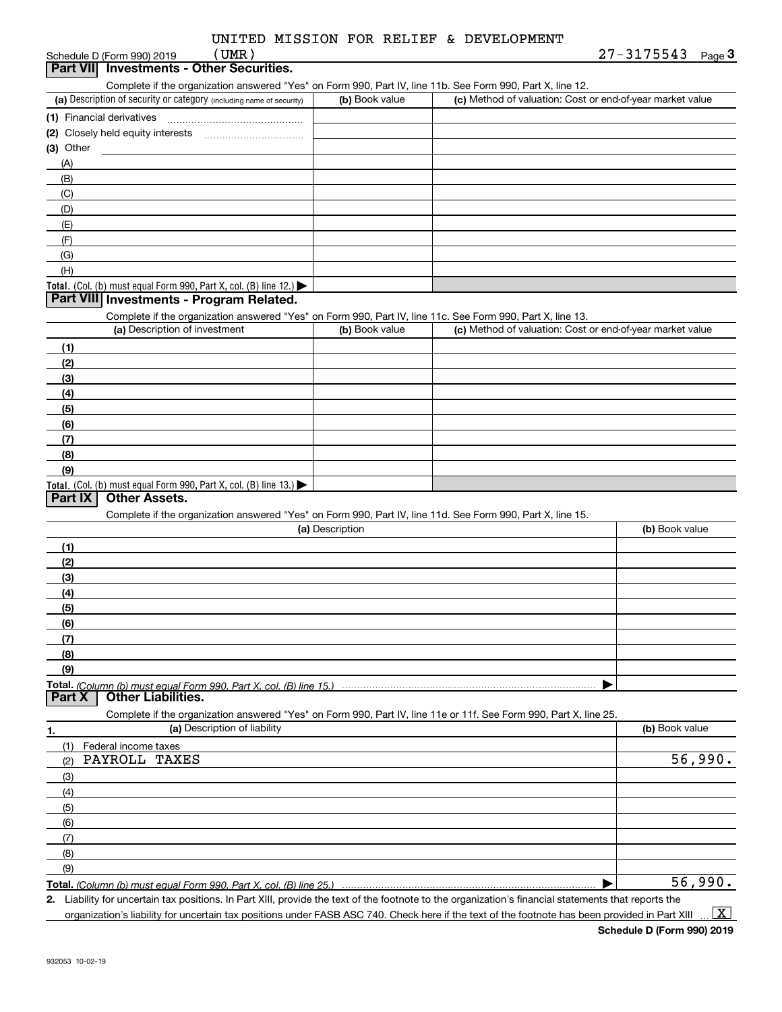|       |  |  | UNITED MISSION FOR RELIEF & DEVELOPMENT |
|-------|--|--|-----------------------------------------|
| (UMR) |  |  |                                         |

| UMR)<br>Schedule D (Form 990) 2019                                                                                                                                                                                                                  |                | 27-3175543<br>Page 3                                      |
|-----------------------------------------------------------------------------------------------------------------------------------------------------------------------------------------------------------------------------------------------------|----------------|-----------------------------------------------------------|
| Part VII Investments - Other Securities.                                                                                                                                                                                                            |                |                                                           |
| Complete if the organization answered "Yes" on Form 990, Part IV, line 11b. See Form 990, Part X, line 12.                                                                                                                                          |                |                                                           |
| (a) Description of security or category (including name of security)                                                                                                                                                                                | (b) Book value | (c) Method of valuation: Cost or end-of-year market value |
| (1) Financial derivatives                                                                                                                                                                                                                           |                |                                                           |
|                                                                                                                                                                                                                                                     |                |                                                           |
| $(3)$ Other<br><u>and the state of the state of the state of the state of the state of the state of the state of the state of the state of the state of the state of the state of the state of the state of the state of the state of the state</u> |                |                                                           |
| (A)                                                                                                                                                                                                                                                 |                |                                                           |
| (B)                                                                                                                                                                                                                                                 |                |                                                           |
| (C)                                                                                                                                                                                                                                                 |                |                                                           |
| (D)                                                                                                                                                                                                                                                 |                |                                                           |
| (E)                                                                                                                                                                                                                                                 |                |                                                           |
| (F)                                                                                                                                                                                                                                                 |                |                                                           |
| (G)                                                                                                                                                                                                                                                 |                |                                                           |
| (H)                                                                                                                                                                                                                                                 |                |                                                           |
| Total. (Col. (b) must equal Form 990, Part X, col. (B) line 12.) $\blacktriangleright$                                                                                                                                                              |                |                                                           |
| Part VIII Investments - Program Related.                                                                                                                                                                                                            |                |                                                           |
| Complete if the organization answered "Yes" on Form 990, Part IV, line 11c. See Form 990, Part X, line 13.                                                                                                                                          |                |                                                           |
| (a) Description of investment                                                                                                                                                                                                                       | (b) Book value | (c) Method of valuation: Cost or end-of-year market value |
| (1)                                                                                                                                                                                                                                                 |                |                                                           |
| (2)                                                                                                                                                                                                                                                 |                |                                                           |
| (3)                                                                                                                                                                                                                                                 |                |                                                           |
| (4)                                                                                                                                                                                                                                                 |                |                                                           |
| (5)                                                                                                                                                                                                                                                 |                |                                                           |
| (6)                                                                                                                                                                                                                                                 |                |                                                           |
| (7)                                                                                                                                                                                                                                                 |                |                                                           |
| (8)                                                                                                                                                                                                                                                 |                |                                                           |

| (3)                                                               |  |
|-------------------------------------------------------------------|--|
| (4)                                                               |  |
| (5)                                                               |  |
| (6)                                                               |  |
| (7)                                                               |  |
| (8)                                                               |  |
| (9)                                                               |  |
| Total. (Col. (b) must equal Form 990, Part X, col. (B) line $13.$ |  |

### **Part IX Other Assets.**

Complete if the organization answered "Yes" on Form 990, Part IV, line 11d. See Form 990, Part X, line 15.

| (a) Description                                                                                                   | (b) Book value |
|-------------------------------------------------------------------------------------------------------------------|----------------|
| (1)                                                                                                               |                |
| (2)                                                                                                               |                |
| (3)                                                                                                               |                |
| (4)                                                                                                               |                |
| (5)                                                                                                               |                |
| (6)                                                                                                               |                |
| (7)                                                                                                               |                |
| (8)                                                                                                               |                |
| (9)                                                                                                               |                |
|                                                                                                                   |                |
| <b>Other Liabilities.</b><br>Part X                                                                               |                |
| Complete if the organization answered "Yes" on Form 990, Part IV, line 11e or 11f. See Form 990, Part X, line 25. |                |

| 1.           | (a) Description of liability | (b) Book value |
|--------------|------------------------------|----------------|
| (1)          | Federal income taxes         |                |
| (2)          | PAYROLL TAXES                | 56,990.        |
| (3)          |                              |                |
| (4)          |                              |                |
| (5)          |                              |                |
| (6)          |                              |                |
| $\qquad$ (7) |                              |                |
| (8)          |                              |                |
| (9)          |                              |                |
|              |                              | 56,990.        |

**Total.**  *(Column (b) must equal Form 990, Part X, col. (B) line 25.)* 

**2.**Liability for uncertain tax positions. In Part XIII, provide the text of the footnote to the organization's financial statements that reports the organization's liability for uncertain tax positions under FASB ASC 740. Check here if the text of the footnote has been provided in Part XIII  $\vert$  X  $\vert$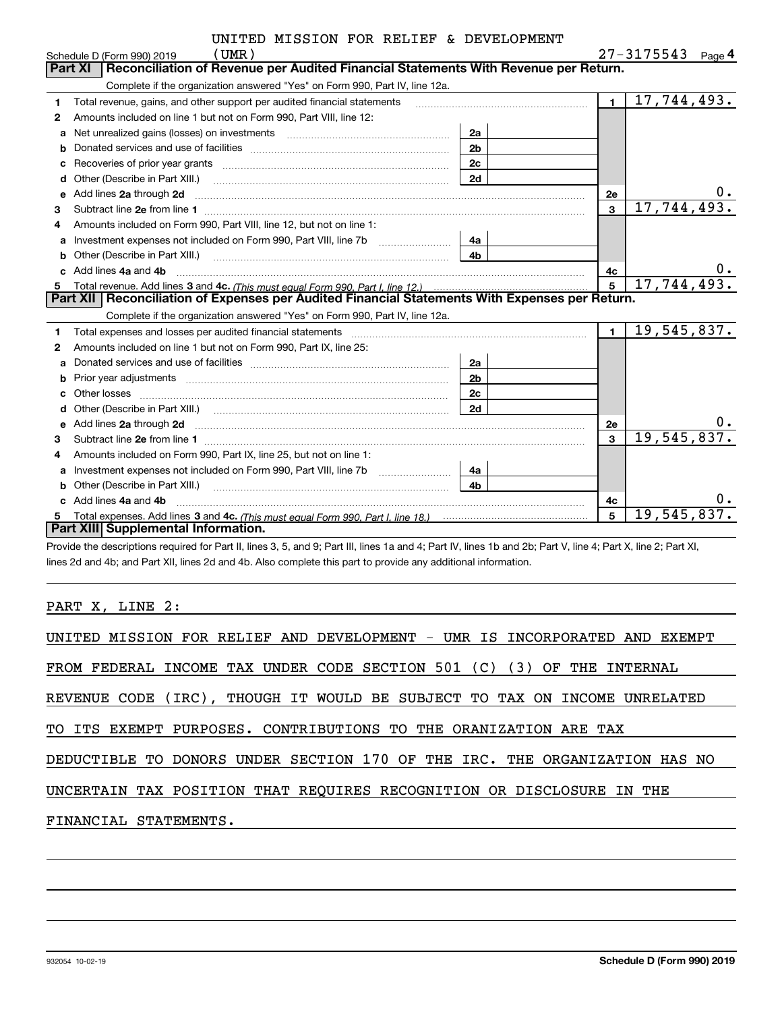|              | UMR)<br>Schedule D (Form 990) 2019                                                                                                                                                                                             |                |                | 27-3175543<br>Page $4$ |
|--------------|--------------------------------------------------------------------------------------------------------------------------------------------------------------------------------------------------------------------------------|----------------|----------------|------------------------|
|              | Reconciliation of Revenue per Audited Financial Statements With Revenue per Return.<br>Part XI                                                                                                                                 |                |                |                        |
|              | Complete if the organization answered "Yes" on Form 990, Part IV, line 12a.                                                                                                                                                    |                |                |                        |
| 1            | Total revenue, gains, and other support per audited financial statements                                                                                                                                                       |                | $\blacksquare$ | 17,744,493.            |
| $\mathbf{2}$ | Amounts included on line 1 but not on Form 990, Part VIII, line 12:                                                                                                                                                            |                |                |                        |
| a            | Net unrealized gains (losses) on investments [11] matter contracts and the unrealized gains (losses) on investments                                                                                                            | 2a             |                |                        |
| b            |                                                                                                                                                                                                                                | 2 <sub>b</sub> |                |                        |
| c            | Recoveries of prior year grants [111] matter contracts and prior year grants [11] matter contracts and prior year grants and an intervention and an intervention and an intervention and an intervention and an intervention a | 2c             |                |                        |
| d            |                                                                                                                                                                                                                                | 2d             |                |                        |
| е            | Add lines 2a through 2d                                                                                                                                                                                                        |                | <b>2e</b>      | υ.                     |
| 3            |                                                                                                                                                                                                                                |                | $\mathbf{3}$   | 17,744,493.            |
| 4            | Amounts included on Form 990, Part VIII, line 12, but not on line 1:                                                                                                                                                           |                |                |                        |
| a            | Investment expenses not included on Form 990, Part VIII, line 7b [111] [11] [12]                                                                                                                                               | 4a             |                |                        |
| b            |                                                                                                                                                                                                                                | 4 <sub>b</sub> |                |                        |
| C.           | Add lines 4a and 4b                                                                                                                                                                                                            |                | 4с             | $0$ .                  |
| 5.           |                                                                                                                                                                                                                                |                | 5              | 17,744,493.            |
|              |                                                                                                                                                                                                                                |                |                |                        |
|              | Part XII   Reconciliation of Expenses per Audited Financial Statements With Expenses per Return.                                                                                                                               |                |                |                        |
|              | Complete if the organization answered "Yes" on Form 990, Part IV, line 12a.                                                                                                                                                    |                |                |                        |
| 1            | Total expenses and losses per audited financial statements [11, 11] manuscription control expenses and losses per audited financial statements [11] manuscription of the statements [11] manuscription of the statements [11]  |                | $\blacksquare$ | 19,545,837.            |
| 2            | Amounts included on line 1 but not on Form 990, Part IX, line 25:                                                                                                                                                              |                |                |                        |
| a            |                                                                                                                                                                                                                                | 2a             |                |                        |
| b            |                                                                                                                                                                                                                                | 2 <sub>b</sub> |                |                        |
| C            |                                                                                                                                                                                                                                | 2c             |                |                        |
| d            |                                                                                                                                                                                                                                | 2d             |                |                        |
| е            | Add lines 2a through 2d                                                                                                                                                                                                        |                | <b>2e</b>      | 0.                     |
| 3            | Subtract line 2e from line 1                                                                                                                                                                                                   |                | 3              | 19,545,837.            |
| 4            | Amounts included on Form 990, Part IX, line 25, but not on line 1:                                                                                                                                                             |                |                |                        |
| a            |                                                                                                                                                                                                                                | 4a             |                |                        |
| b            | Other (Describe in Part XIII.)                                                                                                                                                                                                 | 4 <sub>b</sub> |                |                        |
|              | Add lines 4a and 4b                                                                                                                                                                                                            |                | 4c             | 0.                     |
|              | Part XIII Supplemental Information.                                                                                                                                                                                            |                | 5              | 19,545,837.            |

Provide the descriptions required for Part II, lines 3, 5, and 9; Part III, lines 1a and 4; Part IV, lines 1b and 2b; Part V, line 4; Part X, line 2; Part XI, lines 2d and 4b; and Part XII, lines 2d and 4b. Also complete this part to provide any additional information.

PART X, LINE 2:

| UNITED MISSION FOR RELIEF AND DEVELOPMENT - UMR IS INCORPORATED AND EXEMPT |
|----------------------------------------------------------------------------|
| FROM FEDERAL INCOME TAX UNDER CODE SECTION 501 (C) (3) OF THE INTERNAL     |
| REVENUE CODE (IRC), THOUGH IT WOULD BE SUBJECT TO TAX ON INCOME UNRELATED  |
| TO ITS EXEMPT PURPOSES. CONTRIBUTIONS TO THE ORANIZATION ARE TAX           |
| DEDUCTIBLE TO DONORS UNDER SECTION 170 OF THE IRC. THE ORGANIZATION HAS NO |
| UNCERTAIN TAX POSITION THAT REOUIRES RECOGNITION OR DISCLOSURE IN THE      |
| FINANCIAL STATEMENTS.                                                      |
|                                                                            |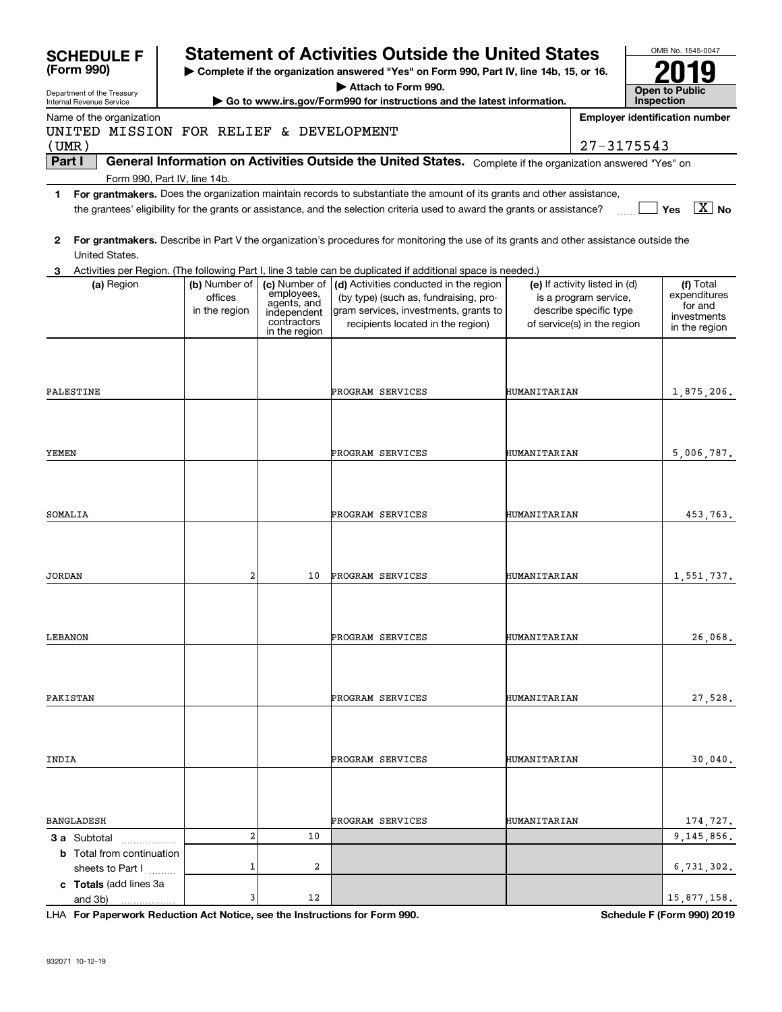| <b>SCHEDULE F</b><br>(Form 990)                        | OMB No. 1545-0047<br><b>Statement of Activities Outside the United States</b><br>Complete if the organization answered "Yes" on Form 990, Part IV, line 14b, 15, or 16. |                            |                                                                                                                                         |              |                                                 |                                     |                                       |
|--------------------------------------------------------|-------------------------------------------------------------------------------------------------------------------------------------------------------------------------|----------------------------|-----------------------------------------------------------------------------------------------------------------------------------------|--------------|-------------------------------------------------|-------------------------------------|---------------------------------------|
| Department of the Treasury<br>Internal Revenue Service |                                                                                                                                                                         |                            | Attach to Form 990.<br>Go to www.irs.gov/Form990 for instructions and the latest information.                                           |              |                                                 | <b>Open to Public</b><br>Inspection |                                       |
| Name of the organization                               |                                                                                                                                                                         |                            |                                                                                                                                         |              |                                                 |                                     | <b>Employer identification number</b> |
| UNITED MISSION FOR RELIEF & DEVELOPMENT<br>(UMR)       |                                                                                                                                                                         |                            |                                                                                                                                         |              |                                                 |                                     |                                       |
| Part I                                                 |                                                                                                                                                                         |                            | General Information on Activities Outside the United States. Complete if the organization answered "Yes" on                             |              | 27-3175543                                      |                                     |                                       |
| Form 990, Part IV, line 14b.                           |                                                                                                                                                                         |                            |                                                                                                                                         |              |                                                 |                                     |                                       |
| 1                                                      |                                                                                                                                                                         |                            | For grantmakers. Does the organization maintain records to substantiate the amount of its grants and other assistance,                  |              |                                                 |                                     |                                       |
|                                                        |                                                                                                                                                                         |                            | the grantees' eligibility for the grants or assistance, and the selection criteria used to award the grants or assistance?              |              |                                                 | <b>Yes</b>                          | $ X $ No                              |
| $\mathbf{2}$                                           |                                                                                                                                                                         |                            | For grantmakers. Describe in Part V the organization's procedures for monitoring the use of its grants and other assistance outside the |              |                                                 |                                     |                                       |
| United States.                                         |                                                                                                                                                                         |                            |                                                                                                                                         |              |                                                 |                                     |                                       |
|                                                        |                                                                                                                                                                         |                            | Activities per Region. (The following Part I, line 3 table can be duplicated if additional space is needed.)                            |              |                                                 |                                     |                                       |
| (a) Region                                             | (b) Number of                                                                                                                                                           | employees,                 | (c) Number of $ $ (d) Activities conducted in the region                                                                                |              | (e) If activity listed in (d)                   |                                     | (f) Total<br>expenditures             |
|                                                        | offices<br>in the region                                                                                                                                                | agents, and<br>independent | (by type) (such as, fundraising, pro-<br>gram services, investments, grants to                                                          |              | is a program service,<br>describe specific type |                                     | for and                               |
|                                                        |                                                                                                                                                                         | contractors                | recipients located in the region)                                                                                                       |              | of service(s) in the region                     |                                     | investments<br>in the region          |
|                                                        |                                                                                                                                                                         | in the region              |                                                                                                                                         |              |                                                 |                                     |                                       |
|                                                        |                                                                                                                                                                         |                            |                                                                                                                                         |              |                                                 |                                     |                                       |
|                                                        |                                                                                                                                                                         |                            |                                                                                                                                         |              |                                                 |                                     |                                       |
| PALESTINE                                              |                                                                                                                                                                         |                            | PROGRAM SERVICES                                                                                                                        | HUMANITARIAN |                                                 |                                     | 1,875,206.                            |
|                                                        |                                                                                                                                                                         |                            |                                                                                                                                         |              |                                                 |                                     |                                       |
|                                                        |                                                                                                                                                                         |                            |                                                                                                                                         |              |                                                 |                                     |                                       |
|                                                        |                                                                                                                                                                         |                            | PROGRAM SERVICES                                                                                                                        | HUMANITARIAN |                                                 |                                     | 5,006,787.                            |
| YEMEN                                                  |                                                                                                                                                                         |                            |                                                                                                                                         |              |                                                 |                                     |                                       |
|                                                        |                                                                                                                                                                         |                            |                                                                                                                                         |              |                                                 |                                     |                                       |
|                                                        |                                                                                                                                                                         |                            |                                                                                                                                         |              |                                                 |                                     |                                       |
| SOMALIA                                                |                                                                                                                                                                         |                            | PROGRAM SERVICES                                                                                                                        | HUMANITARIAN |                                                 |                                     | 453,763.                              |
|                                                        |                                                                                                                                                                         |                            |                                                                                                                                         |              |                                                 |                                     |                                       |
|                                                        |                                                                                                                                                                         |                            |                                                                                                                                         |              |                                                 |                                     |                                       |
| <b>JORDAN</b>                                          | 2                                                                                                                                                                       | 10                         | PROGRAM SERVICES                                                                                                                        | HUMANITARIAN |                                                 |                                     |                                       |
|                                                        |                                                                                                                                                                         |                            |                                                                                                                                         |              |                                                 |                                     | 1,551,737.                            |
|                                                        |                                                                                                                                                                         |                            |                                                                                                                                         |              |                                                 |                                     |                                       |
|                                                        |                                                                                                                                                                         |                            |                                                                                                                                         |              |                                                 |                                     |                                       |
| LEBANON                                                |                                                                                                                                                                         |                            | PROGRAM SERVICES                                                                                                                        | HUMANITARIAN |                                                 |                                     | 26,068.                               |
|                                                        |                                                                                                                                                                         |                            |                                                                                                                                         |              |                                                 |                                     |                                       |
|                                                        |                                                                                                                                                                         |                            |                                                                                                                                         |              |                                                 |                                     |                                       |
| PAKISTAN                                               |                                                                                                                                                                         |                            | PROGRAM SERVICES                                                                                                                        | HUMANITARIAN |                                                 |                                     |                                       |
|                                                        |                                                                                                                                                                         |                            |                                                                                                                                         |              |                                                 |                                     | 27,528.                               |
|                                                        |                                                                                                                                                                         |                            |                                                                                                                                         |              |                                                 |                                     |                                       |
|                                                        |                                                                                                                                                                         |                            |                                                                                                                                         |              |                                                 |                                     |                                       |
| INDIA                                                  |                                                                                                                                                                         |                            | PROGRAM SERVICES                                                                                                                        | HUMANITARIAN |                                                 |                                     | 30,040.                               |
|                                                        |                                                                                                                                                                         |                            |                                                                                                                                         |              |                                                 |                                     |                                       |
|                                                        |                                                                                                                                                                         |                            |                                                                                                                                         |              |                                                 |                                     |                                       |
| <b>BANGLADESH</b>                                      |                                                                                                                                                                         |                            | PROGRAM SERVICES                                                                                                                        | HUMANITARIAN |                                                 |                                     | 174,727.                              |
| 3 a Subtotal                                           | 2                                                                                                                                                                       | 10                         |                                                                                                                                         |              |                                                 |                                     | 9,145,856.                            |
| .<br><b>b</b> Total from continuation                  |                                                                                                                                                                         |                            |                                                                                                                                         |              |                                                 |                                     |                                       |
| sheets to Part I                                       | $\mathbf 1$                                                                                                                                                             | $\overline{\mathbf{c}}$    |                                                                                                                                         |              |                                                 |                                     | 6,731,302.                            |
| c Totals (add lines 3a                                 |                                                                                                                                                                         |                            |                                                                                                                                         |              |                                                 |                                     |                                       |
| and 3b)                                                | 3                                                                                                                                                                       | 12                         |                                                                                                                                         |              |                                                 |                                     | 15,877,158.                           |

**For Paperwork Reduction Act Notice, see the Instructions for Form 990. Schedule F (Form 990) 2019** LHA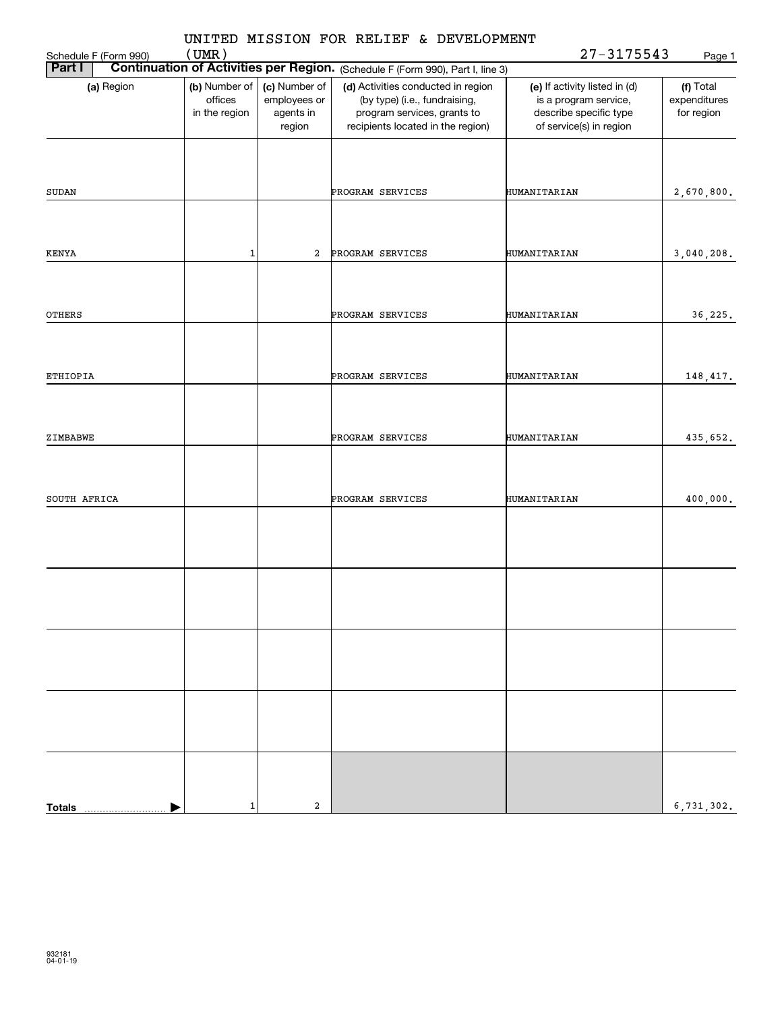|                 | UNITED MISSION FOR RELIEF & DEVELOPMENT |                                           |                                                      |                                                                                                                                         |                                                                                                             |                                         |  |  |
|-----------------|-----------------------------------------|-------------------------------------------|------------------------------------------------------|-----------------------------------------------------------------------------------------------------------------------------------------|-------------------------------------------------------------------------------------------------------------|-----------------------------------------|--|--|
|                 | Schedule F (Form 990)                   | (UMR)                                     |                                                      |                                                                                                                                         | $27 - 3175543$                                                                                              | Page 1                                  |  |  |
| Part I          |                                         |                                           |                                                      | <b>Continuation of Activities per Region.</b> (Schedule F (Form 990), Part I, line 3)                                                   |                                                                                                             |                                         |  |  |
|                 | (a) Region                              | (b) Number of<br>offices<br>in the region | (c) Number of<br>employees or<br>agents in<br>region | (d) Activities conducted in region<br>(by type) (i.e., fundraising,<br>program services, grants to<br>recipients located in the region) | (e) If activity listed in (d)<br>is a program service,<br>describe specific type<br>of service(s) in region | (f) Total<br>expenditures<br>for region |  |  |
|                 |                                         |                                           |                                                      |                                                                                                                                         |                                                                                                             |                                         |  |  |
| <b>SUDAN</b>    |                                         |                                           |                                                      | PROGRAM SERVICES                                                                                                                        | HUMANITARIAN                                                                                                | 2,670,800.                              |  |  |
| <b>KENYA</b>    |                                         | $\mathbf 1$                               | 2                                                    | PROGRAM SERVICES                                                                                                                        | <b>HUMANITARIAN</b>                                                                                         | 3,040,208.                              |  |  |
|                 |                                         |                                           |                                                      |                                                                                                                                         |                                                                                                             |                                         |  |  |
| <b>OTHERS</b>   |                                         |                                           |                                                      | PROGRAM SERVICES                                                                                                                        | <b>HUMANITARIAN</b>                                                                                         | 36,225.                                 |  |  |
|                 |                                         |                                           |                                                      |                                                                                                                                         |                                                                                                             |                                         |  |  |
| <b>ETHIOPIA</b> |                                         |                                           |                                                      | PROGRAM SERVICES                                                                                                                        | <b>HUMANITARIAN</b>                                                                                         | 148, 417.                               |  |  |
| ZIMBABWE        |                                         |                                           |                                                      | PROGRAM SERVICES                                                                                                                        | <b>HUMANITARIAN</b>                                                                                         | 435,652.                                |  |  |
|                 |                                         |                                           |                                                      |                                                                                                                                         |                                                                                                             |                                         |  |  |
| SOUTH AFRICA    |                                         |                                           |                                                      | PROGRAM SERVICES                                                                                                                        | HUMANITARIAN                                                                                                | 400,000.                                |  |  |
|                 |                                         |                                           |                                                      |                                                                                                                                         |                                                                                                             |                                         |  |  |
|                 |                                         |                                           |                                                      |                                                                                                                                         |                                                                                                             |                                         |  |  |
|                 |                                         |                                           |                                                      |                                                                                                                                         |                                                                                                             |                                         |  |  |
|                 |                                         |                                           |                                                      |                                                                                                                                         |                                                                                                             |                                         |  |  |
|                 |                                         |                                           |                                                      |                                                                                                                                         |                                                                                                             |                                         |  |  |
|                 |                                         |                                           |                                                      |                                                                                                                                         |                                                                                                             |                                         |  |  |
|                 |                                         |                                           |                                                      |                                                                                                                                         |                                                                                                             |                                         |  |  |
| <b>Totals</b>   |                                         | $\mathbf{1}$                              | $\overline{a}$                                       |                                                                                                                                         |                                                                                                             | 6,731,302.                              |  |  |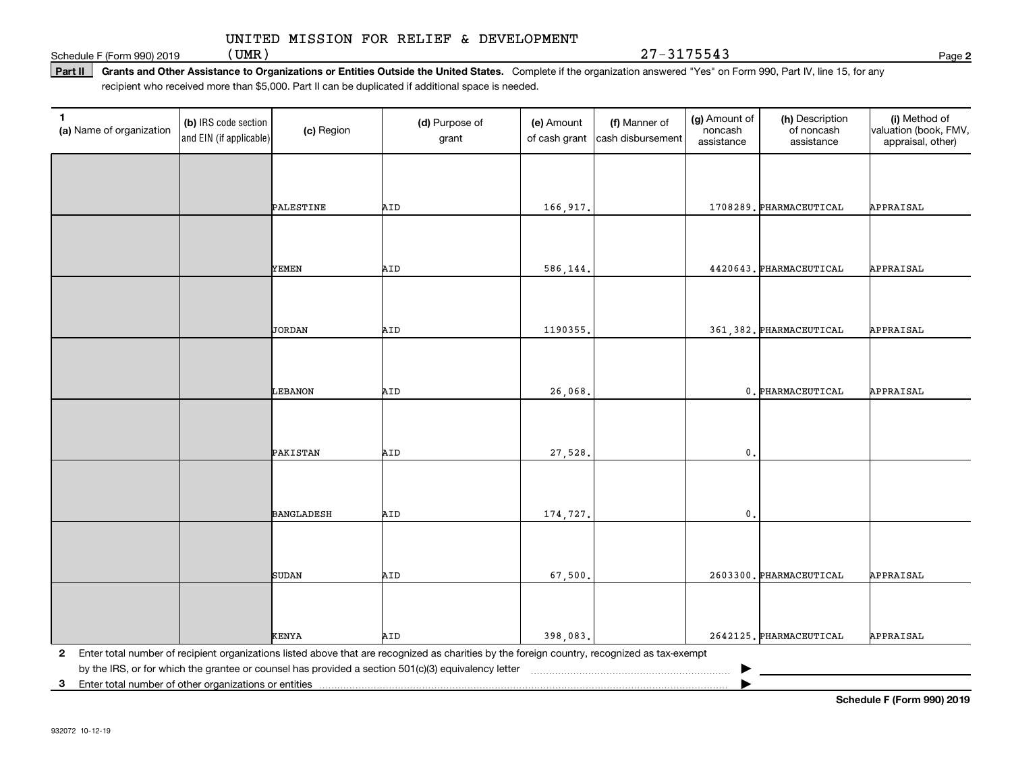(UMR) 27-3175543

Schedule F (Form 990) 2019  $(UMR)$ 

Part II | Grants and Other Assistance to Organizations or Entities Outside the United States. Complete if the organization answered "Yes" on Form 990, Part IV, line 15, for any recipient who received more than \$5,000. Part II can be duplicated if additional space is needed.

| $\mathbf{1}$<br>(a) Name of organization                | (b) IRS code section<br>and EIN (if applicable) | (c) Region        | (d) Purpose of<br>grant                                                                                                                                                                                                                             | (e) Amount<br>of cash grant | (f) Manner of<br>cash disbursement | (g) Amount of<br>noncash<br>assistance | (h) Description<br>of noncash<br>assistance | (i) Method of<br>valuation (book, FMV,<br>appraisal, other) |
|---------------------------------------------------------|-------------------------------------------------|-------------------|-----------------------------------------------------------------------------------------------------------------------------------------------------------------------------------------------------------------------------------------------------|-----------------------------|------------------------------------|----------------------------------------|---------------------------------------------|-------------------------------------------------------------|
|                                                         |                                                 |                   |                                                                                                                                                                                                                                                     |                             |                                    |                                        |                                             |                                                             |
|                                                         |                                                 | PALESTINE         | AID                                                                                                                                                                                                                                                 | 166,917.                    |                                    |                                        | 1708289. PHARMACEUTICAL                     | APPRAISAL                                                   |
|                                                         |                                                 |                   |                                                                                                                                                                                                                                                     |                             |                                    |                                        |                                             |                                                             |
|                                                         |                                                 |                   |                                                                                                                                                                                                                                                     |                             |                                    |                                        |                                             |                                                             |
|                                                         |                                                 | YEMEN             | AID                                                                                                                                                                                                                                                 | 586,144.                    |                                    |                                        | 4420643. PHARMACEUTICAL                     | APPRAISAL                                                   |
|                                                         |                                                 |                   |                                                                                                                                                                                                                                                     |                             |                                    |                                        |                                             |                                                             |
|                                                         |                                                 | <b>JORDAN</b>     | AID                                                                                                                                                                                                                                                 | 1190355.                    |                                    |                                        | 361, 382. PHARMACEUTICAL                    | APPRAISAL                                                   |
|                                                         |                                                 |                   |                                                                                                                                                                                                                                                     |                             |                                    |                                        |                                             |                                                             |
|                                                         |                                                 |                   |                                                                                                                                                                                                                                                     |                             |                                    |                                        |                                             |                                                             |
|                                                         |                                                 | LEBANON           | AID                                                                                                                                                                                                                                                 | 26,068                      |                                    |                                        | 0. PHARMACEUTICAL                           | APPRAISAL                                                   |
|                                                         |                                                 |                   |                                                                                                                                                                                                                                                     |                             |                                    |                                        |                                             |                                                             |
|                                                         |                                                 | PAKISTAN          | AID                                                                                                                                                                                                                                                 | 27,528.                     |                                    | $\mathfrak o$ .                        |                                             |                                                             |
|                                                         |                                                 |                   |                                                                                                                                                                                                                                                     |                             |                                    |                                        |                                             |                                                             |
|                                                         |                                                 |                   |                                                                                                                                                                                                                                                     |                             |                                    |                                        |                                             |                                                             |
|                                                         |                                                 | <b>BANGLADESH</b> | AID                                                                                                                                                                                                                                                 | 174,727.                    |                                    | $\mathbf{0}$                           |                                             |                                                             |
|                                                         |                                                 |                   |                                                                                                                                                                                                                                                     |                             |                                    |                                        |                                             |                                                             |
|                                                         |                                                 | <b>SUDAN</b>      | AID                                                                                                                                                                                                                                                 | 67,500                      |                                    |                                        | 2603300. PHARMACEUTICAL                     | APPRAISAL                                                   |
|                                                         |                                                 |                   |                                                                                                                                                                                                                                                     |                             |                                    |                                        |                                             |                                                             |
|                                                         |                                                 |                   |                                                                                                                                                                                                                                                     |                             |                                    |                                        |                                             |                                                             |
|                                                         |                                                 | KENYA             | AID                                                                                                                                                                                                                                                 | 398,083.                    |                                    |                                        | 2642125. PHARMACEUTICAL                     | APPRAISAL                                                   |
| $\mathbf{2}$                                            |                                                 |                   | Enter total number of recipient organizations listed above that are recognized as charities by the foreign country, recognized as tax-exempt<br>by the IRS, or for which the grantee or counsel has provided a section 501(c)(3) equivalency letter |                             |                                    |                                        |                                             |                                                             |
| 3 Enter total number of other organizations or entities |                                                 |                   |                                                                                                                                                                                                                                                     |                             |                                    |                                        |                                             |                                                             |

932072 10-12-19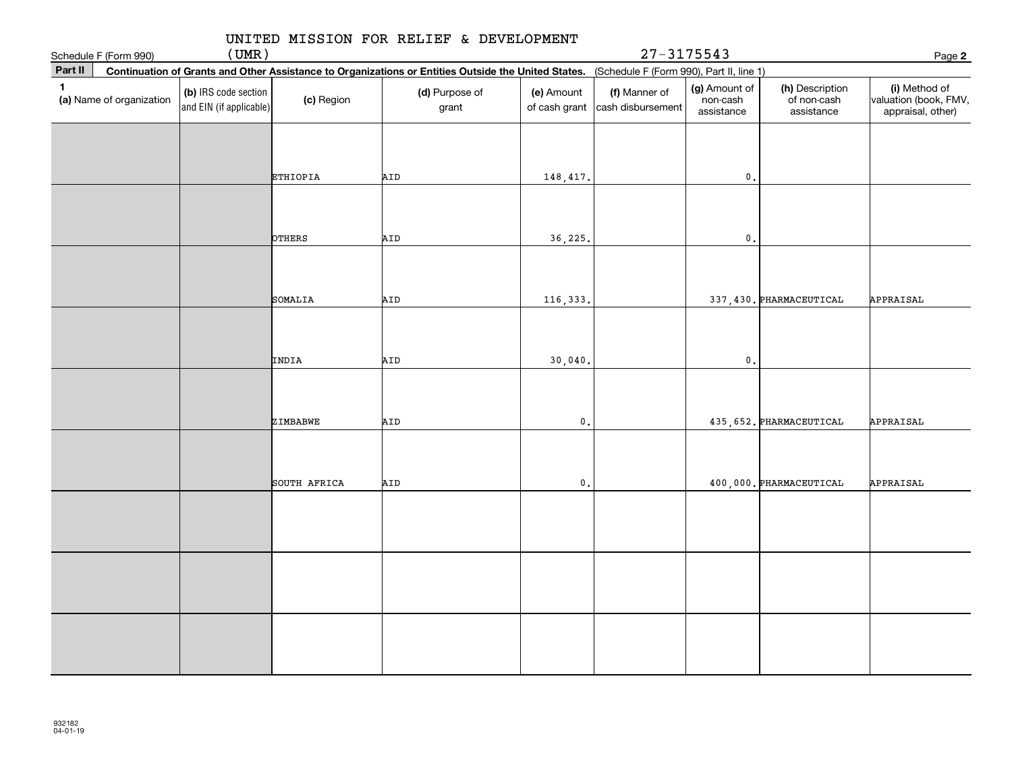| UNITED MISSION FOR RELIEF & DEVELOPMENT |  |  |
|-----------------------------------------|--|--|
|-----------------------------------------|--|--|

| Schedule F (Form 990)                    | (UMR)                                           |               |                                                                                                                                              |               | $27 - 3175543$                                   |                                         |                                              | Page 2                                                      |
|------------------------------------------|-------------------------------------------------|---------------|----------------------------------------------------------------------------------------------------------------------------------------------|---------------|--------------------------------------------------|-----------------------------------------|----------------------------------------------|-------------------------------------------------------------|
| Part II                                  |                                                 |               | Continuation of Grants and Other Assistance to Organizations or Entities Outside the United States. (Schedule F (Form 990), Part II, line 1) |               |                                                  |                                         |                                              |                                                             |
| $\mathbf{1}$<br>(a) Name of organization | (b) IRS code section<br>and EIN (if applicable) | (c) Region    | (d) Purpose of<br>grant                                                                                                                      | (e) Amount    | (f) Manner of<br>of cash grant cash disbursement | (g) Amount of<br>non-cash<br>assistance | (h) Description<br>of non-cash<br>assistance | (i) Method of<br>valuation (book, FMV,<br>appraisal, other) |
|                                          |                                                 |               |                                                                                                                                              |               |                                                  |                                         |                                              |                                                             |
|                                          |                                                 | ETHIOPIA      | AID                                                                                                                                          | 148, 417.     |                                                  | $\mathbf 0$ .                           |                                              |                                                             |
|                                          |                                                 | <b>OTHERS</b> | AID                                                                                                                                          | 36,225.       |                                                  | $\mathbf{0}$                            |                                              |                                                             |
|                                          |                                                 |               |                                                                                                                                              |               |                                                  |                                         |                                              |                                                             |
|                                          |                                                 | SOMALIA       | AID                                                                                                                                          | 116,333.      |                                                  |                                         | 337,430. PHARMACEUTICAL                      | APPRAISAL                                                   |
|                                          |                                                 |               |                                                                                                                                              |               |                                                  |                                         |                                              |                                                             |
|                                          |                                                 | INDIA         | AID                                                                                                                                          | 30,040.       |                                                  | $\mathsf{0}$ .                          |                                              |                                                             |
|                                          |                                                 | ZIMBABWE      | AID                                                                                                                                          | $\mathbf 0$ . |                                                  |                                         | 435, 652. PHARMACEUTICAL                     | APPRAISAL                                                   |
|                                          |                                                 |               |                                                                                                                                              |               |                                                  |                                         |                                              |                                                             |
|                                          |                                                 | SOUTH AFRICA  | AID                                                                                                                                          | $\mathbf 0$ . |                                                  |                                         | 400,000. PHARMACEUTICAL                      | APPRAISAL                                                   |
|                                          |                                                 |               |                                                                                                                                              |               |                                                  |                                         |                                              |                                                             |
|                                          |                                                 |               |                                                                                                                                              |               |                                                  |                                         |                                              |                                                             |
|                                          |                                                 |               |                                                                                                                                              |               |                                                  |                                         |                                              |                                                             |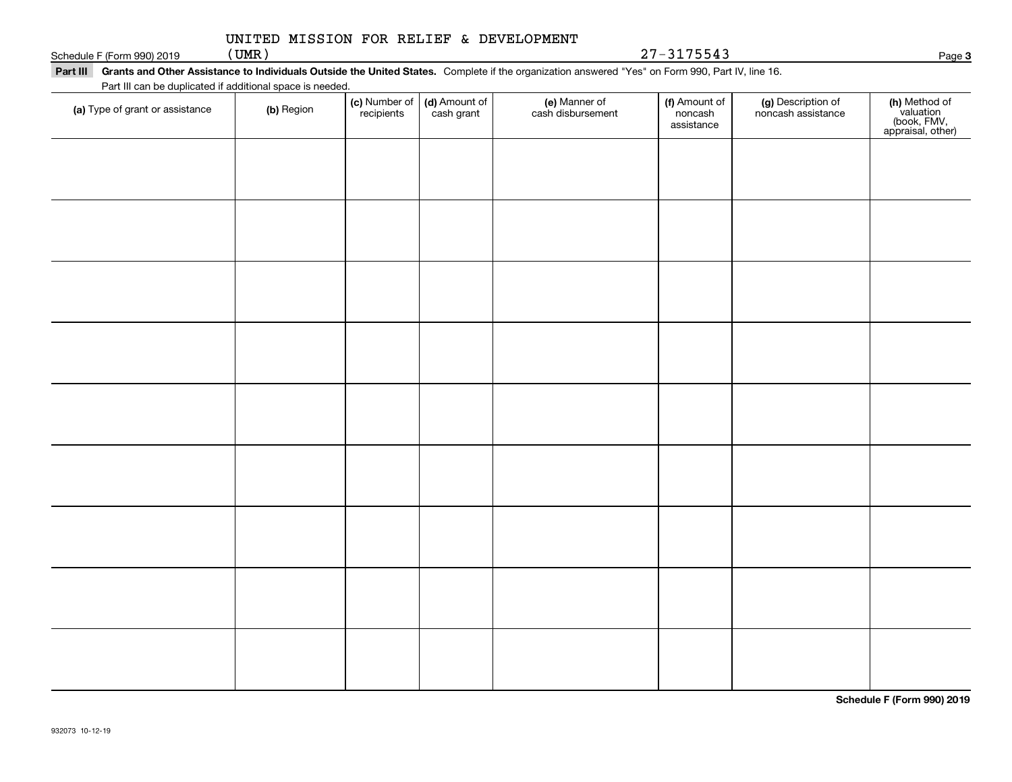932073 10-12-19

### UNITED MISSION FOR RELIEF & DEVELOPMENT

Part III Grants and Other Assistance to Individuals Outside the United States. Complete if the organization answered "Yes" on Form 990, Part IV, line 16.

### Part III can be duplicated if additional space is needed.

| r art in carr be duplicated in additional space is needed. |            |                             |                             |                                    |                                        |                                          |                                                                |
|------------------------------------------------------------|------------|-----------------------------|-----------------------------|------------------------------------|----------------------------------------|------------------------------------------|----------------------------------------------------------------|
| (a) Type of grant or assistance                            | (b) Region | (c) Number of<br>recipients | (d) Amount of<br>cash grant | (e) Manner of<br>cash disbursement | (f) Amount of<br>noncash<br>assistance | (g) Description of<br>noncash assistance | (h) Method of<br>valuation<br>(book, FMV,<br>appraisal, other) |
|                                                            |            |                             |                             |                                    |                                        |                                          |                                                                |
|                                                            |            |                             |                             |                                    |                                        |                                          |                                                                |
|                                                            |            |                             |                             |                                    |                                        |                                          |                                                                |
|                                                            |            |                             |                             |                                    |                                        |                                          |                                                                |
|                                                            |            |                             |                             |                                    |                                        |                                          |                                                                |
|                                                            |            |                             |                             |                                    |                                        |                                          |                                                                |
|                                                            |            |                             |                             |                                    |                                        |                                          |                                                                |
|                                                            |            |                             |                             |                                    |                                        |                                          |                                                                |
|                                                            |            |                             |                             |                                    |                                        |                                          |                                                                |
|                                                            |            |                             |                             |                                    |                                        |                                          |                                                                |
|                                                            |            |                             |                             |                                    |                                        |                                          |                                                                |
|                                                            |            |                             |                             |                                    |                                        |                                          |                                                                |
|                                                            |            |                             |                             |                                    |                                        |                                          |                                                                |
|                                                            |            |                             |                             |                                    |                                        |                                          |                                                                |
|                                                            |            |                             |                             |                                    |                                        |                                          |                                                                |
|                                                            |            |                             |                             |                                    |                                        |                                          |                                                                |
|                                                            |            |                             |                             |                                    |                                        |                                          |                                                                |
|                                                            |            |                             |                             |                                    |                                        |                                          |                                                                |

**Schedule F (Form 990) 2019**

### (UMR) 27-3175543

Schedule F (Form 990) 2019  $(UMR)$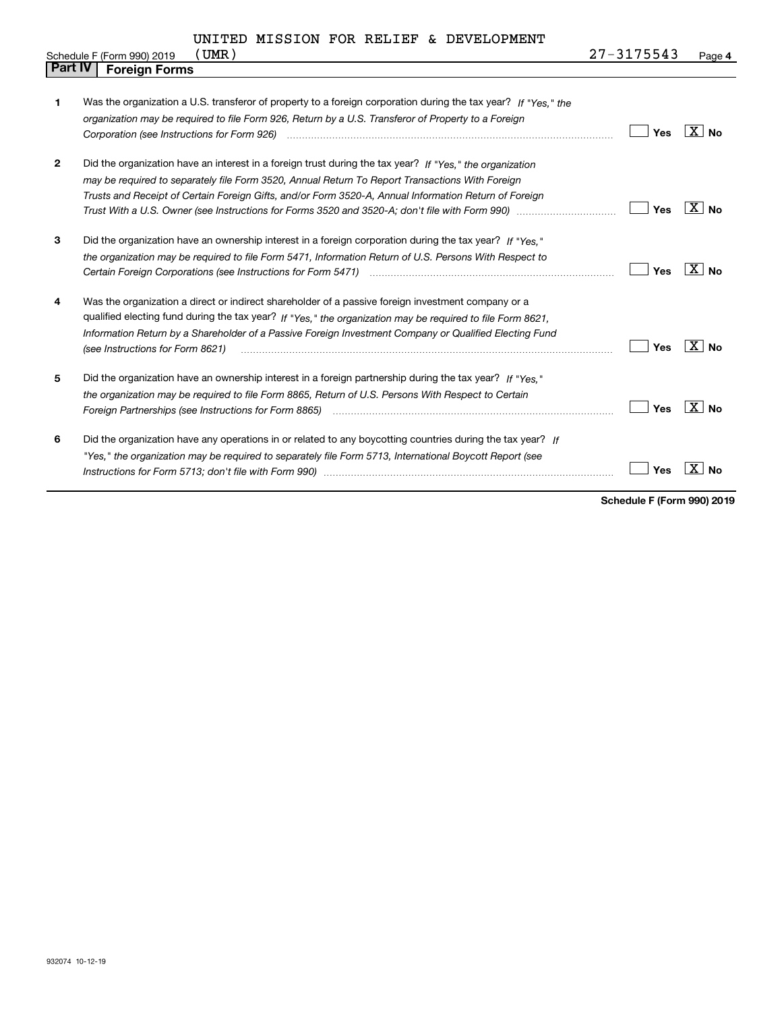|              | UMR)<br>Schedule F (Form 990) 2019                                                                                                                                                                                                                                                                                                                             | 27-3175543 | Page 4                    |
|--------------|----------------------------------------------------------------------------------------------------------------------------------------------------------------------------------------------------------------------------------------------------------------------------------------------------------------------------------------------------------------|------------|---------------------------|
| Part IV      | <b>Foreign Forms</b>                                                                                                                                                                                                                                                                                                                                           |            |                           |
| 1            | Was the organization a U.S. transferor of property to a foreign corporation during the tax year? If "Yes," the<br>organization may be required to file Form 926, Return by a U.S. Transferor of Property to a Foreign                                                                                                                                          | Yes        | X I<br>No                 |
| $\mathbf{2}$ | Did the organization have an interest in a foreign trust during the tax year? If "Yes." the organization<br>may be required to separately file Form 3520, Annual Return To Report Transactions With Foreign<br>Trusts and Receipt of Certain Foreign Gifts, and/or Form 3520-A, Annual Information Return of Foreign                                           | Yes        | <b>No</b>                 |
| 3            | Did the organization have an ownership interest in a foreign corporation during the tax year? If "Yes."<br>the organization may be required to file Form 5471, Information Return of U.S. Persons With Respect to<br>Certain Foreign Corporations (see Instructions for Form 5471) manufactured contains the context control of the                            | Yes        | $X \mid No$               |
| 4            | Was the organization a direct or indirect shareholder of a passive foreign investment company or a<br>qualified electing fund during the tax year? If "Yes," the organization may be required to file Form 8621,<br>Information Return by a Shareholder of a Passive Foreign Investment Company or Qualified Electing Fund<br>(see Instructions for Form 8621) | Yes        | $\mathbf{X}$<br><b>No</b> |
| 5            | Did the organization have an ownership interest in a foreign partnership during the tax year? If "Yes."<br>the organization may be required to file Form 8865, Return of U.S. Persons With Respect to Certain                                                                                                                                                  | Yes        | $X \mid N_{0}$            |
| 6            | Did the organization have any operations in or related to any boycotting countries during the tax year? If<br>"Yes," the organization may be required to separately file Form 5713, International Boycott Report (see                                                                                                                                          | Yes        | No                        |

**Schedule F (Form 990) 2019**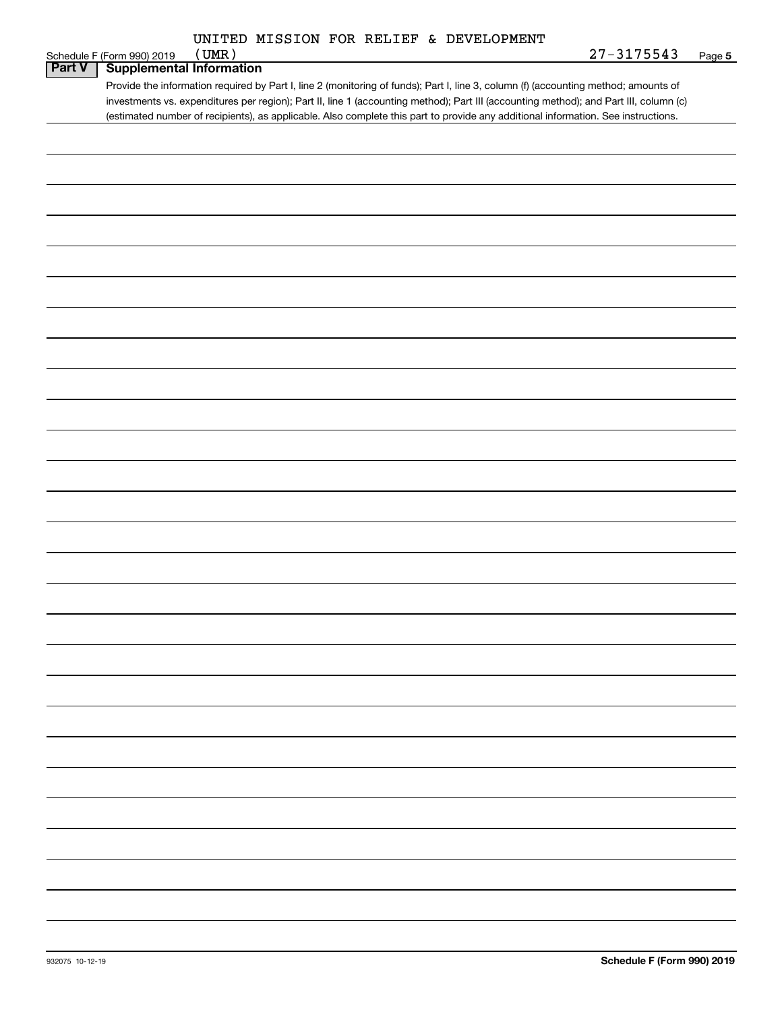| UNITED MISSION FOR RELIEF & DEVELOPMENT |
|-----------------------------------------|
|                                         |

|               | (UMR)<br>Schedule F (Form 990) 2019                                                                                                                                                                                                                                          | <u>27-3175543</u> | Page 5 |
|---------------|------------------------------------------------------------------------------------------------------------------------------------------------------------------------------------------------------------------------------------------------------------------------------|-------------------|--------|
| <b>Part V</b> | <b>Supplemental Information</b>                                                                                                                                                                                                                                              |                   |        |
|               | Provide the information required by Part I, line 2 (monitoring of funds); Part I, line 3, column (f) (accounting method; amounts of<br>investments vs. expenditures per region); Part II, line 1 (accounting method); Part III (accounting method); and Part III, column (c) |                   |        |
|               | (estimated number of recipients), as applicable. Also complete this part to provide any additional information. See instructions.                                                                                                                                            |                   |        |
|               |                                                                                                                                                                                                                                                                              |                   |        |
|               |                                                                                                                                                                                                                                                                              |                   |        |
|               |                                                                                                                                                                                                                                                                              |                   |        |
|               |                                                                                                                                                                                                                                                                              |                   |        |
|               |                                                                                                                                                                                                                                                                              |                   |        |
|               |                                                                                                                                                                                                                                                                              |                   |        |
|               |                                                                                                                                                                                                                                                                              |                   |        |
|               |                                                                                                                                                                                                                                                                              |                   |        |
|               |                                                                                                                                                                                                                                                                              |                   |        |
|               |                                                                                                                                                                                                                                                                              |                   |        |
|               |                                                                                                                                                                                                                                                                              |                   |        |
|               |                                                                                                                                                                                                                                                                              |                   |        |
|               |                                                                                                                                                                                                                                                                              |                   |        |
|               |                                                                                                                                                                                                                                                                              |                   |        |
|               |                                                                                                                                                                                                                                                                              |                   |        |
|               |                                                                                                                                                                                                                                                                              |                   |        |
|               |                                                                                                                                                                                                                                                                              |                   |        |
|               |                                                                                                                                                                                                                                                                              |                   |        |
|               |                                                                                                                                                                                                                                                                              |                   |        |
|               |                                                                                                                                                                                                                                                                              |                   |        |
|               |                                                                                                                                                                                                                                                                              |                   |        |
|               |                                                                                                                                                                                                                                                                              |                   |        |
|               |                                                                                                                                                                                                                                                                              |                   |        |
|               |                                                                                                                                                                                                                                                                              |                   |        |
|               |                                                                                                                                                                                                                                                                              |                   |        |
|               |                                                                                                                                                                                                                                                                              |                   |        |
|               |                                                                                                                                                                                                                                                                              |                   |        |
|               |                                                                                                                                                                                                                                                                              |                   |        |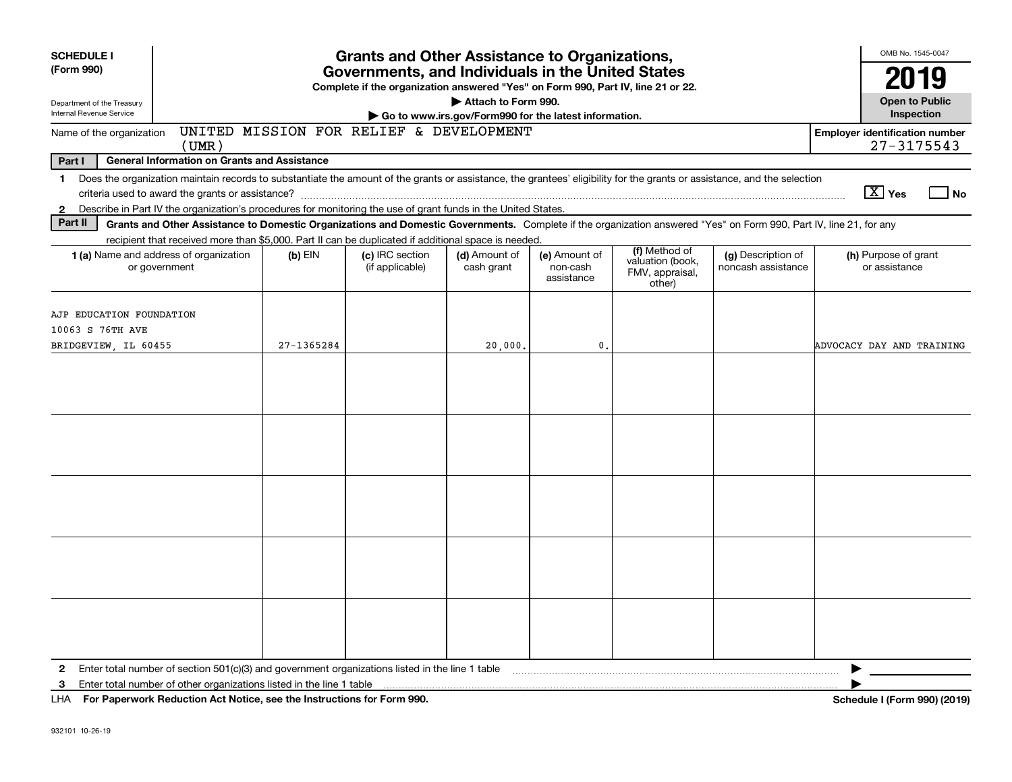| <b>SCHEDULE I</b>                                      |                                                                                                                                                                          |                                                                                  | <b>Grants and Other Assistance to Organizations,</b><br>Governments, and Individuals in the United States |                             |                                         |                                                                |                                          | OMB No. 1545-0047                                   |  |  |  |
|--------------------------------------------------------|--------------------------------------------------------------------------------------------------------------------------------------------------------------------------|----------------------------------------------------------------------------------|-----------------------------------------------------------------------------------------------------------|-----------------------------|-----------------------------------------|----------------------------------------------------------------|------------------------------------------|-----------------------------------------------------|--|--|--|
| (Form 990)                                             |                                                                                                                                                                          | Complete if the organization answered "Yes" on Form 990, Part IV, line 21 or 22. | 2019                                                                                                      |                             |                                         |                                                                |                                          |                                                     |  |  |  |
| Department of the Treasury<br>Internal Revenue Service | Attach to Form 990.<br>Go to www.irs.gov/Form990 for the latest information.                                                                                             |                                                                                  |                                                                                                           |                             |                                         |                                                                |                                          |                                                     |  |  |  |
| Name of the organization                               |                                                                                                                                                                          |                                                                                  | UNITED MISSION FOR RELIEF & DEVELOPMENT                                                                   |                             |                                         |                                                                |                                          | Inspection<br><b>Employer identification number</b> |  |  |  |
|                                                        | (UMR)                                                                                                                                                                    |                                                                                  |                                                                                                           |                             |                                         |                                                                |                                          | $27 - 3175543$                                      |  |  |  |
| Part I                                                 | <b>General Information on Grants and Assistance</b>                                                                                                                      |                                                                                  |                                                                                                           |                             |                                         |                                                                |                                          |                                                     |  |  |  |
| $\mathbf{1}$                                           | Does the organization maintain records to substantiate the amount of the grants or assistance, the grantees' eligibility for the grants or assistance, and the selection |                                                                                  |                                                                                                           |                             |                                         |                                                                |                                          | $\boxed{\text{X}}$ Yes<br>  No                      |  |  |  |
| $\mathbf{2}$                                           | Describe in Part IV the organization's procedures for monitoring the use of grant funds in the United States.                                                            |                                                                                  |                                                                                                           |                             |                                         |                                                                |                                          |                                                     |  |  |  |
| Part II                                                | Grants and Other Assistance to Domestic Organizations and Domestic Governments. Complete if the organization answered "Yes" on Form 990, Part IV, line 21, for any       |                                                                                  |                                                                                                           |                             |                                         |                                                                |                                          |                                                     |  |  |  |
|                                                        | recipient that received more than \$5,000. Part II can be duplicated if additional space is needed.                                                                      |                                                                                  |                                                                                                           |                             |                                         |                                                                |                                          |                                                     |  |  |  |
|                                                        | <b>1 (a)</b> Name and address of organization<br>or government                                                                                                           | $(b)$ EIN                                                                        | (c) IRC section<br>(if applicable)                                                                        | (d) Amount of<br>cash grant | (e) Amount of<br>non-cash<br>assistance | (f) Method of<br>valuation (book,<br>FMV, appraisal,<br>other) | (g) Description of<br>noncash assistance | (h) Purpose of grant<br>or assistance               |  |  |  |
| AJP EDUCATION FOUNDATION                               |                                                                                                                                                                          |                                                                                  |                                                                                                           |                             |                                         |                                                                |                                          |                                                     |  |  |  |
| 10063 S 76TH AVE                                       |                                                                                                                                                                          |                                                                                  |                                                                                                           |                             |                                         |                                                                |                                          |                                                     |  |  |  |
| BRIDGEVIEW, IL 60455                                   |                                                                                                                                                                          | $27 - 1365284$                                                                   |                                                                                                           | 20,000.                     | $\mathbf{0}$                            |                                                                |                                          | ADVOCACY DAY AND TRAINING                           |  |  |  |
|                                                        |                                                                                                                                                                          |                                                                                  |                                                                                                           |                             |                                         |                                                                |                                          |                                                     |  |  |  |
|                                                        |                                                                                                                                                                          |                                                                                  |                                                                                                           |                             |                                         |                                                                |                                          |                                                     |  |  |  |
|                                                        |                                                                                                                                                                          |                                                                                  |                                                                                                           |                             |                                         |                                                                |                                          |                                                     |  |  |  |
|                                                        |                                                                                                                                                                          |                                                                                  |                                                                                                           |                             |                                         |                                                                |                                          |                                                     |  |  |  |
|                                                        |                                                                                                                                                                          |                                                                                  |                                                                                                           |                             |                                         |                                                                |                                          |                                                     |  |  |  |
| 3                                                      | For Bournal Bodietter Act News Control Instruction Act Four 000                                                                                                          |                                                                                  |                                                                                                           |                             |                                         |                                                                |                                          | ▶<br>1.107000100401                                 |  |  |  |

**For Paperwork Reduction Act Notice, see the Instructions for Form 990. Schedule I (Form 990) (2019)** LHA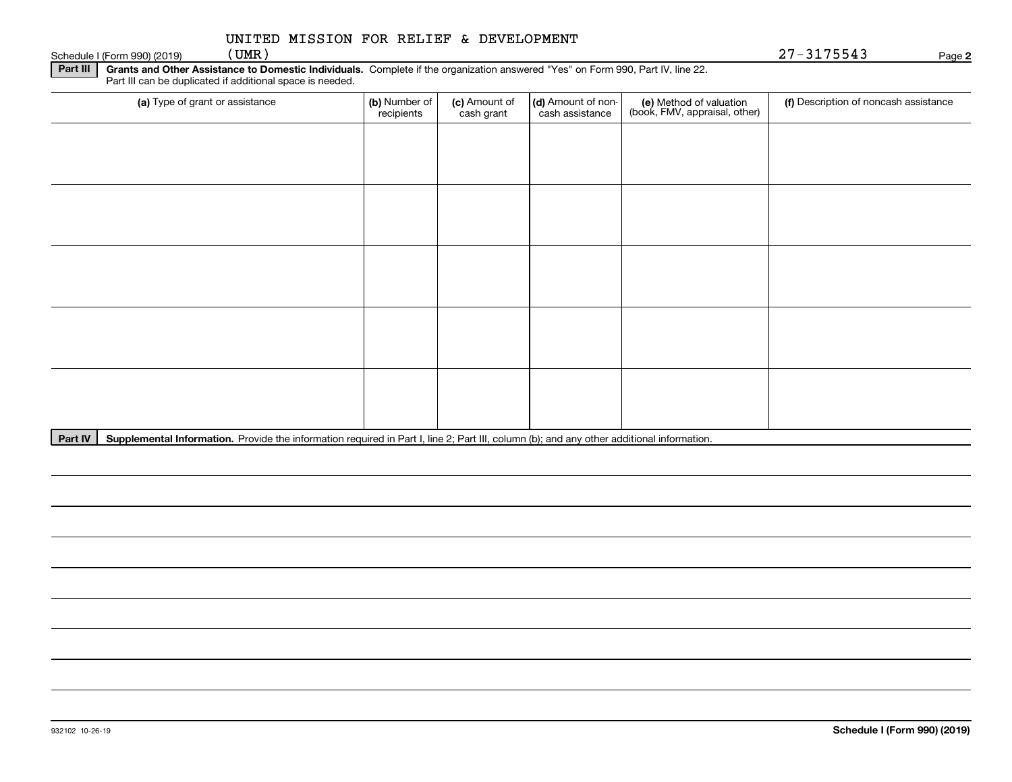|                              |       |  |  | UNITED MISSION FOR RELIEF & DEVELOPMENT |
|------------------------------|-------|--|--|-----------------------------------------|
| Schedule I (Form 990) (2019) | UMR . |  |  |                                         |

**2**(UMR) 27-3175543

**Part III** | Grants and Other Assistance to Domestic Individuals. Complete if the organization answered "Yes" on Form 990, Part IV, line 22. Part III can be duplicated if additional space is needed.

| (a) Type of grant or assistance | (b) Number of<br>recipients | (c) Amount of<br>cash grant | (d) Amount of non-<br>cash assistance | (e) Method of valuation<br>(book, FMV, appraisal, other) | (f) Description of noncash assistance |
|---------------------------------|-----------------------------|-----------------------------|---------------------------------------|----------------------------------------------------------|---------------------------------------|
|                                 |                             |                             |                                       |                                                          |                                       |
|                                 |                             |                             |                                       |                                                          |                                       |
|                                 |                             |                             |                                       |                                                          |                                       |
|                                 |                             |                             |                                       |                                                          |                                       |
|                                 |                             |                             |                                       |                                                          |                                       |
|                                 |                             |                             |                                       |                                                          |                                       |
|                                 |                             |                             |                                       |                                                          |                                       |
|                                 |                             |                             |                                       |                                                          |                                       |
|                                 |                             |                             |                                       |                                                          |                                       |
|                                 |                             |                             |                                       |                                                          |                                       |

Part IV | Supplemental Information. Provide the information required in Part I, line 2; Part III, column (b); and any other additional information.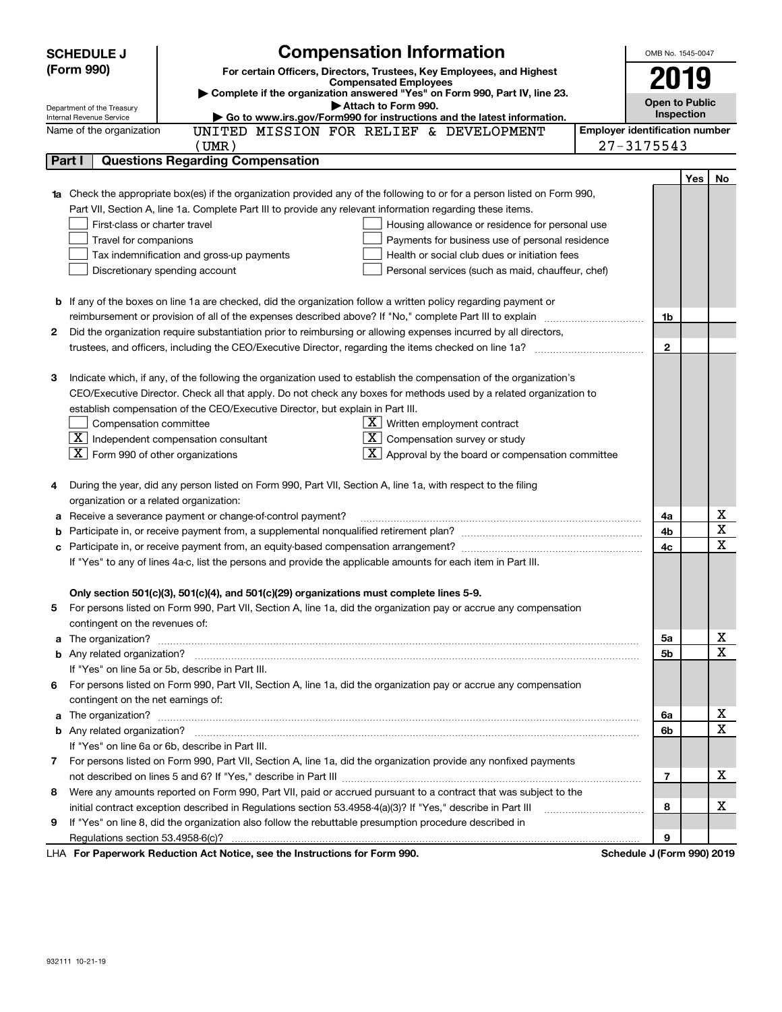|   | <b>SCHEDULE J</b>                                      | <b>Compensation Information</b>                                                                                        |                                       | OMB No. 1545-0047               |            |                   |
|---|--------------------------------------------------------|------------------------------------------------------------------------------------------------------------------------|---------------------------------------|---------------------------------|------------|-------------------|
|   | (Form 990)                                             | For certain Officers, Directors, Trustees, Key Employees, and Highest                                                  |                                       |                                 |            |                   |
|   |                                                        | <b>Compensated Employees</b>                                                                                           |                                       | 2019                            |            |                   |
|   |                                                        | Complete if the organization answered "Yes" on Form 990, Part IV, line 23.<br>Attach to Form 990.                      |                                       | <b>Open to Public</b>           |            |                   |
|   | Department of the Treasury<br>Internal Revenue Service | Go to www.irs.gov/Form990 for instructions and the latest information.                                                 |                                       |                                 | Inspection |                   |
|   | Name of the organization                               | UNITED MISSION FOR RELIEF & DEVELOPMENT                                                                                | <b>Employer identification number</b> |                                 |            |                   |
|   |                                                        | $($ UMR $)$                                                                                                            |                                       | 27-3175543                      |            |                   |
|   | Part I                                                 | <b>Questions Regarding Compensation</b>                                                                                |                                       |                                 |            |                   |
|   |                                                        |                                                                                                                        |                                       |                                 | Yes        | No                |
|   |                                                        | Check the appropriate box(es) if the organization provided any of the following to or for a person listed on Form 990, |                                       |                                 |            |                   |
|   |                                                        | Part VII, Section A, line 1a. Complete Part III to provide any relevant information regarding these items.             |                                       |                                 |            |                   |
|   | First-class or charter travel                          | Housing allowance or residence for personal use                                                                        |                                       |                                 |            |                   |
|   | Travel for companions                                  | Payments for business use of personal residence                                                                        |                                       |                                 |            |                   |
|   |                                                        | Tax indemnification and gross-up payments<br>Health or social club dues or initiation fees                             |                                       |                                 |            |                   |
|   |                                                        | Discretionary spending account<br>Personal services (such as maid, chauffeur, chef)                                    |                                       |                                 |            |                   |
|   |                                                        |                                                                                                                        |                                       |                                 |            |                   |
| b |                                                        | If any of the boxes on line 1a are checked, did the organization follow a written policy regarding payment or          |                                       |                                 |            |                   |
|   |                                                        | reimbursement or provision of all of the expenses described above? If "No," complete Part III to explain               |                                       | 1b                              |            |                   |
| 2 |                                                        | Did the organization require substantiation prior to reimbursing or allowing expenses incurred by all directors,       |                                       |                                 |            |                   |
|   |                                                        |                                                                                                                        |                                       | $\overline{2}$                  |            |                   |
|   |                                                        |                                                                                                                        |                                       |                                 |            |                   |
| з |                                                        | Indicate which, if any, of the following the organization used to establish the compensation of the organization's     |                                       |                                 |            |                   |
|   |                                                        | CEO/Executive Director. Check all that apply. Do not check any boxes for methods used by a related organization to     |                                       |                                 |            |                   |
|   |                                                        | establish compensation of the CEO/Executive Director, but explain in Part III.                                         |                                       |                                 |            |                   |
|   | Compensation committee                                 | $X$ Written employment contract                                                                                        |                                       |                                 |            |                   |
|   |                                                        | $\boxed{\text{X}}$ Independent compensation consultant<br>$X$ Compensation survey or study                             |                                       |                                 |            |                   |
|   | $\overline{X}$ Form 990 of other organizations         | $\mathbf{X}$ Approval by the board or compensation committee                                                           |                                       |                                 |            |                   |
|   |                                                        |                                                                                                                        |                                       |                                 |            |                   |
| 4 |                                                        | During the year, did any person listed on Form 990, Part VII, Section A, line 1a, with respect to the filing           |                                       |                                 |            |                   |
|   | organization or a related organization:                |                                                                                                                        |                                       |                                 |            |                   |
| а |                                                        | Receive a severance payment or change-of-control payment?                                                              |                                       | 4a                              |            | х                 |
|   |                                                        |                                                                                                                        |                                       | 4b                              |            | X                 |
| с |                                                        |                                                                                                                        |                                       | 4c                              |            | $\mathbf x$       |
|   |                                                        | If "Yes" to any of lines 4a-c, list the persons and provide the applicable amounts for each item in Part III.          |                                       |                                 |            |                   |
|   |                                                        |                                                                                                                        |                                       |                                 |            |                   |
|   |                                                        | Only section 501(c)(3), 501(c)(4), and 501(c)(29) organizations must complete lines 5-9.                               |                                       |                                 |            |                   |
|   |                                                        | For persons listed on Form 990, Part VII, Section A, line 1a, did the organization pay or accrue any compensation      |                                       |                                 |            |                   |
|   | contingent on the revenues of:                         |                                                                                                                        |                                       |                                 |            |                   |
| a |                                                        |                                                                                                                        |                                       | 5a                              |            | x                 |
|   |                                                        |                                                                                                                        |                                       | 5b                              |            | $\mathbf{x}$      |
|   |                                                        | If "Yes" on line 5a or 5b, describe in Part III.                                                                       |                                       |                                 |            |                   |
|   |                                                        | 6 For persons listed on Form 990, Part VII, Section A, line 1a, did the organization pay or accrue any compensation    |                                       |                                 |            |                   |
|   | contingent on the net earnings of:                     |                                                                                                                        |                                       |                                 |            |                   |
| a |                                                        |                                                                                                                        |                                       | 6a                              |            | х<br>$\mathbf{x}$ |
|   |                                                        |                                                                                                                        |                                       | 6b                              |            |                   |
|   |                                                        | If "Yes" on line 6a or 6b, describe in Part III.                                                                       |                                       |                                 |            |                   |
|   |                                                        | 7 For persons listed on Form 990, Part VII, Section A, line 1a, did the organization provide any nonfixed payments     |                                       |                                 |            |                   |
|   |                                                        |                                                                                                                        |                                       | $\overline{7}$                  |            | х                 |
| 8 |                                                        | Were any amounts reported on Form 990, Part VII, paid or accrued pursuant to a contract that was subject to the        |                                       |                                 |            |                   |
|   |                                                        | initial contract exception described in Regulations section 53.4958-4(a)(3)? If "Yes," describe in Part III            |                                       | 8                               |            | х                 |
| 9 |                                                        | If "Yes" on line 8, did the organization also follow the rebuttable presumption procedure described in                 |                                       |                                 |            |                   |
|   | Regulations section 53.4958-6(c)?                      | For Panerwork Reduction Act Notice, see the Instructions for Form 000                                                  |                                       | 9<br>Schodule 1 (Form 000) 2010 |            |                   |

LHA For Paperwork Reduction Act Notice, see the Instructions for Form 990. Schedule J (Form 990) 2019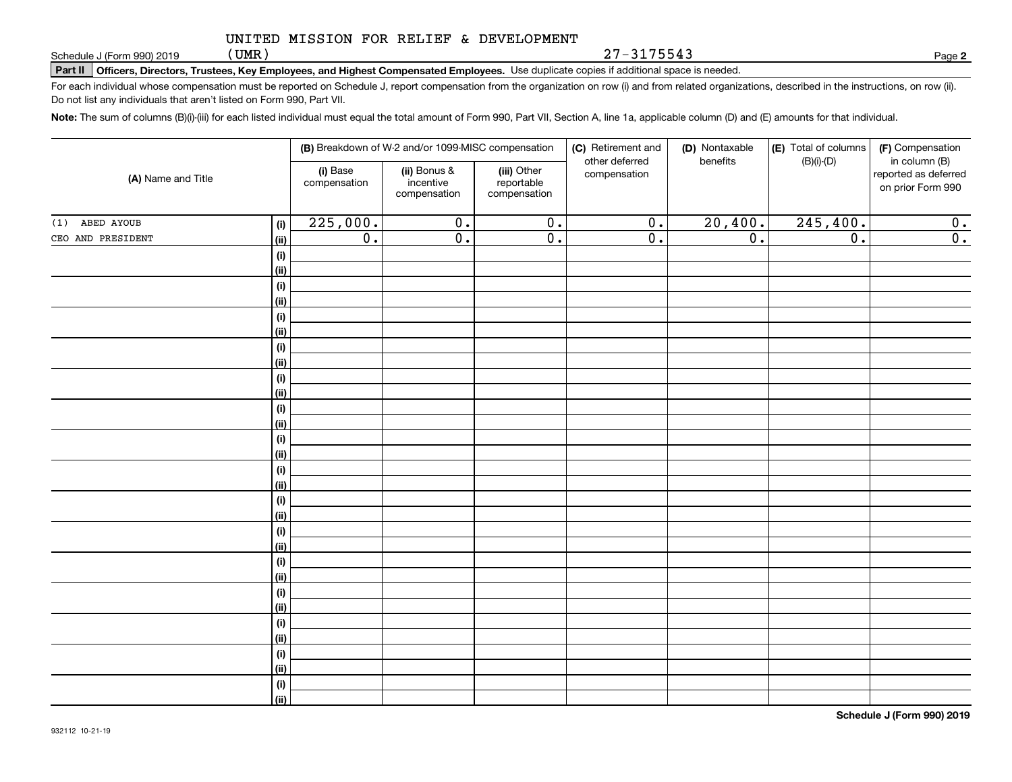**Part II Officers, Directors, Trustees, Key Employees, and Highest Compensated Employees.**  Schedule J (Form 990) 2019 Page Use duplicate copies if additional space is needed.

For each individual whose compensation must be reported on Schedule J, report compensation from the organization on row (i) and from related organizations, described in the instructions, on row (ii). Do not list any individuals that aren't listed on Form 990, Part VII.

**Note:**  The sum of columns (B)(i)-(iii) for each listed individual must equal the total amount of Form 990, Part VII, Section A, line 1a, applicable column (D) and (E) amounts for that individual.

| (A) Name and Title |                    |                          | (B) Breakdown of W-2 and/or 1099-MISC compensation |                                           | (C) Retirement and<br>other deferred | (D) Nontaxable<br>benefits | (E) Total of columns<br>$(B)(i)-(D)$ | (F) Compensation<br>in column (B)         |
|--------------------|--------------------|--------------------------|----------------------------------------------------|-------------------------------------------|--------------------------------------|----------------------------|--------------------------------------|-------------------------------------------|
|                    |                    | (i) Base<br>compensation | (ii) Bonus &<br>incentive<br>compensation          | (iii) Other<br>reportable<br>compensation | compensation                         |                            |                                      | reported as deferred<br>on prior Form 990 |
| $(1)$ ABED AYOUB   | (i)                | 225,000.                 | $\overline{0}$ .                                   | $\overline{0}$ .                          | $\overline{0}$ .                     | 20,400.                    | 245,400.                             | 0.                                        |
| CEO AND PRESIDENT  | (ii)               | $\overline{0}$ .         | $\overline{0}$ .                                   | $\overline{0}$ .                          | $\overline{0}$ .                     | $\overline{0}$ .           | $\overline{0}$ .                     | $\overline{0}$ .                          |
|                    | (i)                |                          |                                                    |                                           |                                      |                            |                                      |                                           |
|                    | (ii)               |                          |                                                    |                                           |                                      |                            |                                      |                                           |
|                    | (i)                |                          |                                                    |                                           |                                      |                            |                                      |                                           |
|                    | (ii)               |                          |                                                    |                                           |                                      |                            |                                      |                                           |
|                    | (i)                |                          |                                                    |                                           |                                      |                            |                                      |                                           |
|                    | <u>(ii)</u>        |                          |                                                    |                                           |                                      |                            |                                      |                                           |
|                    | (i)                |                          |                                                    |                                           |                                      |                            |                                      |                                           |
|                    | <u>(ii)</u>        |                          |                                                    |                                           |                                      |                            |                                      |                                           |
|                    | (i)                |                          |                                                    |                                           |                                      |                            |                                      |                                           |
|                    | <u>(ii)</u>        |                          |                                                    |                                           |                                      |                            |                                      |                                           |
|                    | (i)                |                          |                                                    |                                           |                                      |                            |                                      |                                           |
|                    | <u>(ii)</u>        |                          |                                                    |                                           |                                      |                            |                                      |                                           |
|                    | (i)                |                          |                                                    |                                           |                                      |                            |                                      |                                           |
|                    | <u>(ii)</u>        |                          |                                                    |                                           |                                      |                            |                                      |                                           |
|                    | (i)                |                          |                                                    |                                           |                                      |                            |                                      |                                           |
|                    | <u>(ii)</u>        |                          |                                                    |                                           |                                      |                            |                                      |                                           |
|                    | (i)<br><u>(ii)</u> |                          |                                                    |                                           |                                      |                            |                                      |                                           |
|                    | (i)                |                          |                                                    |                                           |                                      |                            |                                      |                                           |
|                    | <u>(ii)</u>        |                          |                                                    |                                           |                                      |                            |                                      |                                           |
|                    | (i)                |                          |                                                    |                                           |                                      |                            |                                      |                                           |
|                    | <u>(ii)</u>        |                          |                                                    |                                           |                                      |                            |                                      |                                           |
|                    | (i)                |                          |                                                    |                                           |                                      |                            |                                      |                                           |
|                    | <u>(ii)</u>        |                          |                                                    |                                           |                                      |                            |                                      |                                           |
|                    | (i)                |                          |                                                    |                                           |                                      |                            |                                      |                                           |
|                    | <u>(ii)</u>        |                          |                                                    |                                           |                                      |                            |                                      |                                           |
|                    | (i)                |                          |                                                    |                                           |                                      |                            |                                      |                                           |
|                    | <u>(ii)</u>        |                          |                                                    |                                           |                                      |                            |                                      |                                           |
|                    | (i)                |                          |                                                    |                                           |                                      |                            |                                      |                                           |
|                    | (ii)               |                          |                                                    |                                           |                                      |                            |                                      |                                           |

**2**

27-3175543

(UMR)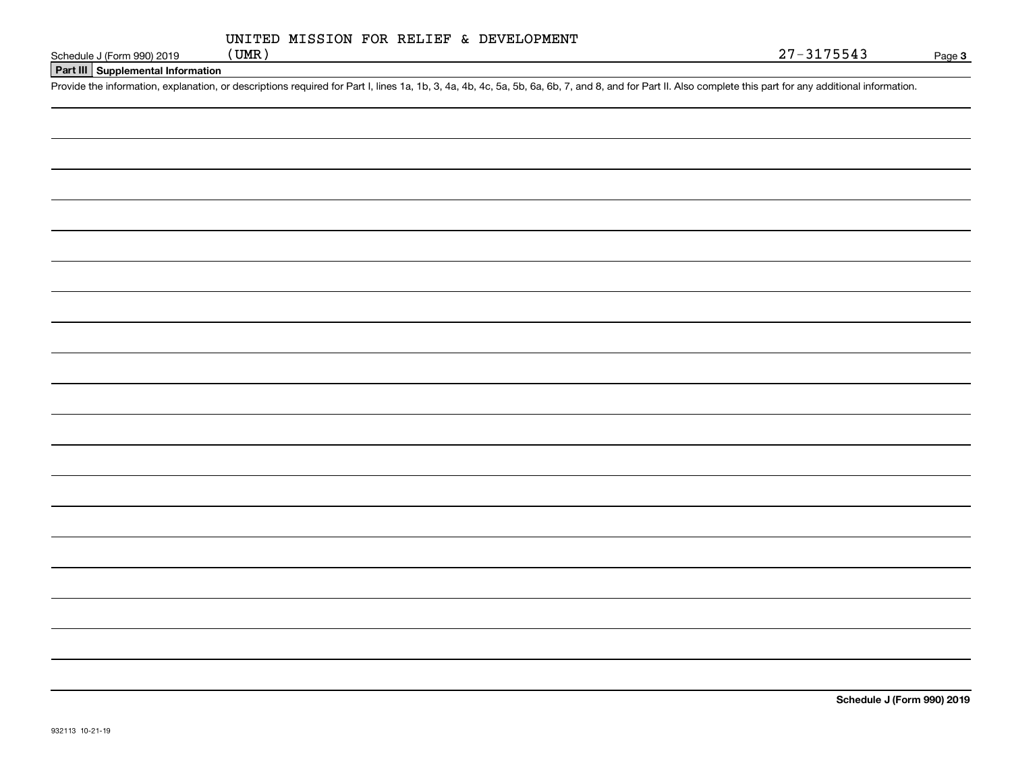|  |  |  | UNITED MISSION FOR RELIEF & DEVELOPMENT |
|--|--|--|-----------------------------------------|
|  |  |  |                                         |

**Part III Supplemental Information**

Schedule J (Form 990) 2019 (UMR)<br>Part III Supplemental Information<br>Provide the information, explanation, or descriptions required for Part I, lines 1a, 1b, 3, 4a, 4b, 4c, 5a, 5b, 6a, 6b, 7, and 8, and for Part II. Also com

**Schedule J (Form 990) 2019**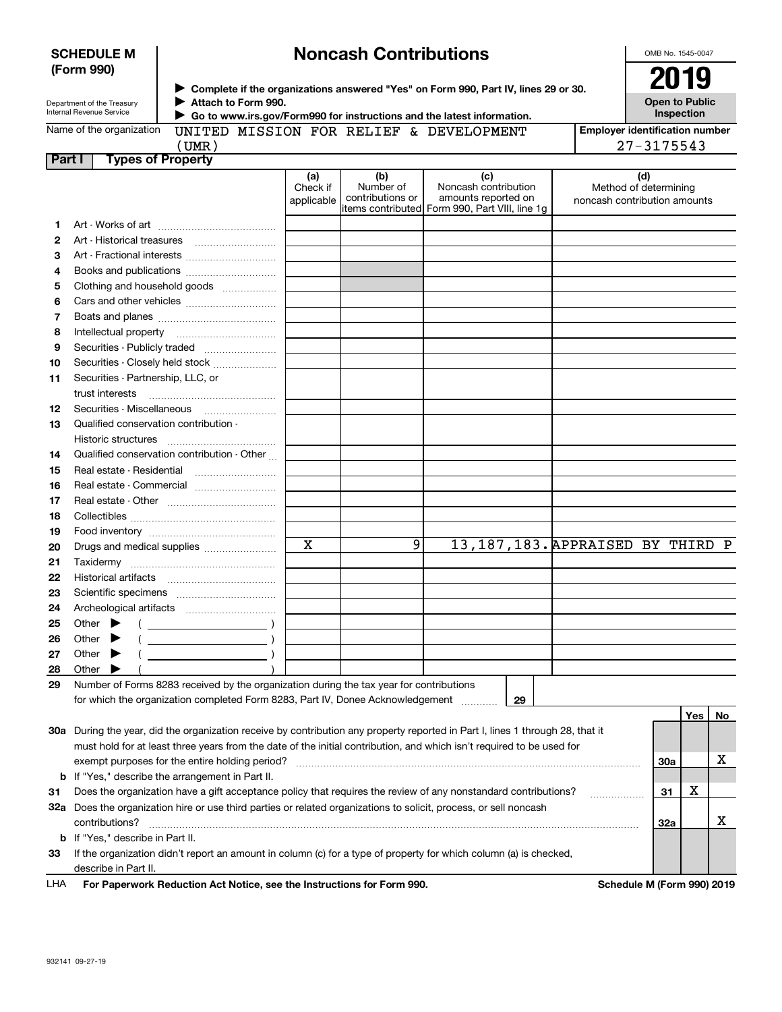|        | (Form 990)                                             |                                                                                         |                               |                                      | ▶ Complete if the organizations answered "Yes" on Form 990, Part IV, lines 29 or 30.                                           |                              | 2019                                  |            |    |
|--------|--------------------------------------------------------|-----------------------------------------------------------------------------------------|-------------------------------|--------------------------------------|--------------------------------------------------------------------------------------------------------------------------------|------------------------------|---------------------------------------|------------|----|
|        | Department of the Treasury<br>Internal Revenue Service | Attach to Form 990.                                                                     |                               |                                      | Go to www.irs.gov/Form990 for instructions and the latest information.                                                         |                              | <b>Open to Public</b><br>Inspection   |            |    |
|        | Name of the organization                               | UNITED MISSION FOR RELIEF & DEVELOPMENT                                                 |                               |                                      |                                                                                                                                |                              | <b>Employer identification number</b> |            |    |
|        |                                                        | (UMR)                                                                                   |                               |                                      |                                                                                                                                |                              | $27 - 3175543$                        |            |    |
| Part I |                                                        | <b>Types of Property</b>                                                                |                               |                                      |                                                                                                                                |                              |                                       |            |    |
|        |                                                        |                                                                                         | (a)<br>Check if<br>applicable | (b)<br>Number of<br>contributions or | (c)<br>Noncash contribution<br>amounts reported on<br>litems contributed Form 990, Part VIII, line 1g                          | noncash contribution amounts | (d)<br>Method of determining          |            |    |
| 1.     |                                                        |                                                                                         |                               |                                      |                                                                                                                                |                              |                                       |            |    |
| 2      |                                                        |                                                                                         |                               |                                      |                                                                                                                                |                              |                                       |            |    |
| З      |                                                        | Art - Fractional interests                                                              |                               |                                      |                                                                                                                                |                              |                                       |            |    |
| 4      |                                                        | Books and publications                                                                  |                               |                                      |                                                                                                                                |                              |                                       |            |    |
| 5      |                                                        | Clothing and household goods                                                            |                               |                                      |                                                                                                                                |                              |                                       |            |    |
| 6      |                                                        |                                                                                         |                               |                                      |                                                                                                                                |                              |                                       |            |    |
| 7      |                                                        |                                                                                         |                               |                                      |                                                                                                                                |                              |                                       |            |    |
| 8      | Intellectual property                                  |                                                                                         |                               |                                      |                                                                                                                                |                              |                                       |            |    |
| 9      |                                                        |                                                                                         |                               |                                      |                                                                                                                                |                              |                                       |            |    |
| 10     |                                                        | Securities - Closely held stock                                                         |                               |                                      |                                                                                                                                |                              |                                       |            |    |
| 11     | Securities - Partnership, LLC, or                      |                                                                                         |                               |                                      |                                                                                                                                |                              |                                       |            |    |
|        | trust interests                                        |                                                                                         |                               |                                      |                                                                                                                                |                              |                                       |            |    |
| 12     |                                                        | Securities - Miscellaneous                                                              |                               |                                      |                                                                                                                                |                              |                                       |            |    |
| 13     | Qualified conservation contribution -                  |                                                                                         |                               |                                      |                                                                                                                                |                              |                                       |            |    |
|        | Historic structures                                    |                                                                                         |                               |                                      |                                                                                                                                |                              |                                       |            |    |
| 14     |                                                        | Qualified conservation contribution - Other                                             |                               |                                      |                                                                                                                                |                              |                                       |            |    |
| 15     | Real estate - Residential                              |                                                                                         |                               |                                      |                                                                                                                                |                              |                                       |            |    |
| 16     |                                                        | Real estate - Commercial                                                                |                               |                                      |                                                                                                                                |                              |                                       |            |    |
| 17     |                                                        |                                                                                         |                               |                                      |                                                                                                                                |                              |                                       |            |    |
| 18     |                                                        |                                                                                         |                               |                                      |                                                                                                                                |                              |                                       |            |    |
| 19     |                                                        |                                                                                         |                               |                                      |                                                                                                                                |                              |                                       |            |    |
| 20     |                                                        | Drugs and medical supplies                                                              | X                             | $\overline{9}$                       | 13,187,183. APPRAISED BY THIRD P                                                                                               |                              |                                       |            |    |
| 21     |                                                        |                                                                                         |                               |                                      |                                                                                                                                |                              |                                       |            |    |
| 22     |                                                        |                                                                                         |                               |                                      |                                                                                                                                |                              |                                       |            |    |
| 23     |                                                        |                                                                                         |                               |                                      |                                                                                                                                |                              |                                       |            |    |
| 24     |                                                        |                                                                                         |                               |                                      |                                                                                                                                |                              |                                       |            |    |
| 25     |                                                        |                                                                                         |                               |                                      |                                                                                                                                |                              |                                       |            |    |
| 26     |                                                        | Other $\qquad \qquad$ (                                                                 |                               |                                      |                                                                                                                                |                              |                                       |            |    |
| 27     | Other                                                  |                                                                                         |                               |                                      |                                                                                                                                |                              |                                       |            |    |
| 28     | Other                                                  |                                                                                         |                               |                                      |                                                                                                                                |                              |                                       |            |    |
| 29     |                                                        | Number of Forms 8283 received by the organization during the tax year for contributions |                               |                                      |                                                                                                                                |                              |                                       |            |    |
|        |                                                        | for which the organization completed Form 8283, Part IV, Donee Acknowledgement          |                               |                                      | 29                                                                                                                             |                              |                                       |            |    |
|        |                                                        |                                                                                         |                               |                                      |                                                                                                                                |                              |                                       | <b>Yes</b> | No |
|        |                                                        |                                                                                         |                               |                                      | 30a During the year, did the organization receive by contribution any property reported in Part I, lines 1 through 28, that it |                              |                                       |            |    |
|        |                                                        |                                                                                         |                               |                                      | must hold for at least three years from the date of the initial contribution, and which isn't required to be used for          |                              |                                       |            |    |
|        |                                                        | exempt purposes for the entire holding period?                                          |                               |                                      |                                                                                                                                |                              | 30a                                   |            | х  |
|        |                                                        | <b>b</b> If "Yes," describe the arrangement in Part II.                                 |                               |                                      |                                                                                                                                |                              |                                       |            |    |
| 31     |                                                        |                                                                                         |                               |                                      | Does the organization have a gift acceptance policy that requires the review of any nonstandard contributions?                 |                              | 31                                    | х          |    |
|        |                                                        |                                                                                         |                               |                                      | 32a Does the organization hire or use third parties or related organizations to solicit, process, or sell noncash              |                              |                                       |            |    |
|        | contributions?                                         |                                                                                         |                               |                                      |                                                                                                                                |                              | 32a                                   |            | X  |
|        | b If "Yes," describe in Part II.                       |                                                                                         |                               |                                      |                                                                                                                                |                              |                                       |            |    |
| 33     |                                                        |                                                                                         |                               |                                      | If the organization didn't report an amount in column (c) for a type of property for which column (a) is checked,              |                              |                                       |            |    |
|        | describe in Part II.                                   |                                                                                         |                               |                                      |                                                                                                                                |                              |                                       |            |    |

**Noncash Contributions**

For Paperwork Reduction Act Notice, see the Instructions for Form 990. **Schedule M** (Form 990) 2019 LHA

OMB No. 1545-0047

**SCHEDULE M**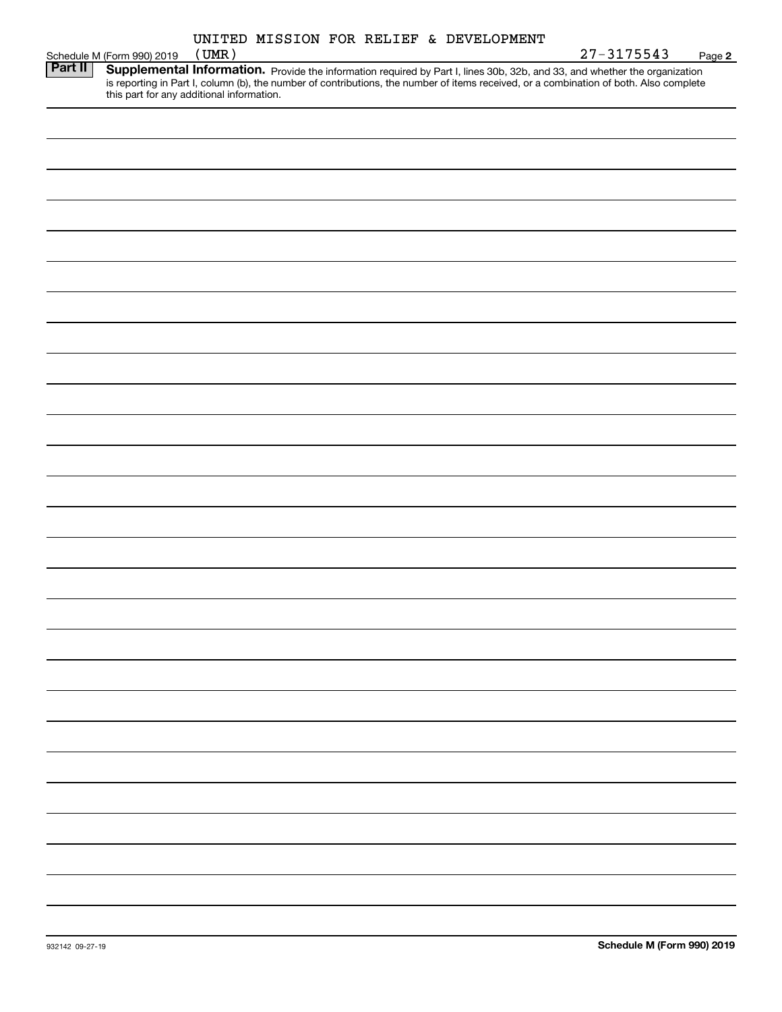|  |  |  | UNITED MISSION FOR RELIEF & DEVELOPMENT |  |
|--|--|--|-----------------------------------------|--|
|  |  |  |                                         |  |

|                | ONITED MISSION FOR REDIEF & DEVENOFMENT                                                                                                                                                                                             |
|----------------|-------------------------------------------------------------------------------------------------------------------------------------------------------------------------------------------------------------------------------------|
|                | $27 - 3175543$<br>(UMR)<br>Schedule M (Form 990) 2019<br>Page 2                                                                                                                                                                     |
| <b>Part II</b> | <b>Supplemental Information.</b> Provide the information required by Part I, lines 30b, 32b, and 33, and whether the organization is reporting in Part I, column (b), the number of contributions, the number of items received, or |
|                |                                                                                                                                                                                                                                     |
|                |                                                                                                                                                                                                                                     |
|                |                                                                                                                                                                                                                                     |
|                |                                                                                                                                                                                                                                     |
|                |                                                                                                                                                                                                                                     |
|                |                                                                                                                                                                                                                                     |
|                |                                                                                                                                                                                                                                     |
|                |                                                                                                                                                                                                                                     |
|                |                                                                                                                                                                                                                                     |
|                |                                                                                                                                                                                                                                     |
|                |                                                                                                                                                                                                                                     |
|                |                                                                                                                                                                                                                                     |
|                |                                                                                                                                                                                                                                     |
|                |                                                                                                                                                                                                                                     |
|                |                                                                                                                                                                                                                                     |
|                |                                                                                                                                                                                                                                     |
|                |                                                                                                                                                                                                                                     |
|                |                                                                                                                                                                                                                                     |
|                |                                                                                                                                                                                                                                     |
|                |                                                                                                                                                                                                                                     |
|                |                                                                                                                                                                                                                                     |
|                |                                                                                                                                                                                                                                     |
|                |                                                                                                                                                                                                                                     |
|                |                                                                                                                                                                                                                                     |
|                |                                                                                                                                                                                                                                     |
|                |                                                                                                                                                                                                                                     |
|                |                                                                                                                                                                                                                                     |
|                |                                                                                                                                                                                                                                     |
|                |                                                                                                                                                                                                                                     |
|                |                                                                                                                                                                                                                                     |
|                |                                                                                                                                                                                                                                     |
|                |                                                                                                                                                                                                                                     |
|                |                                                                                                                                                                                                                                     |
|                |                                                                                                                                                                                                                                     |
|                |                                                                                                                                                                                                                                     |
|                |                                                                                                                                                                                                                                     |
|                |                                                                                                                                                                                                                                     |
|                |                                                                                                                                                                                                                                     |
|                |                                                                                                                                                                                                                                     |
|                |                                                                                                                                                                                                                                     |
|                |                                                                                                                                                                                                                                     |
|                |                                                                                                                                                                                                                                     |
|                |                                                                                                                                                                                                                                     |
|                |                                                                                                                                                                                                                                     |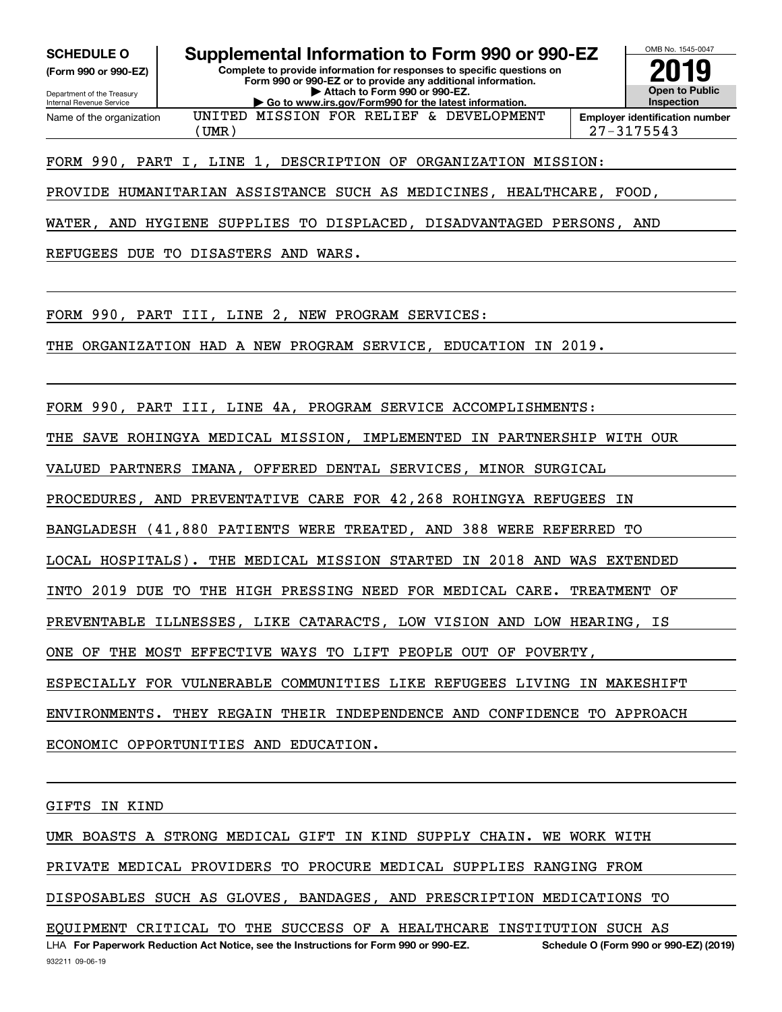**(Form 990 or 990-EZ)**

Department of the Treasury Internal Revenue Service Name of the organization

**SCHEDULE O Supplemental Information to Form 990 or 990-EZ**

**Complete to provide information for responses to specific questions on Form 990 or 990-EZ or to provide any additional information. | Attach to Form 990 or 990-EZ. | Go to www.irs.gov/Form990 for the latest information.**

UNITED MISSION FOR RELIEF & DEVELOPMENT



(UMR) 27-3175543

FORM 990, PART I, LINE 1, DESCRIPTION OF ORGANIZATION MISSION:

PROVIDE HUMANITARIAN ASSISTANCE SUCH AS MEDICINES, HEALTHCARE, FOOD,

WATER, AND HYGIENE SUPPLIES TO DISPLACED, DISADVANTAGED PERSONS, AND

REFUGEES DUE TO DISASTERS AND WARS.

FORM 990, PART III, LINE 2, NEW PROGRAM SERVICES:

THE ORGANIZATION HAD A NEW PROGRAM SERVICE, EDUCATION IN 2019.

FORM 990, PART III, LINE 4A, PROGRAM SERVICE ACCOMPLISHMENTS:

THE SAVE ROHINGYA MEDICAL MISSION, IMPLEMENTED IN PARTNERSHIP WITH OUR

VALUED PARTNERS IMANA, OFFERED DENTAL SERVICES, MINOR SURGICAL

PROCEDURES, AND PREVENTATIVE CARE FOR 42,268 ROHINGYA REFUGEES IN

BANGLADESH (41,880 PATIENTS WERE TREATED, AND 388 WERE REFERRED TO

LOCAL HOSPITALS). THE MEDICAL MISSION STARTED IN 2018 AND WAS EXTENDED

INTO 2019 DUE TO THE HIGH PRESSING NEED FOR MEDICAL CARE. TREATMENT OF

PREVENTABLE ILLNESSES, LIKE CATARACTS, LOW VISION AND LOW HEARING, IS

ONE OF THE MOST EFFECTIVE WAYS TO LIFT PEOPLE OUT OF POVERTY,

ESPECIALLY FOR VULNERABLE COMMUNITIES LIKE REFUGEES LIVING IN MAKESHIFT

ENVIRONMENTS. THEY REGAIN THEIR INDEPENDENCE AND CONFIDENCE TO APPROACH

ECONOMIC OPPORTUNITIES AND EDUCATION.

GIFTS IN KIND

UMR BOASTS A STRONG MEDICAL GIFT IN KIND SUPPLY CHAIN. WE WORK WITH

PRIVATE MEDICAL PROVIDERS TO PROCURE MEDICAL SUPPLIES RANGING FROM

DISPOSABLES SUCH AS GLOVES, BANDAGES, AND PRESCRIPTION MEDICATIONS TO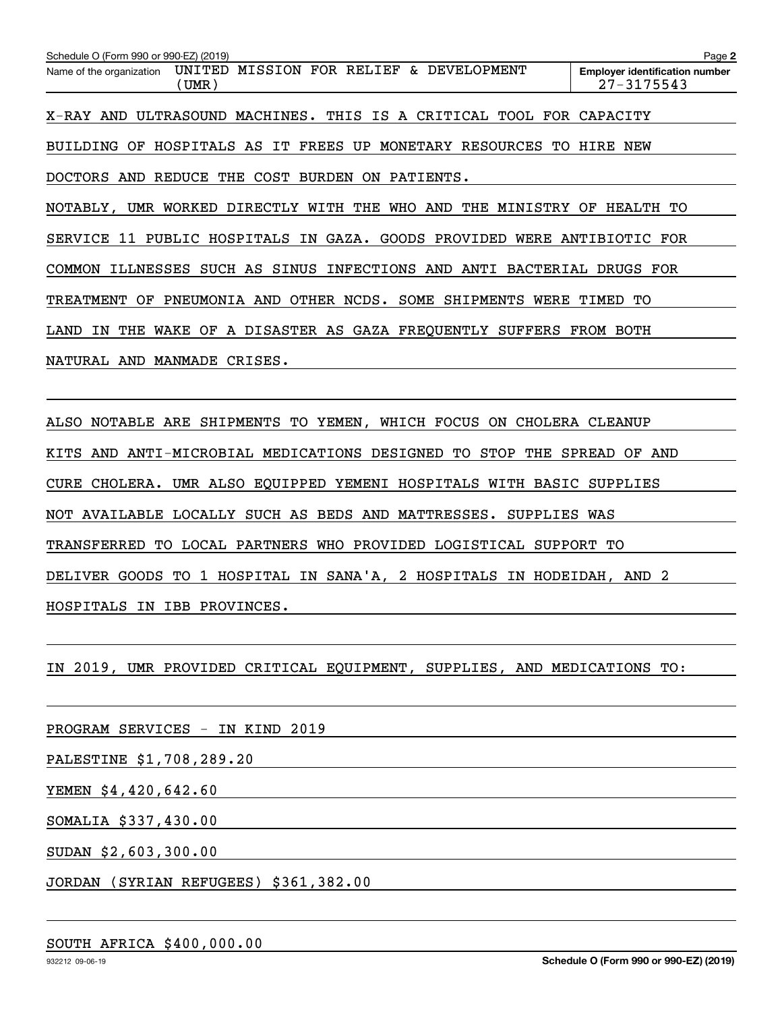| Schedule O (Form 990 or 990-EZ) (2019)                                       | Page 2                                              |
|------------------------------------------------------------------------------|-----------------------------------------------------|
| UNITED MISSION FOR RELIEF & DEVELOPMENT<br>Name of the organization<br>(UMR) | <b>Employer identification number</b><br>27-3175543 |
| X-RAY AND ULTRASOUND MACHINES. THIS IS A CRITICAL TOOL FOR CAPACITY          |                                                     |
| BUILDING OF HOSPITALS AS IT FREES UP MONETARY RESOURCES TO HIRE NEW          |                                                     |
| DOCTORS AND REDUCE THE COST BURDEN ON PATIENTS.                              |                                                     |
| NOTABLY, UMR WORKED DIRECTLY WITH THE WHO AND THE MINISTRY OF HEALTH TO      |                                                     |
| SERVICE 11 PUBLIC HOSPITALS IN GAZA. GOODS PROVIDED WERE ANTIBIOTIC FOR      |                                                     |
| COMMON ILLNESSES SUCH AS SINUS INFECTIONS AND ANTI BACTERIAL DRUGS FOR       |                                                     |
| OF PNEUMONIA AND OTHER NCDS. SOME SHIPMENTS WERE<br>TREATMENT                | TIMED<br>TО                                         |
| WAKE OF A DISASTER AS GAZA FREQUENTLY SUFFERS FROM BOTH<br>LAND<br>ΙN<br>THE |                                                     |
| NATURAL AND MANMADE CRISES.                                                  |                                                     |
|                                                                              |                                                     |
| ALSO NOTABLE ARE SHIPMENTS TO YEMEN, WHICH FOCUS ON CHOLERA CLEANUP          |                                                     |

KITS AND ANTI-MICROBIAL MEDICATIONS DESIGNED TO STOP THE SPREAD OF AND

CURE CHOLERA. UMR ALSO EQUIPPED YEMENI HOSPITALS WITH BASIC SUPPLIES

NOT AVAILABLE LOCALLY SUCH AS BEDS AND MATTRESSES. SUPPLIES WAS

TRANSFERRED TO LOCAL PARTNERS WHO PROVIDED LOGISTICAL SUPPORT TO

DELIVER GOODS TO 1 HOSPITAL IN SANA'A, 2 HOSPITALS IN HODEIDAH, AND 2

HOSPITALS IN IBB PROVINCES.

IN 2019, UMR PROVIDED CRITICAL EQUIPMENT, SUPPLIES, AND MEDICATIONS TO:

PROGRAM SERVICES - IN KIND 2019

PALESTINE \$1,708,289.20

YEMEN \$4,420,642.60

SOMALIA \$337,430.00

SUDAN \$2,603,300.00

JORDAN (SYRIAN REFUGEES) \$361,382.00

### SOUTH AFRICA \$400,000.00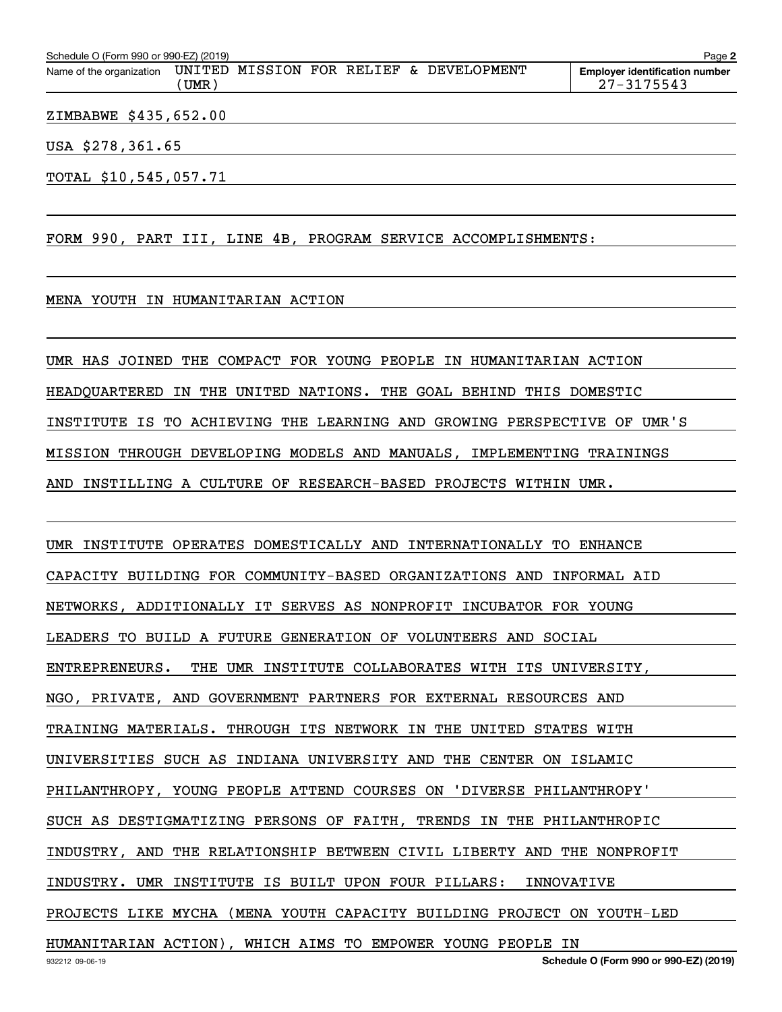| Schedule O (Form 990 or 990-EZ) (2019) |      |  |  |                                         |                                                     | Page 2 |
|----------------------------------------|------|--|--|-----------------------------------------|-----------------------------------------------------|--------|
| Name of the organization               | UMR) |  |  | UNITED MISSION FOR RELIEF & DEVELOPMENT | <b>Employer identification number</b><br>27-3175543 |        |
| ZIMBABWE \$435,652.00                  |      |  |  |                                         |                                                     |        |
| USA \$278,361.65                       |      |  |  |                                         |                                                     |        |

TOTAL \$10,545,057.71

FORM 990, PART III, LINE 4B, PROGRAM SERVICE ACCOMPLISHMENTS:

#### MENA YOUTH IN HUMANITARIAN ACTION

UMR HAS JOINED THE COMPACT FOR YOUNG PEOPLE IN HUMANITARIAN ACTION HEADQUARTERED IN THE UNITED NATIONS. THE GOAL BEHIND THIS DOMESTIC INSTITUTE IS TO ACHIEVING THE LEARNING AND GROWING PERSPECTIVE OF UMR'S MISSION THROUGH DEVELOPING MODELS AND MANUALS, IMPLEMENTING TRAININGS AND INSTILLING A CULTURE OF RESEARCH-BASED PROJECTS WITHIN UMR.

UMR INSTITUTE OPERATES DOMESTICALLY AND INTERNATIONALLY TO ENHANCE CAPACITY BUILDING FOR COMMUNITY-BASED ORGANIZATIONS AND INFORMAL AID NETWORKS, ADDITIONALLY IT SERVES AS NONPROFIT INCUBATOR FOR YOUNG LEADERS TO BUILD A FUTURE GENERATION OF VOLUNTEERS AND SOCIAL ENTREPRENEURS. THE UMR INSTITUTE COLLABORATES WITH ITS UNIVERSITY, NGO, PRIVATE, AND GOVERNMENT PARTNERS FOR EXTERNAL RESOURCES AND TRAINING MATERIALS. THROUGH ITS NETWORK IN THE UNITED STATES WITH UNIVERSITIES SUCH AS INDIANA UNIVERSITY AND THE CENTER ON ISLAMIC PHILANTHROPY, YOUNG PEOPLE ATTEND COURSES ON 'DIVERSE PHILANTHROPY' SUCH AS DESTIGMATIZING PERSONS OF FAITH, TRENDS IN THE PHILANTHROPIC INDUSTRY, AND THE RELATIONSHIP BETWEEN CIVIL LIBERTY AND THE NONPROFIT INDUSTRY. UMR INSTITUTE IS BUILT UPON FOUR PILLARS: INNOVATIVE PROJECTS LIKE MYCHA (MENA YOUTH CAPACITY BUILDING PROJECT ON YOUTH-LED HUMANITARIAN ACTION), WHICH AIMS TO EMPOWER YOUNG PEOPLE IN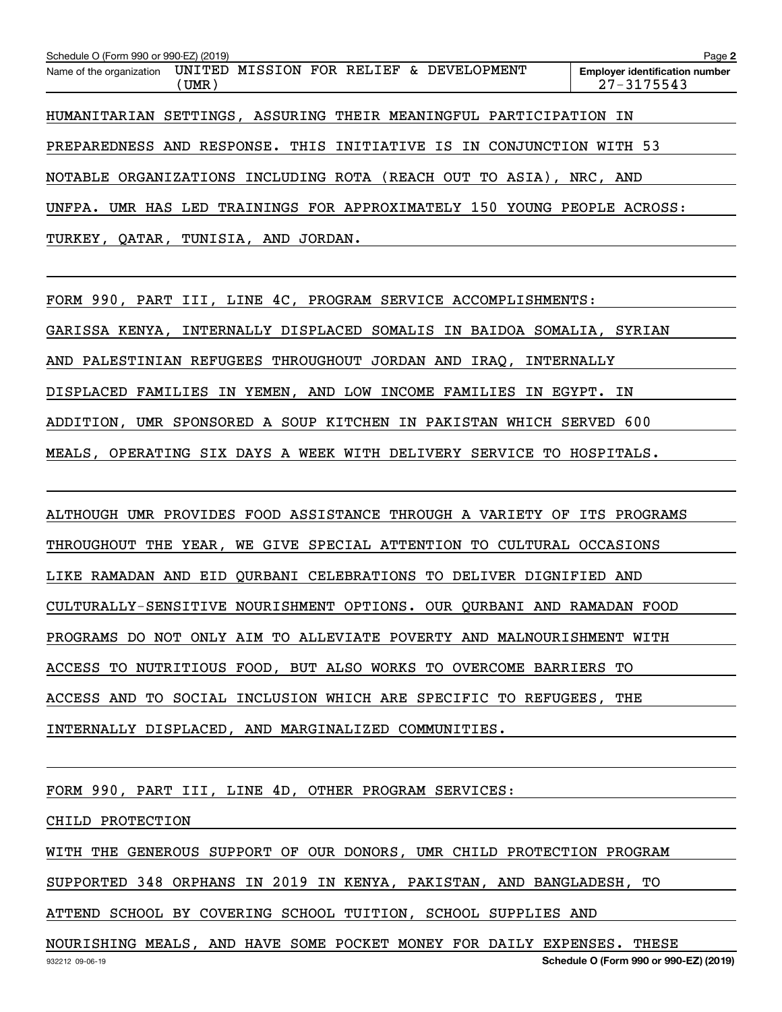| Schedule O (Form 990 or 990-EZ) (2019)                                  |        |                                         |  | Page 2                                                  |
|-------------------------------------------------------------------------|--------|-----------------------------------------|--|---------------------------------------------------------|
| Name of the organization                                                | (UMR ) | UNITED MISSION FOR RELIEF & DEVELOPMENT |  | <b>Employer identification number</b><br>$27 - 3175543$ |
| HUMANITARIAN SETTINGS, ASSURING THEIR MEANINGFUL PARTICIPATION IN       |        |                                         |  |                                                         |
| PREPAREDNESS AND RESPONSE. THIS INITIATIVE IS IN CONJUNCTION WITH 53    |        |                                         |  |                                                         |
| NOTABLE ORGANIZATIONS INCLUDING ROTA (REACH OUT TO ASIA), NRC, AND      |        |                                         |  |                                                         |
| UNFPA. UMR HAS LED TRAININGS FOR APPROXIMATELY 150 YOUNG PEOPLE ACROSS: |        |                                         |  |                                                         |
| TURKEY,                                                                 |        | QATAR, TUNISIA, AND JORDAN.             |  |                                                         |

FORM 990, PART III, LINE 4C, PROGRAM SERVICE ACCOMPLISHMENTS:

GARISSA KENYA, INTERNALLY DISPLACED SOMALIS IN BAIDOA SOMALIA, SYRIAN

AND PALESTINIAN REFUGEES THROUGHOUT JORDAN AND IRAQ, INTERNALLY

DISPLACED FAMILIES IN YEMEN, AND LOW INCOME FAMILIES IN EGYPT. IN

ADDITION, UMR SPONSORED A SOUP KITCHEN IN PAKISTAN WHICH SERVED 600

MEALS, OPERATING SIX DAYS A WEEK WITH DELIVERY SERVICE TO HOSPITALS.

ALTHOUGH UMR PROVIDES FOOD ASSISTANCE THROUGH A VARIETY OF ITS PROGRAMS THROUGHOUT THE YEAR, WE GIVE SPECIAL ATTENTION TO CULTURAL OCCASIONS LIKE RAMADAN AND EID QURBANI CELEBRATIONS TO DELIVER DIGNIFIED AND CULTURALLY-SENSITIVE NOURISHMENT OPTIONS. OUR QURBANI AND RAMADAN FOOD PROGRAMS DO NOT ONLY AIM TO ALLEVIATE POVERTY AND MALNOURISHMENT WITH ACCESS TO NUTRITIOUS FOOD, BUT ALSO WORKS TO OVERCOME BARRIERS TO ACCESS AND TO SOCIAL INCLUSION WHICH ARE SPECIFIC TO REFUGEES, THE INTERNALLY DISPLACED, AND MARGINALIZED COMMUNITIES.

FORM 990, PART III, LINE 4D, OTHER PROGRAM SERVICES:

CHILD PROTECTION

WITH THE GENEROUS SUPPORT OF OUR DONORS, UMR CHILD PROTECTION PROGRAM

SUPPORTED 348 ORPHANS IN 2019 IN KENYA, PAKISTAN, AND BANGLADESH, TO

ATTEND SCHOOL BY COVERING SCHOOL TUITION, SCHOOL SUPPLIES AND

932212 09-06-19 **Schedule O (Form 990 or 990-EZ) (2019)** NOURISHING MEALS, AND HAVE SOME POCKET MONEY FOR DAILY EXPENSES. THESE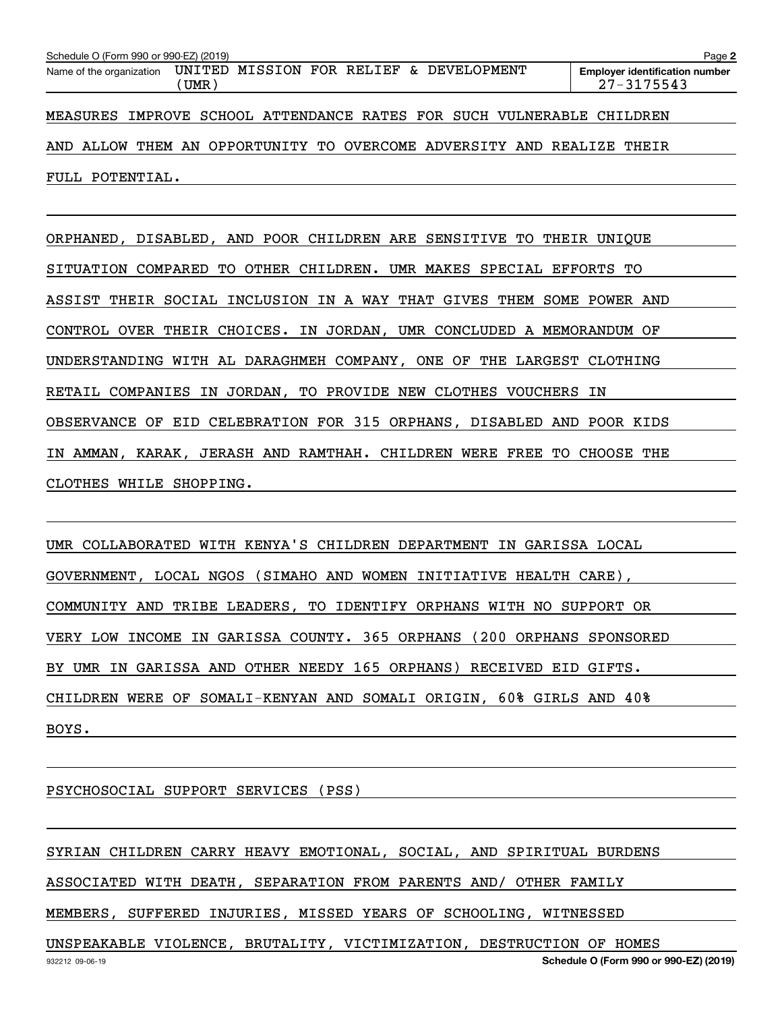| Schedule O (Form 990 or 990-EZ) (2019) |        |                                                                       | Page 2                                                  |
|----------------------------------------|--------|-----------------------------------------------------------------------|---------------------------------------------------------|
| Name of the organization               | (UMR ) | UNITED MISSION FOR RELIEF & DEVELOPMENT                               | <b>Employer identification number</b><br>$27 - 3175543$ |
|                                        |        | MEASURES IMPROVE SCHOOL ATTENDANCE RATES FOR SUCH VULNERABLE CHILDREN |                                                         |
|                                        |        | AND ALLOW THEM AN OPPORTUNITY TO OVERCOME ADVERSITY AND REALIZE THEIR |                                                         |
| FULL POTENTIAL.                        |        |                                                                       |                                                         |

ORPHANED, DISABLED, AND POOR CHILDREN ARE SENSITIVE TO THEIR UNIQUE SITUATION COMPARED TO OTHER CHILDREN. UMR MAKES SPECIAL EFFORTS TO ASSIST THEIR SOCIAL INCLUSION IN A WAY THAT GIVES THEM SOME POWER AND CONTROL OVER THEIR CHOICES. IN JORDAN, UMR CONCLUDED A MEMORANDUM OF UNDERSTANDING WITH AL DARAGHMEH COMPANY, ONE OF THE LARGEST CLOTHING RETAIL COMPANIES IN JORDAN, TO PROVIDE NEW CLOTHES VOUCHERS IN OBSERVANCE OF EID CELEBRATION FOR 315 ORPHANS, DISABLED AND POOR KIDS IN AMMAN, KARAK, JERASH AND RAMTHAH. CHILDREN WERE FREE TO CHOOSE THE CLOTHES WHILE SHOPPING.

UMR COLLABORATED WITH KENYA'S CHILDREN DEPARTMENT IN GARISSA LOCAL GOVERNMENT, LOCAL NGOS (SIMAHO AND WOMEN INITIATIVE HEALTH CARE), COMMUNITY AND TRIBE LEADERS, TO IDENTIFY ORPHANS WITH NO SUPPORT OR VERY LOW INCOME IN GARISSA COUNTY. 365 ORPHANS (200 ORPHANS SPONSORED BY UMR IN GARISSA AND OTHER NEEDY 165 ORPHANS) RECEIVED EID GIFTS. CHILDREN WERE OF SOMALI-KENYAN AND SOMALI ORIGIN, 60% GIRLS AND 40% BOYS.

PSYCHOSOCIAL SUPPORT SERVICES (PSS)

SYRIAN CHILDREN CARRY HEAVY EMOTIONAL, SOCIAL, AND SPIRITUAL BURDENS ASSOCIATED WITH DEATH, SEPARATION FROM PARENTS AND/ OTHER FAMILY MEMBERS, SUFFERED INJURIES, MISSED YEARS OF SCHOOLING, WITNESSED

UNSPEAKABLE VIOLENCE, BRUTALITY, VICTIMIZATION, DESTRUCTION OF HOMES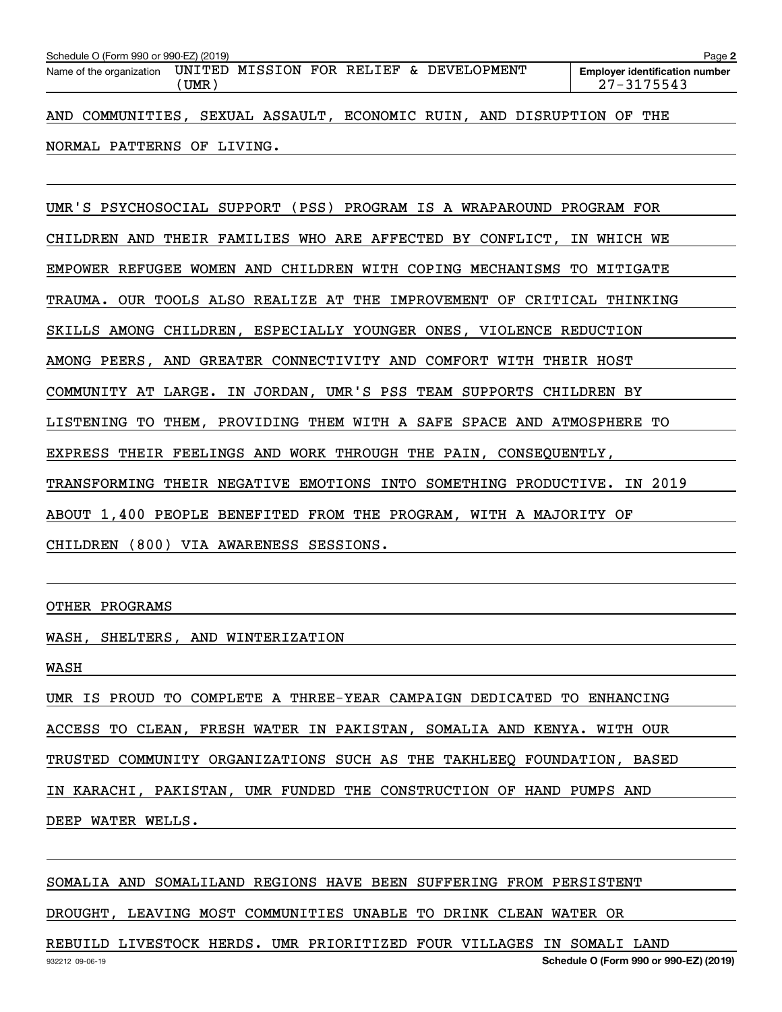| Schedule O (Form 990 or 990-EZ) (2019)                                |      |  |  | Page 2                                              |
|-----------------------------------------------------------------------|------|--|--|-----------------------------------------------------|
| Name of the organization UNITED MISSION FOR RELIEF & DEVELOPMENT      | UMR) |  |  | <b>Employer identification number</b><br>27-3175543 |
| AND COMMUNITIES, SEXUAL ASSAULT, ECONOMIC RUIN, AND DISRUPTION OF THE |      |  |  |                                                     |

NORMAL PATTERNS OF LIVING.

UMR'S PSYCHOSOCIAL SUPPORT (PSS) PROGRAM IS A WRAPAROUND PROGRAM FOR CHILDREN AND THEIR FAMILIES WHO ARE AFFECTED BY CONFLICT, IN WHICH WE EMPOWER REFUGEE WOMEN AND CHILDREN WITH COPING MECHANISMS TO MITIGATE TRAUMA. OUR TOOLS ALSO REALIZE AT THE IMPROVEMENT OF CRITICAL THINKING SKILLS AMONG CHILDREN, ESPECIALLY YOUNGER ONES, VIOLENCE REDUCTION AMONG PEERS, AND GREATER CONNECTIVITY AND COMFORT WITH THEIR HOST COMMUNITY AT LARGE. IN JORDAN, UMR'S PSS TEAM SUPPORTS CHILDREN BY LISTENING TO THEM, PROVIDING THEM WITH A SAFE SPACE AND ATMOSPHERE TO EXPRESS THEIR FEELINGS AND WORK THROUGH THE PAIN, CONSEQUENTLY, TRANSFORMING THEIR NEGATIVE EMOTIONS INTO SOMETHING PRODUCTIVE. IN 2019 ABOUT 1,400 PEOPLE BENEFITED FROM THE PROGRAM, WITH A MAJORITY OF CHILDREN (800) VIA AWARENESS SESSIONS.

OTHER PROGRAMS

WASH, SHELTERS, AND WINTERIZATION

WASH

UMR IS PROUD TO COMPLETE A THREE-YEAR CAMPAIGN DEDICATED TO ENHANCING ACCESS TO CLEAN, FRESH WATER IN PAKISTAN, SOMALIA AND KENYA. WITH OUR TRUSTED COMMUNITY ORGANIZATIONS SUCH AS THE TAKHLEEQ FOUNDATION, BASED IN KARACHI, PAKISTAN, UMR FUNDED THE CONSTRUCTION OF HAND PUMPS AND DEEP WATER WELLS.

SOMALIA AND SOMALILAND REGIONS HAVE BEEN SUFFERING FROM PERSISTENT

DROUGHT, LEAVING MOST COMMUNITIES UNABLE TO DRINK CLEAN WATER OR

REBUILD LIVESTOCK HERDS. UMR PRIORITIZED FOUR VILLAGES IN SOMALI LAND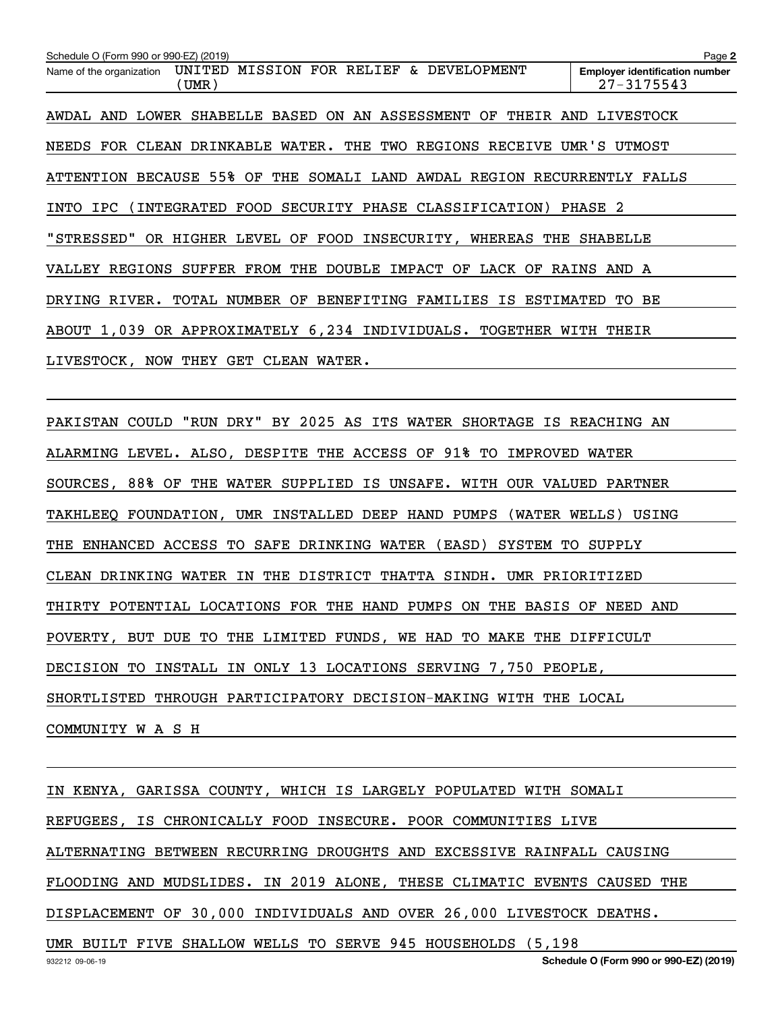| Schedule O (Form 990 or 990-EZ) (2019)                                          | Page 2                                                  |
|---------------------------------------------------------------------------------|---------------------------------------------------------|
| MISSION FOR RELIEF & DEVELOPMENT<br>UNITED<br>Name of the organization<br>(UMR) | <b>Employer identification number</b><br>$27 - 3175543$ |
| ON AN ASSESSMENT OF<br>LOWER<br>SHABELLE BASED<br>THEIR AND<br>AWDAL AND        | LIVESTOCK                                               |
| TWO<br>REGIONS<br>FOR<br>CLEAN<br>DRINKABLE WATER.<br>THE<br>RECEIVE<br>NEEDS   | UMR'S<br>UTMOST                                         |
| BECAUSE 55% OF THE SOMALI LAND AWDAL REGION RECURRENTLY FALLS<br>ATTENTION      |                                                         |
| (INTEGRATED FOOD SECURITY PHASE CLASSIFICATION)<br>IPC<br>INTO                  | PHASE 2                                                 |
| "STRESSED" OR HIGHER LEVEL OF FOOD INSECURITY, WHEREAS THE                      | SHABELLE                                                |
| VALLEY REGIONS SUFFER FROM THE DOUBLE IMPACT OF LACK OF                         | RAINS<br>AND A                                          |
| TOTAL NUMBER OF BENEFITING<br>RIVER.<br>FAMILIES IS<br>DRYING                   | ESTIMATED<br>BE<br>TO.                                  |
| ABOUT 1,039 OR APPROXIMATELY 6,234 INDIVIDUALS. TOGETHER                        | WITH<br>THEIR                                           |
| LIVESTOCK, NOW THEY<br>GET<br><b>CLEAN</b><br>WATER.                            |                                                         |
|                                                                                 |                                                         |

PAKISTAN COULD "RUN DRY" BY 2025 AS ITS WATER SHORTAGE IS REACHING AN ALARMING LEVEL. ALSO, DESPITE THE ACCESS OF 91% TO IMPROVED WATER SOURCES, 88% OF THE WATER SUPPLIED IS UNSAFE. WITH OUR VALUED PARTNER TAKHLEEQ FOUNDATION, UMR INSTALLED DEEP HAND PUMPS (WATER WELLS) USING THE ENHANCED ACCESS TO SAFE DRINKING WATER (EASD) SYSTEM TO SUPPLY CLEAN DRINKING WATER IN THE DISTRICT THATTA SINDH. UMR PRIORITIZED THIRTY POTENTIAL LOCATIONS FOR THE HAND PUMPS ON THE BASIS OF NEED AND POVERTY, BUT DUE TO THE LIMITED FUNDS, WE HAD TO MAKE THE DIFFICULT DECISION TO INSTALL IN ONLY 13 LOCATIONS SERVING 7,750 PEOPLE, SHORTLISTED THROUGH PARTICIPATORY DECISION-MAKING WITH THE LOCAL COMMUNITY W A S H

IN KENYA, GARISSA COUNTY, WHICH IS LARGELY POPULATED WITH SOMALI REFUGEES, IS CHRONICALLY FOOD INSECURE. POOR COMMUNITIES LIVE ALTERNATING BETWEEN RECURRING DROUGHTS AND EXCESSIVE RAINFALL CAUSING FLOODING AND MUDSLIDES. IN 2019 ALONE, THESE CLIMATIC EVENTS CAUSED THE DISPLACEMENT OF 30,000 INDIVIDUALS AND OVER 26,000 LIVESTOCK DEATHS. UMR BUILT FIVE SHALLOW WELLS TO SERVE 945 HOUSEHOLDS (5,198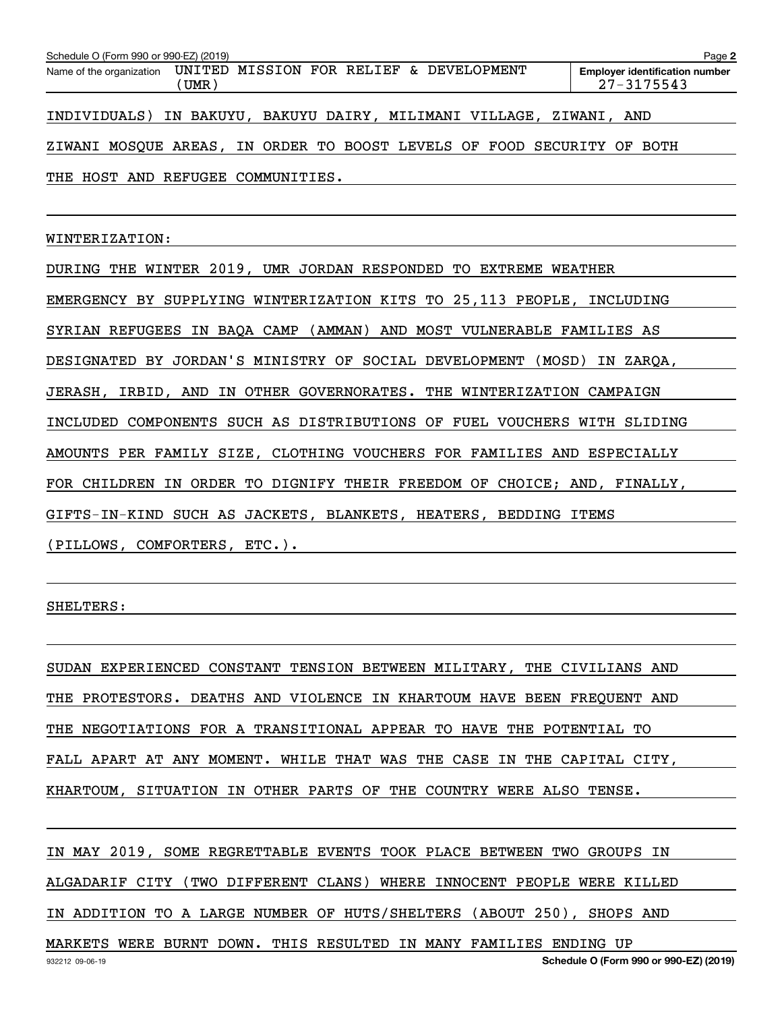| Schedule O (Form 990 or 990-EZ) (2019)                              |                 |                                  | Page 2                                                  |
|---------------------------------------------------------------------|-----------------|----------------------------------|---------------------------------------------------------|
| Name of the organization                                            | UNITED<br>UMR ) | MISSION FOR RELIEF & DEVELOPMENT | <b>Employer identification number</b><br>$27 - 3175543$ |
| INDIVIDUALS) IN BAKUYU, BAKUYU DAIRY, MILIMANI VILLAGE, ZIWANI, AND |                 |                                  |                                                         |
| ZIWANI MOSOUE AREAS, IN ORDER TO BOOST LEVELS OF FOOD SECURITY OF   |                 |                                  | BOTH                                                    |
| THE HOST AND REFUGEE COMMUNITIES.                                   |                 |                                  |                                                         |
| WINTERIZATION:                                                      |                 |                                  |                                                         |
| DURING THE WINTER 2019, UMR JORDAN RESPONDED TO EXTREME             |                 |                                  | WEATHER                                                 |

EMERGENCY BY SUPPLYING WINTERIZATION KITS TO 25,113 PEOPLE, INCLUDING

SYRIAN REFUGEES IN BAQA CAMP (AMMAN) AND MOST VULNERABLE FAMILIES AS

DESIGNATED BY JORDAN'S MINISTRY OF SOCIAL DEVELOPMENT (MOSD) IN ZARQA,

JERASH, IRBID, AND IN OTHER GOVERNORATES. THE WINTERIZATION CAMPAIGN

INCLUDED COMPONENTS SUCH AS DISTRIBUTIONS OF FUEL VOUCHERS WITH SLIDING

AMOUNTS PER FAMILY SIZE, CLOTHING VOUCHERS FOR FAMILIES AND ESPECIALLY

FOR CHILDREN IN ORDER TO DIGNIFY THEIR FREEDOM OF CHOICE; AND, FINALLY,

GIFTS-IN-KIND SUCH AS JACKETS, BLANKETS, HEATERS, BEDDING ITEMS

(PILLOWS, COMFORTERS, ETC.).

SHELTERS:

SUDAN EXPERIENCED CONSTANT TENSION BETWEEN MILITARY, THE CIVILIANS AND THE PROTESTORS. DEATHS AND VIOLENCE IN KHARTOUM HAVE BEEN FREQUENT AND THE NEGOTIATIONS FOR A TRANSITIONAL APPEAR TO HAVE THE POTENTIAL TO FALL APART AT ANY MOMENT. WHILE THAT WAS THE CASE IN THE CAPITAL CITY, KHARTOUM, SITUATION IN OTHER PARTS OF THE COUNTRY WERE ALSO TENSE.

IN MAY 2019, SOME REGRETTABLE EVENTS TOOK PLACE BETWEEN TWO GROUPS IN ALGADARIF CITY (TWO DIFFERENT CLANS) WHERE INNOCENT PEOPLE WERE KILLED IN ADDITION TO A LARGE NUMBER OF HUTS/SHELTERS (ABOUT 250), SHOPS AND MARKETS WERE BURNT DOWN. THIS RESULTED IN MANY FAMILIES ENDING UP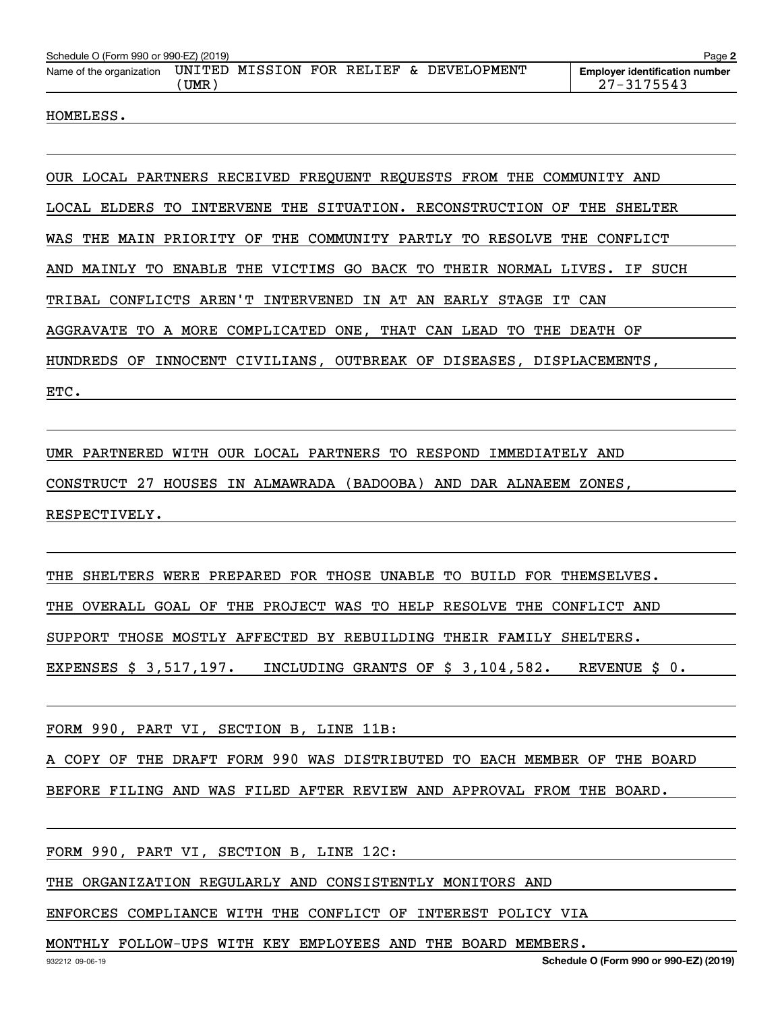| Schedule O (Form 990 or 990-EZ) (2019)<br>Page 2 |     |  |  |  |  |                                         |                                                     |  |  |
|--------------------------------------------------|-----|--|--|--|--|-----------------------------------------|-----------------------------------------------------|--|--|
| Name of the organization                         | UMR |  |  |  |  | UNITED MISSION FOR RELIEF & DEVELOPMENT | <b>Employer identification number</b><br>27-3175543 |  |  |
|                                                  |     |  |  |  |  |                                         |                                                     |  |  |

#### HOMELESS.

OUR LOCAL PARTNERS RECEIVED FREQUENT REQUESTS FROM THE COMMUNITY AND LOCAL ELDERS TO INTERVENE THE SITUATION. RECONSTRUCTION OF THE SHELTER WAS THE MAIN PRIORITY OF THE COMMUNITY PARTLY TO RESOLVE THE CONFLICT AND MAINLY TO ENABLE THE VICTIMS GO BACK TO THEIR NORMAL LIVES. IF SUCH TRIBAL CONFLICTS AREN'T INTERVENED IN AT AN EARLY STAGE IT CAN AGGRAVATE TO A MORE COMPLICATED ONE, THAT CAN LEAD TO THE DEATH OF HUNDREDS OF INNOCENT CIVILIANS, OUTBREAK OF DISEASES, DISPLACEMENTS, ETC.

UMR PARTNERED WITH OUR LOCAL PARTNERS TO RESPOND IMMEDIATELY AND CONSTRUCT 27 HOUSES IN ALMAWRADA (BADOOBA) AND DAR ALNAEEM ZONES, RESPECTIVELY.

THE SHELTERS WERE PREPARED FOR THOSE UNABLE TO BUILD FOR THEMSELVES. THE OVERALL GOAL OF THE PROJECT WAS TO HELP RESOLVE THE CONFLICT AND SUPPORT THOSE MOSTLY AFFECTED BY REBUILDING THEIR FAMILY SHELTERS. EXPENSES \$ 3,517,197. INCLUDING GRANTS OF \$ 3,104,582. REVENUE \$ 0.

FORM 990, PART VI, SECTION B, LINE 11B:

A COPY OF THE DRAFT FORM 990 WAS DISTRIBUTED TO EACH MEMBER OF THE BOARD

BEFORE FILING AND WAS FILED AFTER REVIEW AND APPROVAL FROM THE BOARD.

FORM 990, PART VI, SECTION B, LINE 12C:

THE ORGANIZATION REGULARLY AND CONSISTENTLY MONITORS AND

ENFORCES COMPLIANCE WITH THE CONFLICT OF INTEREST POLICY VIA

MONTHLY FOLLOW-UPS WITH KEY EMPLOYEES AND THE BOARD MEMBERS.